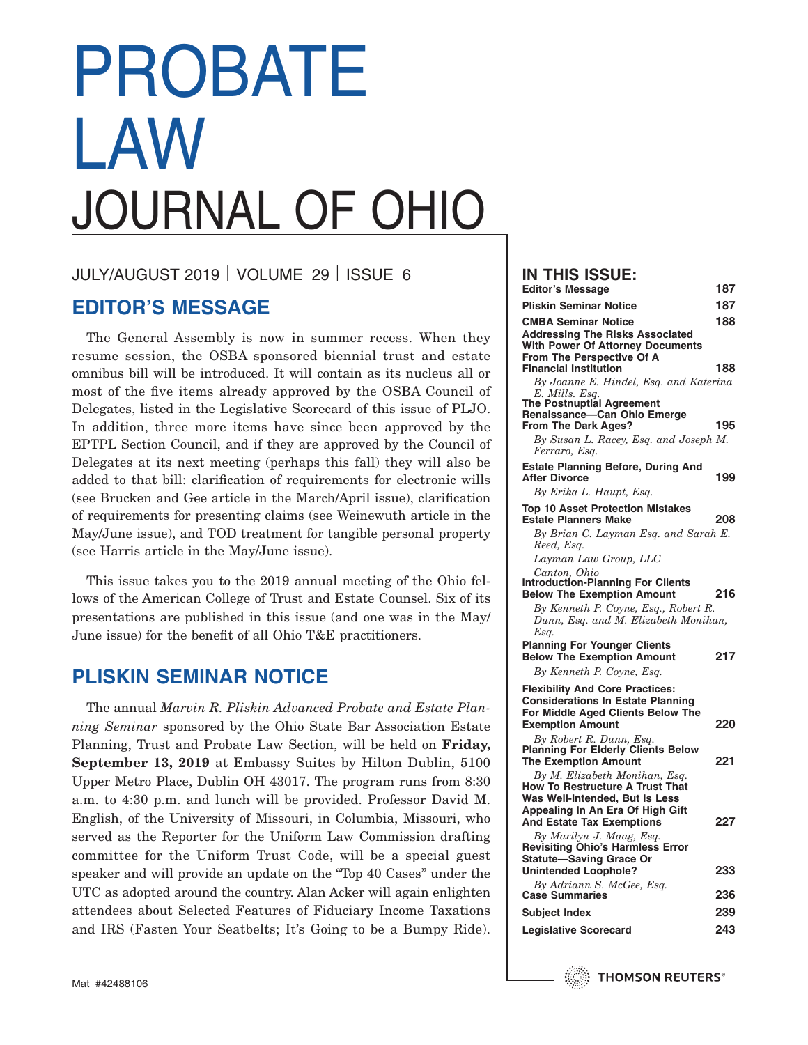# PROBATE LAW JOURNAL OF OHIO

JULY/AUGUST 2019 VOLUME 29 ISSUE 6

# **EDITOR'S MESSAGE**

The General Assembly is now in summer recess. When they resume session, the OSBA sponsored biennial trust and estate omnibus bill will be introduced. It will contain as its nucleus all or most of the five items already approved by the OSBA Council of Delegates, listed in the Legislative Scorecard of this issue of PLJO. In addition, three more items have since been approved by the EPTPL Section Council, and if they are approved by the Council of Delegates at its next meeting (perhaps this fall) they will also be added to that bill: clarification of requirements for electronic wills (see Brucken and Gee article in the March/April issue), clarification of requirements for presenting claims (see Weinewuth article in the May/June issue), and TOD treatment for tangible personal property (see Harris article in the May/June issue).

This issue takes you to the 2019 annual meeting of the Ohio fellows of the American College of Trust and Estate Counsel. Six of its presentations are published in this issue (and one was in the May/ June issue) for the benefit of all Ohio T&E practitioners.

# **PLISKIN SEMINAR NOTICE**

The annual *Marvin R. Pliskin Advanced Probate and Estate Planning Seminar* sponsored by the Ohio State Bar Association Estate Planning, Trust and Probate Law Section, will be held on **Friday, September 13, 2019** at Embassy Suites by Hilton Dublin, 5100 Upper Metro Place, Dublin OH 43017. The program runs from 8:30 a.m. to 4:30 p.m. and lunch will be provided. Professor David M. English, of the University of Missouri, in Columbia, Missouri, who served as the Reporter for the Uniform Law Commission drafting committee for the Uniform Trust Code, will be a special guest speaker and will provide an update on the "Top 40 Cases" under the UTC as adopted around the country. Alan Acker will again enlighten attendees about Selected Features of Fiduciary Income Taxations and IRS (Fasten Your Seatbelts; It's Going to be a Bumpy Ride).

# **IN THIS ISSUE:**

| <b>Editor's Message</b>                                                                                                                                               | 187        |
|-----------------------------------------------------------------------------------------------------------------------------------------------------------------------|------------|
| <b>Pliskin Seminar Notice</b>                                                                                                                                         | 187        |
| <b>CMBA Seminar Notice</b><br><b>Addressing The Risks Associated</b><br>With Power Of Attorney Documents<br>From The Perspective Of A<br><b>Financial Institution</b> | 188<br>188 |
| By Joanne E. Hindel, Esq. and Katerina<br>E. Mills. Esq.<br>The Postnuptial Agreement<br>Renaissance-Can Ohio Emerge<br>From The Dark Ages?                           | 195        |
| By Susan L. Racey, Esq. and Joseph M.<br>Ferraro, Esq.<br><b>Estate Planning Before, During And</b>                                                                   |            |
| <b>After Divorce</b><br>By Erika L. Haupt, Esq.                                                                                                                       | 199        |
| <b>Top 10 Asset Protection Mistakes</b><br><b>Estate Planners Make</b><br>By Brian C. Layman Esq. and Sarah E.<br>Reed, Esq.                                          | 208        |
| Layman Law Group, LLC<br>Canton, Ohio<br><b>Introduction-Planning For Clients</b>                                                                                     |            |
| <b>Below The Exemption Amount</b><br>By Kenneth P. Coyne, Esq., Robert R.<br>Dunn, Esq. and M. Elizabeth Monihan,<br>Esq.                                             | 216        |
| <b>Planning For Younger Clients</b><br><b>Below The Exemption Amount</b><br>By Kenneth P. Coyne, Esq.                                                                 | 217        |
| <b>Flexibility And Core Practices:</b><br><b>Considerations In Estate Planning</b><br>For Middle Aged Clients Below The                                               |            |
| <b>Exemption Amount</b><br>By Robert R. Dunn, Esq.<br><b>Planning For Elderly Clients Below</b>                                                                       | 220        |
| <b>The Exemption Amount</b><br>By M. Elizabeth Monihan, Esq.<br>How To Restructure A Trust That                                                                       | 221        |
| Was Well-Intended, But Is Less<br>Appealing In An Era Of High Gift<br><b>And Estate Tax Exemptions</b>                                                                | 227        |
| By Marilyn J. Maag, Esq.<br><b>Revisiting Ohio's Harmless Error</b><br><b>Statute-Saving Grace Or</b><br><b>Unintended Loophole?</b>                                  | 233        |
| By Adriann S. McGee, Esq.<br><b>Case Summaries</b>                                                                                                                    | 236        |
| Subject Index                                                                                                                                                         | 239        |
| <b>Legislative Scorecard</b>                                                                                                                                          | 243        |

**THOMSON REUTERS®**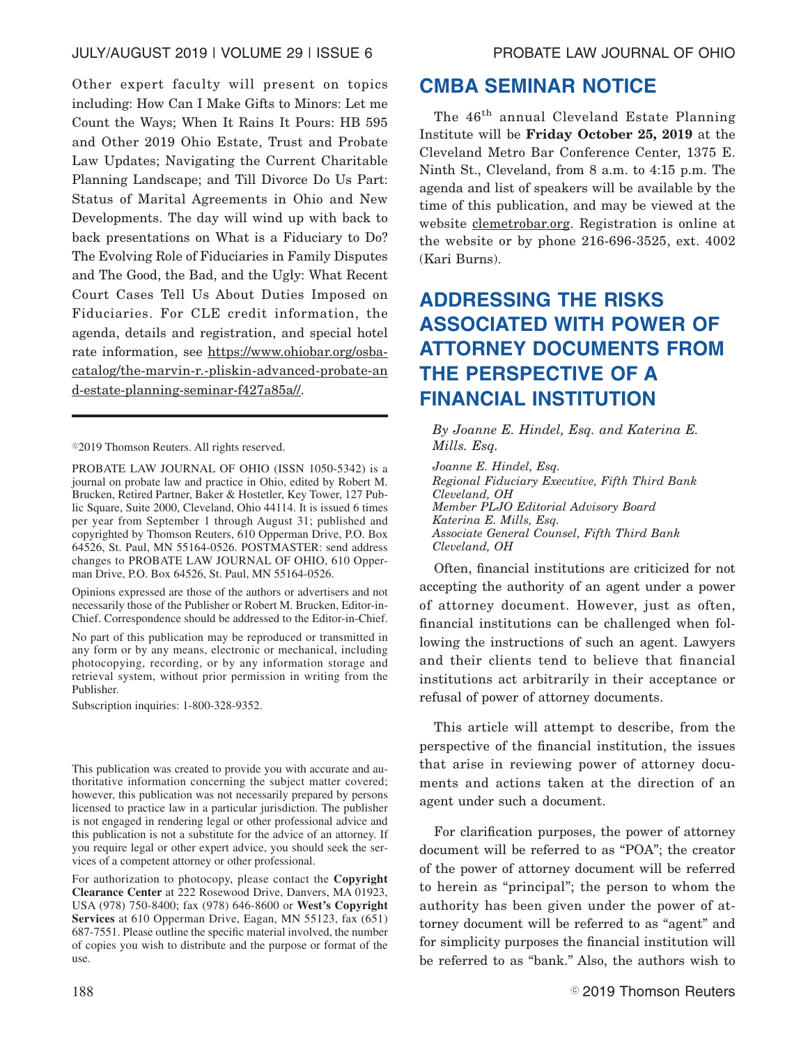Other expert faculty will present on topics including: How Can I Make Gifts to Minors: Let me Count the Ways; When It Rains It Pours: HB 595 and Other 2019 Ohio Estate, Trust and Probate Law Updates; Navigating the Current Charitable Planning Landscape; and Till Divorce Do Us Part: Status of Marital Agreements in Ohio and New Developments. The day will wind up with back to back presentations on What is a Fiduciary to Do? The Evolving Role of Fiduciaries in Family Disputes and The Good, the Bad, and the Ugly: What Recent Court Cases Tell Us About Duties Imposed on Fiduciaries. For CLE credit information, the agenda, details and registration, and special hotel rate information, see https://www.ohiobar.org/osbacatalog/the-marvin-r.-pliskin-advanced-probate-an d-estate-planning-seminar-f427a85a//.

©2019 Thomson Reuters. All rights reserved.

PROBATE LAW JOURNAL OF OHIO (ISSN 1050-5342) is a journal on probate law and practice in Ohio, edited by Robert M. Brucken, Retired Partner, Baker & Hostetler, Key Tower, 127 Public Square, Suite 2000, Cleveland, Ohio 44114. It is issued 6 times per year from September 1 through August 31; published and copyrighted by Thomson Reuters, 610 Opperman Drive, P.O. Box 64526, St. Paul, MN 55164-0526. POSTMASTER: send address changes to PROBATE LAW JOURNAL OF OHIO, 610 Opperman Drive, P.O. Box 64526, St. Paul, MN 55164-0526.

Opinions expressed are those of the authors or advertisers and not necessarily those of the Publisher or Robert M. Brucken, Editor-in-Chief. Correspondence should be addressed to the Editor-in-Chief.

No part of this publication may be reproduced or transmitted in any form or by any means, electronic or mechanical, including photocopying, recording, or by any information storage and retrieval system, without prior permission in writing from the Publisher.

Subscription inquiries: 1-800-328-9352.

This publication was created to provide you with accurate and authoritative information concerning the subject matter covered; however, this publication was not necessarily prepared by persons licensed to practice law in a particular jurisdiction. The publisher is not engaged in rendering legal or other professional advice and this publication is not a substitute for the advice of an attorney. If you require legal or other expert advice, you should seek the services of a competent attorney or other professional.

For authorization to photocopy, please contact the **Copyright Clearance Center** at 222 Rosewood Drive, Danvers, MA 01923, USA (978) 750-8400; fax (978) 646-8600 or **West's Copyright Services** at 610 Opperman Drive, Eagan, MN 55123, fax (651) 687-7551. Please outline the specific material involved, the number of copies you wish to distribute and the purpose or format of the use.

# **CMBA SEMINAR NOTICE**

The 46<sup>th</sup> annual Cleveland Estate Planning Institute will be **Friday October 25, 2019** at the Cleveland Metro Bar Conference Center, 1375 E. Ninth St., Cleveland, from 8 a.m. to 4:15 p.m. The agenda and list of speakers will be available by the time of this publication, and may be viewed at the website clemetrobar.org. Registration is online at the website or by phone 216-696-3525, ext. 4002 (Kari Burns).

# **ADDRESSING THE RISKS ASSOCIATED WITH POWER OF ATTORNEY DOCUMENTS FROM THE PERSPECTIVE OF A FINANCIAL INSTITUTION**

*By Joanne E. Hindel, Esq. and Katerina E. Mills. Esq.*

*Joanne E. Hindel, Esq. Regional Fiduciary Executive, Fifth Third Bank Cleveland, OH Member PLJO Editorial Advisory Board Katerina E. Mills, Esq. Associate General Counsel, Fifth Third Bank Cleveland, OH*

Often, financial institutions are criticized for not accepting the authority of an agent under a power of attorney document. However, just as often, financial institutions can be challenged when following the instructions of such an agent. Lawyers and their clients tend to believe that financial institutions act arbitrarily in their acceptance or refusal of power of attorney documents.

This article will attempt to describe, from the perspective of the financial institution, the issues that arise in reviewing power of attorney documents and actions taken at the direction of an agent under such a document.

For clarification purposes, the power of attorney document will be referred to as "POA"; the creator of the power of attorney document will be referred to herein as "principal"; the person to whom the authority has been given under the power of attorney document will be referred to as "agent" and for simplicity purposes the financial institution will be referred to as "bank." Also, the authors wish to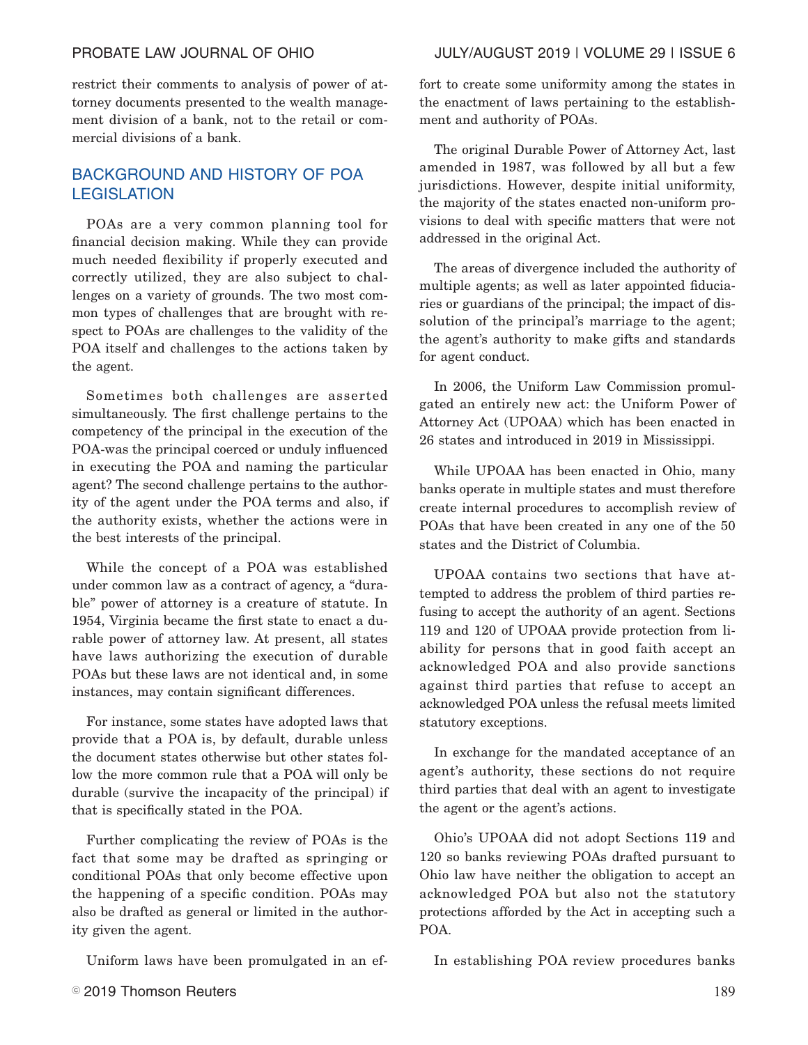restrict their comments to analysis of power of attorney documents presented to the wealth management division of a bank, not to the retail or commercial divisions of a bank.

# BACKGROUND AND HISTORY OF POA **LEGISLATION**

POAs are a very common planning tool for financial decision making. While they can provide much needed flexibility if properly executed and correctly utilized, they are also subject to challenges on a variety of grounds. The two most common types of challenges that are brought with respect to POAs are challenges to the validity of the POA itself and challenges to the actions taken by the agent.

Sometimes both challenges are asserted simultaneously. The first challenge pertains to the competency of the principal in the execution of the POA-was the principal coerced or unduly influenced in executing the POA and naming the particular agent? The second challenge pertains to the authority of the agent under the POA terms and also, if the authority exists, whether the actions were in the best interests of the principal.

While the concept of a POA was established under common law as a contract of agency, a "durable" power of attorney is a creature of statute. In 1954, Virginia became the first state to enact a durable power of attorney law. At present, all states have laws authorizing the execution of durable POAs but these laws are not identical and, in some instances, may contain significant differences.

For instance, some states have adopted laws that provide that a POA is, by default, durable unless the document states otherwise but other states follow the more common rule that a POA will only be durable (survive the incapacity of the principal) if that is specifically stated in the POA.

Further complicating the review of POAs is the fact that some may be drafted as springing or conditional POAs that only become effective upon the happening of a specific condition. POAs may also be drafted as general or limited in the authority given the agent.

Uniform laws have been promulgated in an ef-

fort to create some uniformity among the states in the enactment of laws pertaining to the establishment and authority of POAs.

The original Durable Power of Attorney Act, last amended in 1987, was followed by all but a few jurisdictions. However, despite initial uniformity, the majority of the states enacted non-uniform provisions to deal with specific matters that were not addressed in the original Act.

The areas of divergence included the authority of multiple agents; as well as later appointed fiduciaries or guardians of the principal; the impact of dissolution of the principal's marriage to the agent; the agent's authority to make gifts and standards for agent conduct.

In 2006, the Uniform Law Commission promulgated an entirely new act: the Uniform Power of Attorney Act (UPOAA) which has been enacted in 26 states and introduced in 2019 in Mississippi.

While UPOAA has been enacted in Ohio, many banks operate in multiple states and must therefore create internal procedures to accomplish review of POAs that have been created in any one of the 50 states and the District of Columbia.

UPOAA contains two sections that have attempted to address the problem of third parties refusing to accept the authority of an agent. Sections 119 and 120 of UPOAA provide protection from liability for persons that in good faith accept an acknowledged POA and also provide sanctions against third parties that refuse to accept an acknowledged POA unless the refusal meets limited statutory exceptions.

In exchange for the mandated acceptance of an agent's authority, these sections do not require third parties that deal with an agent to investigate the agent or the agent's actions.

Ohio's UPOAA did not adopt Sections 119 and 120 so banks reviewing POAs drafted pursuant to Ohio law have neither the obligation to accept an acknowledged POA but also not the statutory protections afforded by the Act in accepting such a POA.

In establishing POA review procedures banks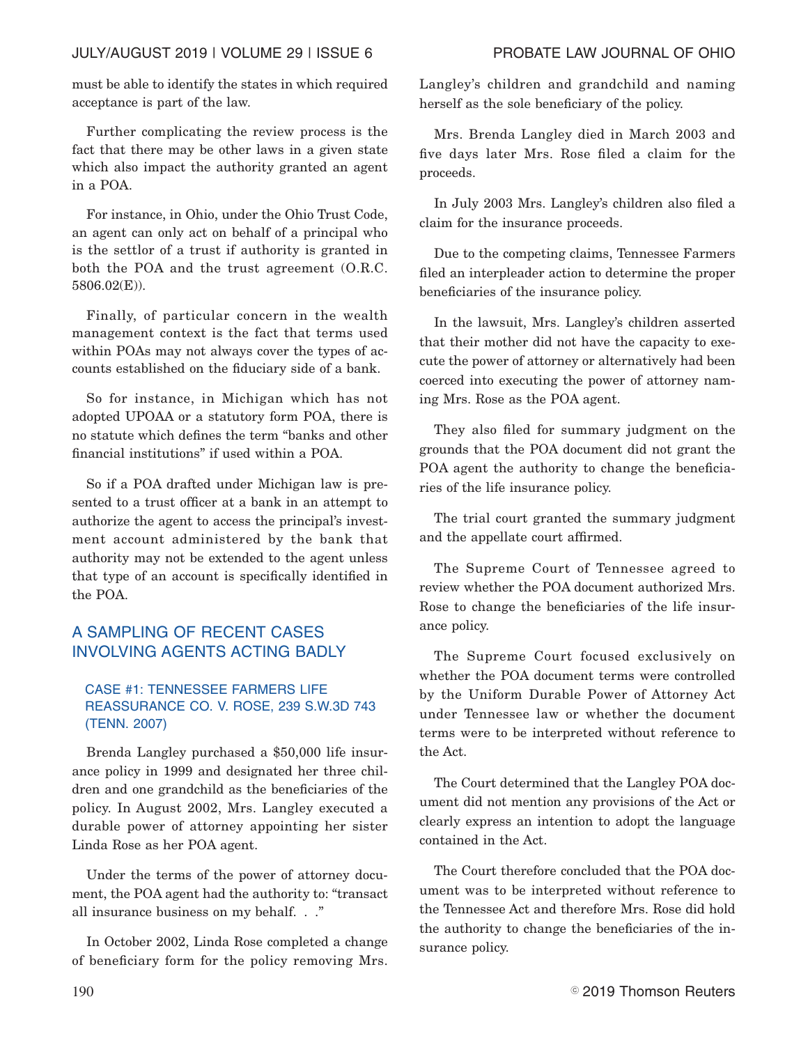# JULY/AUGUST 2019 | VOLUME 29 | ISSUE 6 PROBATE LAW JOURNAL OF OHIO

must be able to identify the states in which required acceptance is part of the law.

Further complicating the review process is the fact that there may be other laws in a given state which also impact the authority granted an agent in a POA.

For instance, in Ohio, under the Ohio Trust Code, an agent can only act on behalf of a principal who is the settlor of a trust if authority is granted in both the POA and the trust agreement (O.R.C. 5806.02(E)).

Finally, of particular concern in the wealth management context is the fact that terms used within POAs may not always cover the types of accounts established on the fiduciary side of a bank.

So for instance, in Michigan which has not adopted UPOAA or a statutory form POA, there is no statute which defines the term "banks and other financial institutions" if used within a POA.

So if a POA drafted under Michigan law is presented to a trust officer at a bank in an attempt to authorize the agent to access the principal's investment account administered by the bank that authority may not be extended to the agent unless that type of an account is specifically identified in the POA.

# A SAMPLING OF RECENT CASES INVOLVING AGENTS ACTING BADLY

# CASE #1: TENNESSEE FARMERS LIFE REASSURANCE CO. V. ROSE, 239 S.W.3D 743 (TENN. 2007)

Brenda Langley purchased a \$50,000 life insurance policy in 1999 and designated her three children and one grandchild as the beneficiaries of the policy. In August 2002, Mrs. Langley executed a durable power of attorney appointing her sister Linda Rose as her POA agent.

Under the terms of the power of attorney document, the POA agent had the authority to: "transact all insurance business on my behalf. . ."

In October 2002, Linda Rose completed a change of beneficiary form for the policy removing Mrs.

Langley's children and grandchild and naming herself as the sole beneficiary of the policy.

Mrs. Brenda Langley died in March 2003 and five days later Mrs. Rose filed a claim for the proceeds.

In July 2003 Mrs. Langley's children also filed a claim for the insurance proceeds.

Due to the competing claims, Tennessee Farmers filed an interpleader action to determine the proper beneficiaries of the insurance policy.

In the lawsuit, Mrs. Langley's children asserted that their mother did not have the capacity to execute the power of attorney or alternatively had been coerced into executing the power of attorney naming Mrs. Rose as the POA agent.

They also filed for summary judgment on the grounds that the POA document did not grant the POA agent the authority to change the beneficiaries of the life insurance policy.

The trial court granted the summary judgment and the appellate court affirmed.

The Supreme Court of Tennessee agreed to review whether the POA document authorized Mrs. Rose to change the beneficiaries of the life insurance policy.

The Supreme Court focused exclusively on whether the POA document terms were controlled by the Uniform Durable Power of Attorney Act under Tennessee law or whether the document terms were to be interpreted without reference to the Act.

The Court determined that the Langley POA document did not mention any provisions of the Act or clearly express an intention to adopt the language contained in the Act.

The Court therefore concluded that the POA document was to be interpreted without reference to the Tennessee Act and therefore Mrs. Rose did hold the authority to change the beneficiaries of the insurance policy.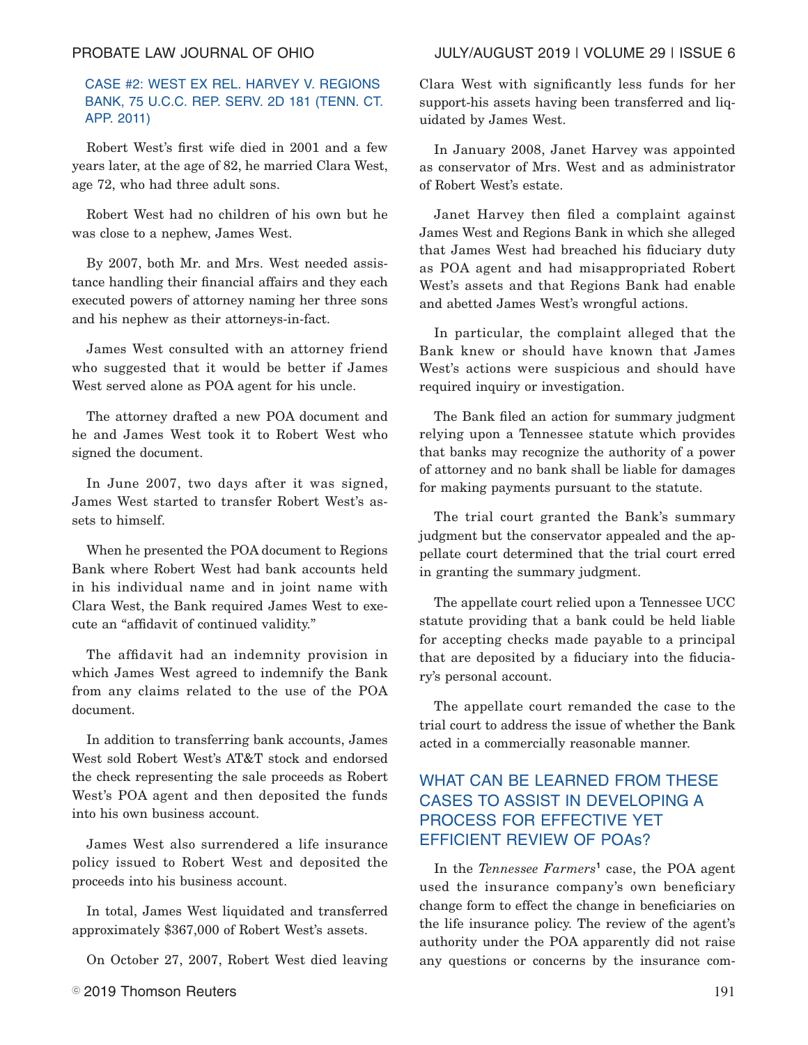# CASE #2: WEST EX REL. HARVEY V. REGIONS BANK, 75 U.C.C. REP. SERV. 2D 181 (TENN. CT. APP. 2011)

Robert West's first wife died in 2001 and a few years later, at the age of 82, he married Clara West, age 72, who had three adult sons.

Robert West had no children of his own but he was close to a nephew, James West.

By 2007, both Mr. and Mrs. West needed assistance handling their financial affairs and they each executed powers of attorney naming her three sons and his nephew as their attorneys-in-fact.

James West consulted with an attorney friend who suggested that it would be better if James West served alone as POA agent for his uncle.

The attorney drafted a new POA document and he and James West took it to Robert West who signed the document.

In June 2007, two days after it was signed, James West started to transfer Robert West's assets to himself.

When he presented the POA document to Regions Bank where Robert West had bank accounts held in his individual name and in joint name with Clara West, the Bank required James West to execute an "affidavit of continued validity."

The affidavit had an indemnity provision in which James West agreed to indemnify the Bank from any claims related to the use of the POA document.

In addition to transferring bank accounts, James West sold Robert West's AT&T stock and endorsed the check representing the sale proceeds as Robert West's POA agent and then deposited the funds into his own business account.

James West also surrendered a life insurance policy issued to Robert West and deposited the proceeds into his business account.

In total, James West liquidated and transferred approximately \$367,000 of Robert West's assets.

On October 27, 2007, Robert West died leaving

# PROBATE LAW JOURNAL OF OHIO JULY/AUGUST 2019 | VOLUME 29 | ISSUE 6

Clara West with significantly less funds for her support-his assets having been transferred and liquidated by James West.

In January 2008, Janet Harvey was appointed as conservator of Mrs. West and as administrator of Robert West's estate.

Janet Harvey then filed a complaint against James West and Regions Bank in which she alleged that James West had breached his fiduciary duty as POA agent and had misappropriated Robert West's assets and that Regions Bank had enable and abetted James West's wrongful actions.

In particular, the complaint alleged that the Bank knew or should have known that James West's actions were suspicious and should have required inquiry or investigation.

The Bank filed an action for summary judgment relying upon a Tennessee statute which provides that banks may recognize the authority of a power of attorney and no bank shall be liable for damages for making payments pursuant to the statute.

The trial court granted the Bank's summary judgment but the conservator appealed and the appellate court determined that the trial court erred in granting the summary judgment.

The appellate court relied upon a Tennessee UCC statute providing that a bank could be held liable for accepting checks made payable to a principal that are deposited by a fiduciary into the fiduciary's personal account.

The appellate court remanded the case to the trial court to address the issue of whether the Bank acted in a commercially reasonable manner.

# WHAT CAN BE LEARNED FROM THESE CASES TO ASSIST IN DEVELOPING A PROCESS FOR EFFECTIVE YET EFFICIENT REVIEW OF POAs?

In the *Tennessee Farmers*<sup>1</sup> case, the POA agent used the insurance company's own beneficiary change form to effect the change in beneficiaries on the life insurance policy. The review of the agent's authority under the POA apparently did not raise any questions or concerns by the insurance com-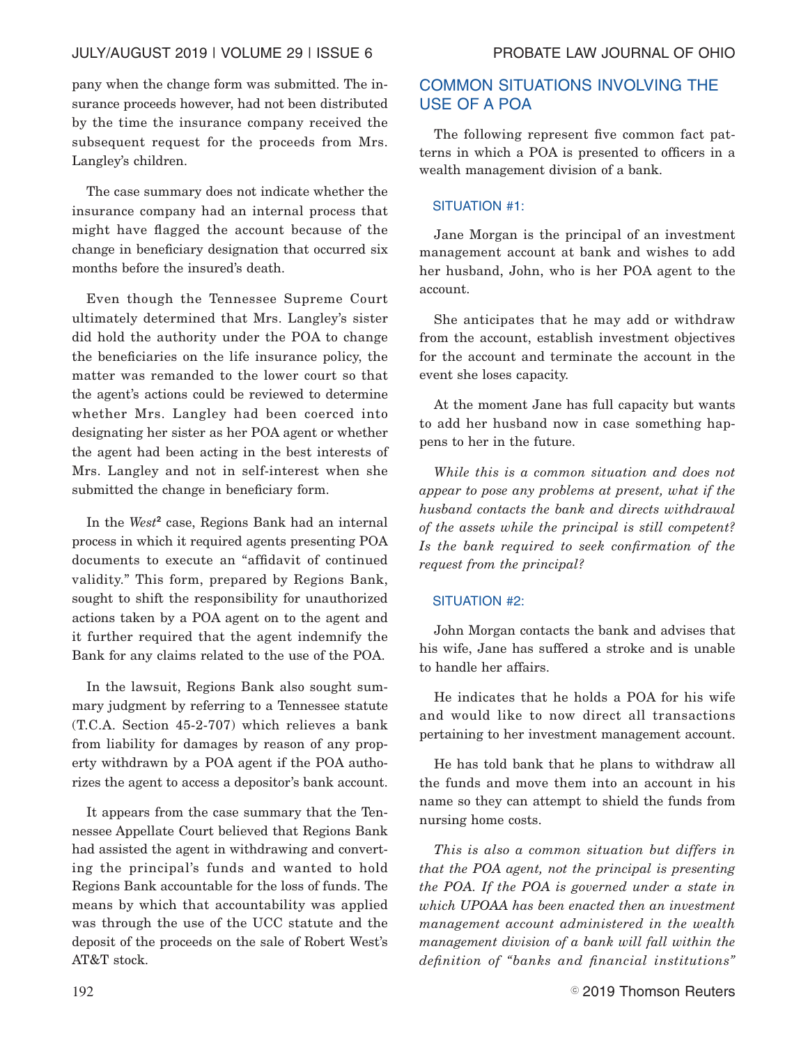# JULY/AUGUST 2019 | VOLUME 29 | ISSUE 6 PROBATE LAW JOURNAL OF OHIO

pany when the change form was submitted. The insurance proceeds however, had not been distributed by the time the insurance company received the subsequent request for the proceeds from Mrs. Langley's children.

The case summary does not indicate whether the insurance company had an internal process that might have flagged the account because of the change in beneficiary designation that occurred six months before the insured's death.

Even though the Tennessee Supreme Court ultimately determined that Mrs. Langley's sister did hold the authority under the POA to change the beneficiaries on the life insurance policy, the matter was remanded to the lower court so that the agent's actions could be reviewed to determine whether Mrs. Langley had been coerced into designating her sister as her POA agent or whether the agent had been acting in the best interests of Mrs. Langley and not in self-interest when she submitted the change in beneficiary form.

In the *West***<sup>2</sup>** case, Regions Bank had an internal process in which it required agents presenting POA documents to execute an "affidavit of continued validity." This form, prepared by Regions Bank, sought to shift the responsibility for unauthorized actions taken by a POA agent on to the agent and it further required that the agent indemnify the Bank for any claims related to the use of the POA.

In the lawsuit, Regions Bank also sought summary judgment by referring to a Tennessee statute (T.C.A. Section 45-2-707) which relieves a bank from liability for damages by reason of any property withdrawn by a POA agent if the POA authorizes the agent to access a depositor's bank account.

It appears from the case summary that the Tennessee Appellate Court believed that Regions Bank had assisted the agent in withdrawing and converting the principal's funds and wanted to hold Regions Bank accountable for the loss of funds. The means by which that accountability was applied was through the use of the UCC statute and the deposit of the proceeds on the sale of Robert West's AT&T stock.

# COMMON SITUATIONS INVOLVING THE USE OF A POA

The following represent five common fact patterns in which a POA is presented to officers in a wealth management division of a bank.

### SITUATION #1:

Jane Morgan is the principal of an investment management account at bank and wishes to add her husband, John, who is her POA agent to the account.

She anticipates that he may add or withdraw from the account, establish investment objectives for the account and terminate the account in the event she loses capacity.

At the moment Jane has full capacity but wants to add her husband now in case something happens to her in the future.

*While this is a common situation and does not appear to pose any problems at present, what if the husband contacts the bank and directs withdrawal of the assets while the principal is still competent? Is the bank required to seek confirmation of the request from the principal?*

### SITUATION #2:

John Morgan contacts the bank and advises that his wife, Jane has suffered a stroke and is unable to handle her affairs.

He indicates that he holds a POA for his wife and would like to now direct all transactions pertaining to her investment management account.

He has told bank that he plans to withdraw all the funds and move them into an account in his name so they can attempt to shield the funds from nursing home costs.

*This is also a common situation but differs in that the POA agent, not the principal is presenting the POA. If the POA is governed under a state in which UPOAA has been enacted then an investment management account administered in the wealth management division of a bank will fall within the definition of "banks and financial institutions"*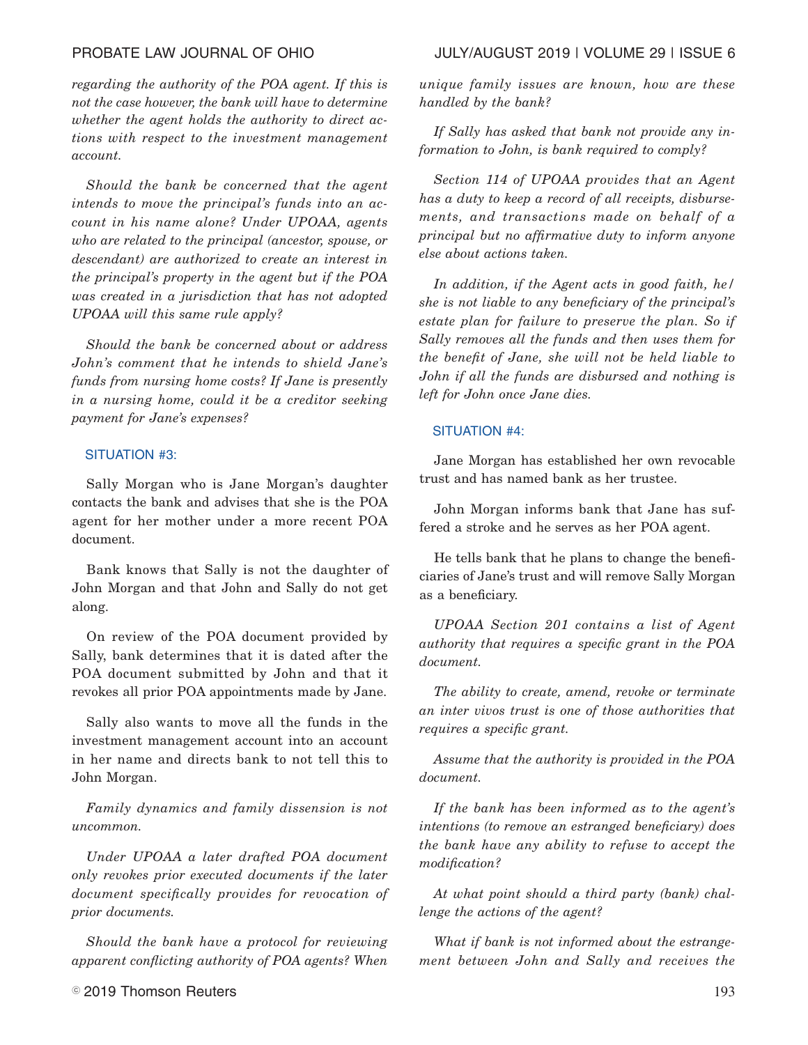*regarding the authority of the POA agent. If this is not the case however, the bank will have to determine whether the agent holds the authority to direct actions with respect to the investment management account.*

*Should the bank be concerned that the agent intends to move the principal's funds into an account in his name alone? Under UPOAA, agents who are related to the principal (ancestor, spouse, or descendant) are authorized to create an interest in the principal's property in the agent but if the POA was created in a jurisdiction that has not adopted UPOAA will this same rule apply?*

*Should the bank be concerned about or address John's comment that he intends to shield Jane's funds from nursing home costs? If Jane is presently in a nursing home, could it be a creditor seeking payment for Jane's expenses?*

### SITUATION #3:

Sally Morgan who is Jane Morgan's daughter contacts the bank and advises that she is the POA agent for her mother under a more recent POA document.

Bank knows that Sally is not the daughter of John Morgan and that John and Sally do not get along.

On review of the POA document provided by Sally, bank determines that it is dated after the POA document submitted by John and that it revokes all prior POA appointments made by Jane.

Sally also wants to move all the funds in the investment management account into an account in her name and directs bank to not tell this to John Morgan.

*Family dynamics and family dissension is not uncommon.*

*Under UPOAA a later drafted POA document only revokes prior executed documents if the later document specifically provides for revocation of prior documents.*

*Should the bank have a protocol for reviewing apparent conflicting authority of POA agents? When*

# $\degree$  2019 Thomson Reuters  $^{193}$

*unique family issues are known, how are these handled by the bank?*

*If Sally has asked that bank not provide any information to John, is bank required to comply?*

*Section 114 of UPOAA provides that an Agent has a duty to keep a record of all receipts, disbursements, and transactions made on behalf of a principal but no affirmative duty to inform anyone else about actions taken.*

*In addition, if the Agent acts in good faith, he/ she is not liable to any beneficiary of the principal's estate plan for failure to preserve the plan. So if Sally removes all the funds and then uses them for the benefit of Jane, she will not be held liable to John if all the funds are disbursed and nothing is left for John once Jane dies.*

### SITUATION #4:

Jane Morgan has established her own revocable trust and has named bank as her trustee.

John Morgan informs bank that Jane has suffered a stroke and he serves as her POA agent.

He tells bank that he plans to change the beneficiaries of Jane's trust and will remove Sally Morgan as a beneficiary.

*UPOAA Section 201 contains a list of Agent authority that requires a specific grant in the POA document.*

*The ability to create, amend, revoke or terminate an inter vivos trust is one of those authorities that requires a specific grant.*

*Assume that the authority is provided in the POA document.*

*If the bank has been informed as to the agent's intentions (to remove an estranged beneficiary) does the bank have any ability to refuse to accept the modification?*

*At what point should a third party (bank) challenge the actions of the agent?*

*What if bank is not informed about the estrangement between John and Sally and receives the*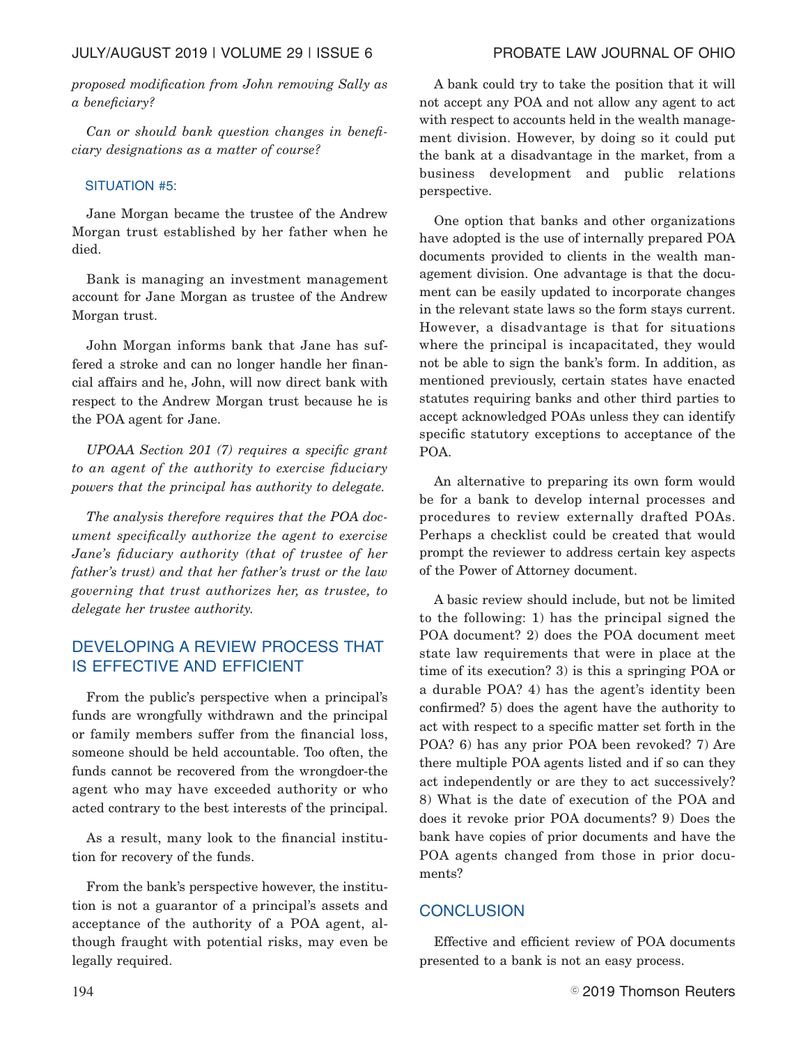*proposed modification from John removing Sally as a beneficiary?*

*Can or should bank question changes in beneficiary designations as a matter of course?*

### SITUATION #5:

Jane Morgan became the trustee of the Andrew Morgan trust established by her father when he died.

Bank is managing an investment management account for Jane Morgan as trustee of the Andrew Morgan trust.

John Morgan informs bank that Jane has suffered a stroke and can no longer handle her financial affairs and he, John, will now direct bank with respect to the Andrew Morgan trust because he is the POA agent for Jane.

*UPOAA Section 201 (7) requires a specific grant to an agent of the authority to exercise fiduciary powers that the principal has authority to delegate.*

*The analysis therefore requires that the POA document specifically authorize the agent to exercise Jane's fiduciary authority (that of trustee of her father's trust) and that her father's trust or the law governing that trust authorizes her, as trustee, to delegate her trustee authority.*

# DEVELOPING A REVIEW PROCESS THAT IS EFFECTIVE AND EFFICIENT

From the public's perspective when a principal's funds are wrongfully withdrawn and the principal or family members suffer from the financial loss, someone should be held accountable. Too often, the funds cannot be recovered from the wrongdoer-the agent who may have exceeded authority or who acted contrary to the best interests of the principal.

As a result, many look to the financial institution for recovery of the funds.

From the bank's perspective however, the institution is not a guarantor of a principal's assets and acceptance of the authority of a POA agent, although fraught with potential risks, may even be legally required.

A bank could try to take the position that it will not accept any POA and not allow any agent to act with respect to accounts held in the wealth management division. However, by doing so it could put the bank at a disadvantage in the market, from a business development and public relations perspective.

One option that banks and other organizations have adopted is the use of internally prepared POA documents provided to clients in the wealth management division. One advantage is that the document can be easily updated to incorporate changes in the relevant state laws so the form stays current. However, a disadvantage is that for situations where the principal is incapacitated, they would not be able to sign the bank's form. In addition, as mentioned previously, certain states have enacted statutes requiring banks and other third parties to accept acknowledged POAs unless they can identify specific statutory exceptions to acceptance of the POA.

An alternative to preparing its own form would be for a bank to develop internal processes and procedures to review externally drafted POAs. Perhaps a checklist could be created that would prompt the reviewer to address certain key aspects of the Power of Attorney document.

A basic review should include, but not be limited to the following: 1) has the principal signed the POA document? 2) does the POA document meet state law requirements that were in place at the time of its execution? 3) is this a springing POA or a durable POA? 4) has the agent's identity been confirmed? 5) does the agent have the authority to act with respect to a specific matter set forth in the POA? 6) has any prior POA been revoked? 7) Are there multiple POA agents listed and if so can they act independently or are they to act successively? 8) What is the date of execution of the POA and does it revoke prior POA documents? 9) Does the bank have copies of prior documents and have the POA agents changed from those in prior documents?

# **CONCLUSION**

Effective and efficient review of POA documents presented to a bank is not an easy process.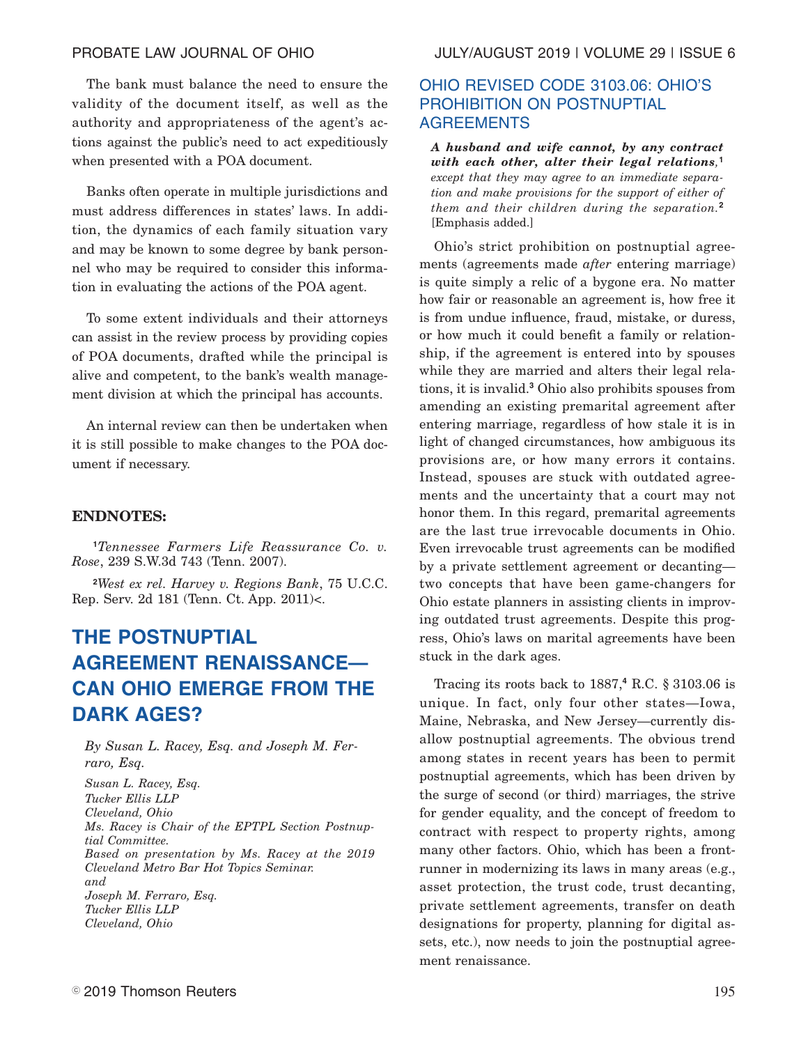The bank must balance the need to ensure the validity of the document itself, as well as the authority and appropriateness of the agent's actions against the public's need to act expeditiously when presented with a POA document.

Banks often operate in multiple jurisdictions and must address differences in states' laws. In addition, the dynamics of each family situation vary and may be known to some degree by bank personnel who may be required to consider this information in evaluating the actions of the POA agent.

To some extent individuals and their attorneys can assist in the review process by providing copies of POA documents, drafted while the principal is alive and competent, to the bank's wealth management division at which the principal has accounts.

An internal review can then be undertaken when it is still possible to make changes to the POA document if necessary.

### **ENDNOTES:**

**<sup>1</sup>***Tennessee Farmers Life Reassurance Co. v. Rose*, 239 S.W.3d 743 (Tenn. 2007).

**<sup>2</sup>***West ex rel. Harvey v. Regions Bank*, 75 U.C.C. Rep. Serv. 2d 181 (Tenn. Ct. App. 2011)<.

# **THE POSTNUPTIAL AGREEMENT RENAISSANCE— CAN OHIO EMERGE FROM THE DARK AGES?**

*By Susan L. Racey, Esq. and Joseph M. Ferraro, Esq.*

*Susan L. Racey, Esq. Tucker Ellis LLP Cleveland, Ohio Ms. Racey is Chair of the EPTPL Section Postnuptial Committee. Based on presentation by Ms. Racey at the 2019 Cleveland Metro Bar Hot Topics Seminar. and Joseph M. Ferraro, Esq. Tucker Ellis LLP Cleveland, Ohio*

# OHIO REVISED CODE 3103.06: OHIO'S PROHIBITION ON POSTNUPTIAL AGREEMENTS

*A husband and wife cannot, by any contract with each other, alter their legal relations,* **1** *except that they may agree to an immediate separation and make provisions for the support of either of them and their children during the separation.***<sup>2</sup>** [Emphasis added.]

Ohio's strict prohibition on postnuptial agreements (agreements made *after* entering marriage) is quite simply a relic of a bygone era. No matter how fair or reasonable an agreement is, how free it is from undue influence, fraud, mistake, or duress, or how much it could benefit a family or relationship, if the agreement is entered into by spouses while they are married and alters their legal relations, it is invalid.**<sup>3</sup>** Ohio also prohibits spouses from amending an existing premarital agreement after entering marriage, regardless of how stale it is in light of changed circumstances, how ambiguous its provisions are, or how many errors it contains. Instead, spouses are stuck with outdated agreements and the uncertainty that a court may not honor them. In this regard, premarital agreements are the last true irrevocable documents in Ohio. Even irrevocable trust agreements can be modified by a private settlement agreement or decanting two concepts that have been game-changers for Ohio estate planners in assisting clients in improving outdated trust agreements. Despite this progress, Ohio's laws on marital agreements have been stuck in the dark ages.

Tracing its roots back to 1887,**<sup>4</sup>** R.C. § 3103.06 is unique. In fact, only four other states—Iowa, Maine, Nebraska, and New Jersey—currently disallow postnuptial agreements. The obvious trend among states in recent years has been to permit postnuptial agreements, which has been driven by the surge of second (or third) marriages, the strive for gender equality, and the concept of freedom to contract with respect to property rights, among many other factors. Ohio, which has been a frontrunner in modernizing its laws in many areas (e.g., asset protection, the trust code, trust decanting, private settlement agreements, transfer on death designations for property, planning for digital assets, etc.), now needs to join the postnuptial agreement renaissance.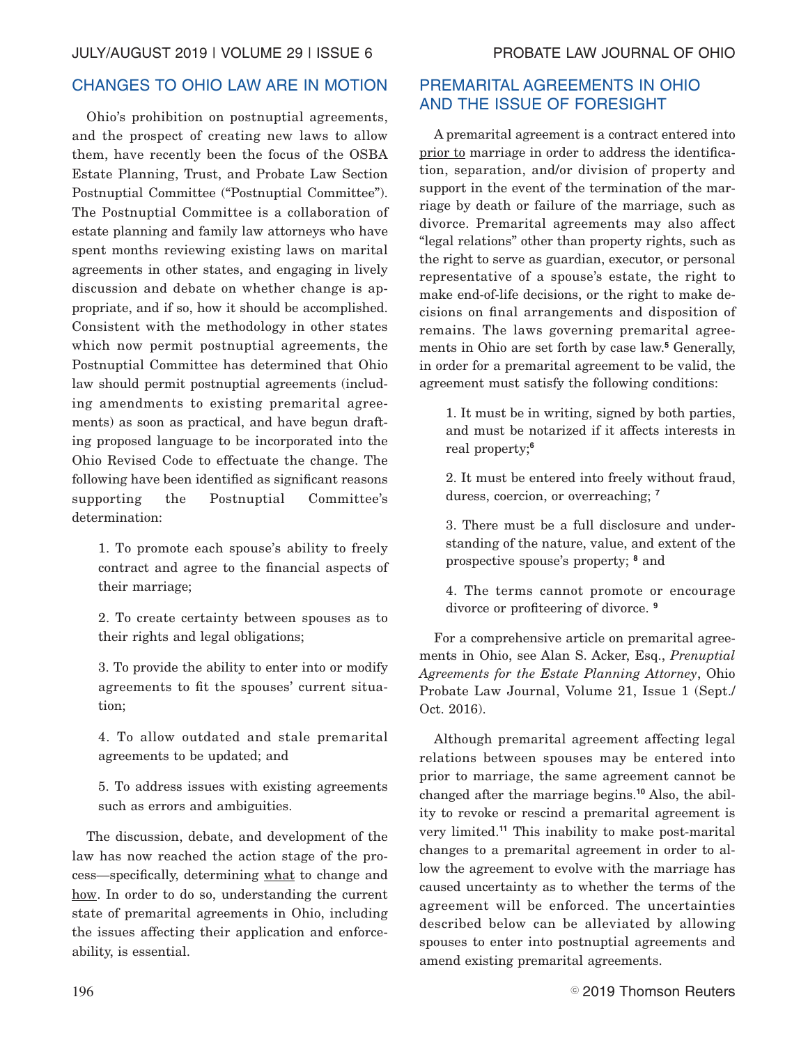# CHANGES TO OHIO LAW ARE IN MOTION

Ohio's prohibition on postnuptial agreements, and the prospect of creating new laws to allow them, have recently been the focus of the OSBA Estate Planning, Trust, and Probate Law Section Postnuptial Committee ("Postnuptial Committee"). The Postnuptial Committee is a collaboration of estate planning and family law attorneys who have spent months reviewing existing laws on marital agreements in other states, and engaging in lively discussion and debate on whether change is appropriate, and if so, how it should be accomplished. Consistent with the methodology in other states which now permit postnuptial agreements, the Postnuptial Committee has determined that Ohio law should permit postnuptial agreements (including amendments to existing premarital agreements) as soon as practical, and have begun drafting proposed language to be incorporated into the Ohio Revised Code to effectuate the change. The following have been identified as significant reasons supporting the Postnuptial Committee's determination:

1. To promote each spouse's ability to freely contract and agree to the financial aspects of their marriage;

2. To create certainty between spouses as to their rights and legal obligations;

3. To provide the ability to enter into or modify agreements to fit the spouses' current situation;

4. To allow outdated and stale premarital agreements to be updated; and

5. To address issues with existing agreements such as errors and ambiguities.

The discussion, debate, and development of the law has now reached the action stage of the process—specifically, determining what to change and how. In order to do so, understanding the current state of premarital agreements in Ohio, including the issues affecting their application and enforceability, is essential.

# PREMARITAL AGREEMENTS IN OHIO AND THE ISSUE OF FORESIGHT

A premarital agreement is a contract entered into prior to marriage in order to address the identification, separation, and/or division of property and support in the event of the termination of the marriage by death or failure of the marriage, such as divorce. Premarital agreements may also affect "legal relations" other than property rights, such as the right to serve as guardian, executor, or personal representative of a spouse's estate, the right to make end-of-life decisions, or the right to make decisions on final arrangements and disposition of remains. The laws governing premarital agreements in Ohio are set forth by case law.**<sup>5</sup>** Generally, in order for a premarital agreement to be valid, the agreement must satisfy the following conditions:

1. It must be in writing, signed by both parties, and must be notarized if it affects interests in real property;**<sup>6</sup>**

2. It must be entered into freely without fraud, duress, coercion, or overreaching; **<sup>7</sup>**

3. There must be a full disclosure and understanding of the nature, value, and extent of the prospective spouse's property; **<sup>8</sup>** and

4. The terms cannot promote or encourage divorce or profiteering of divorce. **<sup>9</sup>**

For a comprehensive article on premarital agreements in Ohio, see Alan S. Acker, Esq., *Prenuptial Agreements for the Estate Planning Attorney*, Ohio Probate Law Journal, Volume 21, Issue 1 (Sept./ Oct. 2016).

Although premarital agreement affecting legal relations between spouses may be entered into prior to marriage, the same agreement cannot be changed after the marriage begins.**<sup>10</sup>** Also, the ability to revoke or rescind a premarital agreement is very limited.**<sup>11</sup>** This inability to make post-marital changes to a premarital agreement in order to allow the agreement to evolve with the marriage has caused uncertainty as to whether the terms of the agreement will be enforced. The uncertainties described below can be alleviated by allowing spouses to enter into postnuptial agreements and amend existing premarital agreements.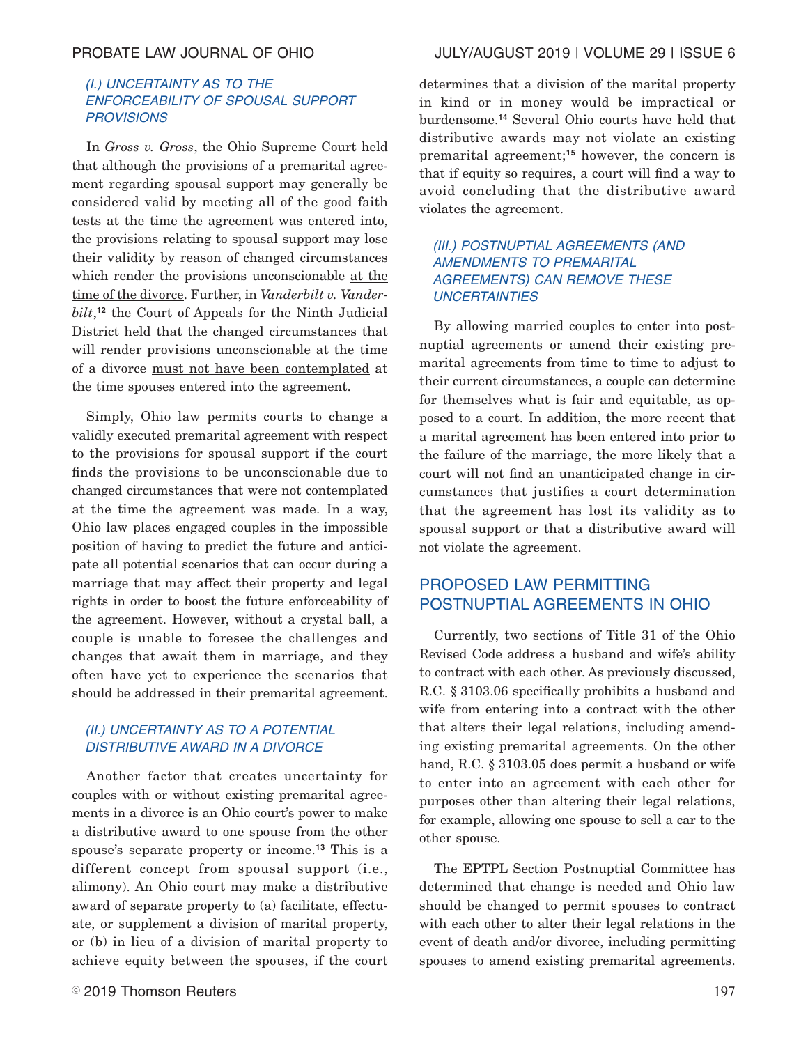# (I.) UNCERTAINTY AS TO THE ENFORCEABILITY OF SPOUSAL SUPPORT **PROVISIONS**

In *Gross v. Gross*, the Ohio Supreme Court held that although the provisions of a premarital agreement regarding spousal support may generally be considered valid by meeting all of the good faith tests at the time the agreement was entered into, the provisions relating to spousal support may lose their validity by reason of changed circumstances which render the provisions unconscionable at the time of the divorce. Further, in *Vanderbilt v. Vanderbilt*, **<sup>12</sup>** the Court of Appeals for the Ninth Judicial District held that the changed circumstances that will render provisions unconscionable at the time of a divorce must not have been contemplated at the time spouses entered into the agreement.

Simply, Ohio law permits courts to change a validly executed premarital agreement with respect to the provisions for spousal support if the court finds the provisions to be unconscionable due to changed circumstances that were not contemplated at the time the agreement was made. In a way, Ohio law places engaged couples in the impossible position of having to predict the future and anticipate all potential scenarios that can occur during a marriage that may affect their property and legal rights in order to boost the future enforceability of the agreement. However, without a crystal ball, a couple is unable to foresee the challenges and changes that await them in marriage, and they often have yet to experience the scenarios that should be addressed in their premarital agreement.

## (II.) UNCERTAINTY AS TO A POTENTIAL DISTRIBUTIVE AWARD IN A DIVORCE

Another factor that creates uncertainty for couples with or without existing premarital agreements in a divorce is an Ohio court's power to make a distributive award to one spouse from the other spouse's separate property or income.**<sup>13</sup>** This is a different concept from spousal support (i.e., alimony). An Ohio court may make a distributive award of separate property to (a) facilitate, effectuate, or supplement a division of marital property, or (b) in lieu of a division of marital property to achieve equity between the spouses, if the court

determines that a division of the marital property in kind or in money would be impractical or burdensome.**<sup>14</sup>** Several Ohio courts have held that distributive awards may not violate an existing premarital agreement;**<sup>15</sup>** however, the concern is that if equity so requires, a court will find a way to avoid concluding that the distributive award violates the agreement.

# (III.) POSTNUPTIAL AGREEMENTS (AND AMENDMENTS TO PREMARITAL AGREEMENTS) CAN REMOVE THESE **UNCERTAINTIES**

By allowing married couples to enter into postnuptial agreements or amend their existing premarital agreements from time to time to adjust to their current circumstances, a couple can determine for themselves what is fair and equitable, as opposed to a court. In addition, the more recent that a marital agreement has been entered into prior to the failure of the marriage, the more likely that a court will not find an unanticipated change in circumstances that justifies a court determination that the agreement has lost its validity as to spousal support or that a distributive award will not violate the agreement.

# PROPOSED LAW PERMITTING POSTNUPTIAL AGREEMENTS IN OHIO

Currently, two sections of Title 31 of the Ohio Revised Code address a husband and wife's ability to contract with each other. As previously discussed, R.C. § 3103.06 specifically prohibits a husband and wife from entering into a contract with the other that alters their legal relations, including amending existing premarital agreements. On the other hand, R.C. § 3103.05 does permit a husband or wife to enter into an agreement with each other for purposes other than altering their legal relations, for example, allowing one spouse to sell a car to the other spouse.

The EPTPL Section Postnuptial Committee has determined that change is needed and Ohio law should be changed to permit spouses to contract with each other to alter their legal relations in the event of death and/or divorce, including permitting spouses to amend existing premarital agreements.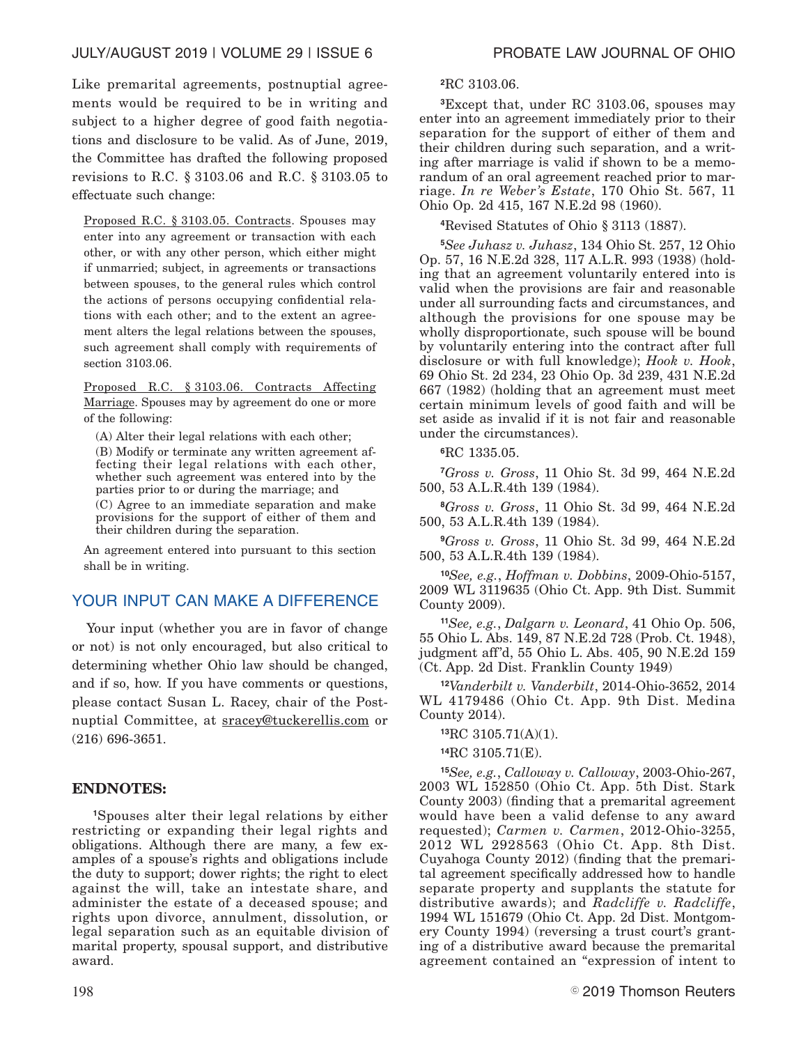Like premarital agreements, postnuptial agreements would be required to be in writing and subject to a higher degree of good faith negotiations and disclosure to be valid. As of June, 2019, the Committee has drafted the following proposed revisions to R.C. § 3103.06 and R.C. § 3103.05 to effectuate such change:

Proposed R.C. § 3103.05. Contracts. Spouses may enter into any agreement or transaction with each other, or with any other person, which either might if unmarried; subject, in agreements or transactions between spouses, to the general rules which control the actions of persons occupying confidential relations with each other; and to the extent an agreement alters the legal relations between the spouses, such agreement shall comply with requirements of section 3103.06.

Proposed R.C. § 3103.06. Contracts Affecting Marriage. Spouses may by agreement do one or more of the following:

(A) Alter their legal relations with each other; (B) Modify or terminate any written agreement affecting their legal relations with each other, whether such agreement was entered into by the parties prior to or during the marriage; and (C) Agree to an immediate separation and make

provisions for the support of either of them and their children during the separation.

An agreement entered into pursuant to this section shall be in writing.

# YOUR INPUT CAN MAKE A DIFFERENCE

Your input (whether you are in favor of change or not) is not only encouraged, but also critical to determining whether Ohio law should be changed, and if so, how. If you have comments or questions, please contact Susan L. Racey, chair of the Postnuptial Committee, at sracey@tuckerellis.com or (216) 696-3651.

# **ENDNOTES:**

**<sup>1</sup>**Spouses alter their legal relations by either restricting or expanding their legal rights and obligations. Although there are many, a few examples of a spouse's rights and obligations include the duty to support; dower rights; the right to elect against the will, take an intestate share, and administer the estate of a deceased spouse; and rights upon divorce, annulment, dissolution, or legal separation such as an equitable division of marital property, spousal support, and distributive award.

### **<sup>2</sup>**RC 3103.06.

**<sup>3</sup>**Except that, under RC 3103.06, spouses may enter into an agreement immediately prior to their separation for the support of either of them and their children during such separation, and a writing after marriage is valid if shown to be a memorandum of an oral agreement reached prior to marriage. *In re Weber's Estate*, 170 Ohio St. 567, 11 Ohio Op. 2d 415, 167 N.E.2d 98 (1960).

**<sup>4</sup>**Revised Statutes of Ohio § 3113 (1887).

**<sup>5</sup>***See Juhasz v. Juhasz*, 134 Ohio St. 257, 12 Ohio Op. 57, 16 N.E.2d 328, 117 A.L.R. 993 (1938) (holding that an agreement voluntarily entered into is valid when the provisions are fair and reasonable under all surrounding facts and circumstances, and although the provisions for one spouse may be wholly disproportionate, such spouse will be bound by voluntarily entering into the contract after full disclosure or with full knowledge); *Hook v. Hook*, 69 Ohio St. 2d 234, 23 Ohio Op. 3d 239, 431 N.E.2d 667 (1982) (holding that an agreement must meet certain minimum levels of good faith and will be set aside as invalid if it is not fair and reasonable under the circumstances).

**<sup>6</sup>**RC 1335.05.

**<sup>7</sup>***Gross v. Gross*, 11 Ohio St. 3d 99, 464 N.E.2d 500, 53 A.L.R.4th 139 (1984).

**<sup>8</sup>***Gross v. Gross*, 11 Ohio St. 3d 99, 464 N.E.2d 500, 53 A.L.R.4th 139 (1984).

**<sup>9</sup>***Gross v. Gross*, 11 Ohio St. 3d 99, 464 N.E.2d 500, 53 A.L.R.4th 139 (1984).

**<sup>10</sup>***See, e.g.*, *Hoffman v. Dobbins*, 2009-Ohio-5157, 2009 WL 3119635 (Ohio Ct. App. 9th Dist. Summit County 2009).

**<sup>11</sup>***See, e.g.*, *Dalgarn v. Leonard*, 41 Ohio Op. 506, 55 Ohio L. Abs. 149, 87 N.E.2d 728 (Prob. Ct. 1948), judgment aff'd, 55 Ohio L. Abs. 405, 90 N.E.2d 159 (Ct. App. 2d Dist. Franklin County 1949)

**<sup>12</sup>***Vanderbilt v. Vanderbilt*, 2014-Ohio-3652, 2014 WL 4179486 (Ohio Ct. App. 9th Dist. Medina County 2014).

**<sup>13</sup>**RC 3105.71(A)(1).

**<sup>14</sup>**RC 3105.71(E).

**<sup>15</sup>***See, e.g.*, *Calloway v. Calloway*, 2003-Ohio-267, 2003 WL 152850 (Ohio Ct. App. 5th Dist. Stark County 2003) (finding that a premarital agreement would have been a valid defense to any award requested); *Carmen v. Carmen*, 2012-Ohio-3255, 2012 WL 2928563 (Ohio Ct. App. 8th Dist. Cuyahoga County 2012) (finding that the premarital agreement specifically addressed how to handle separate property and supplants the statute for distributive awards); and *Radcliffe v. Radcliffe*, 1994 WL 151679 (Ohio Ct. App. 2d Dist. Montgomery County 1994) (reversing a trust court's granting of a distributive award because the premarital agreement contained an "expression of intent to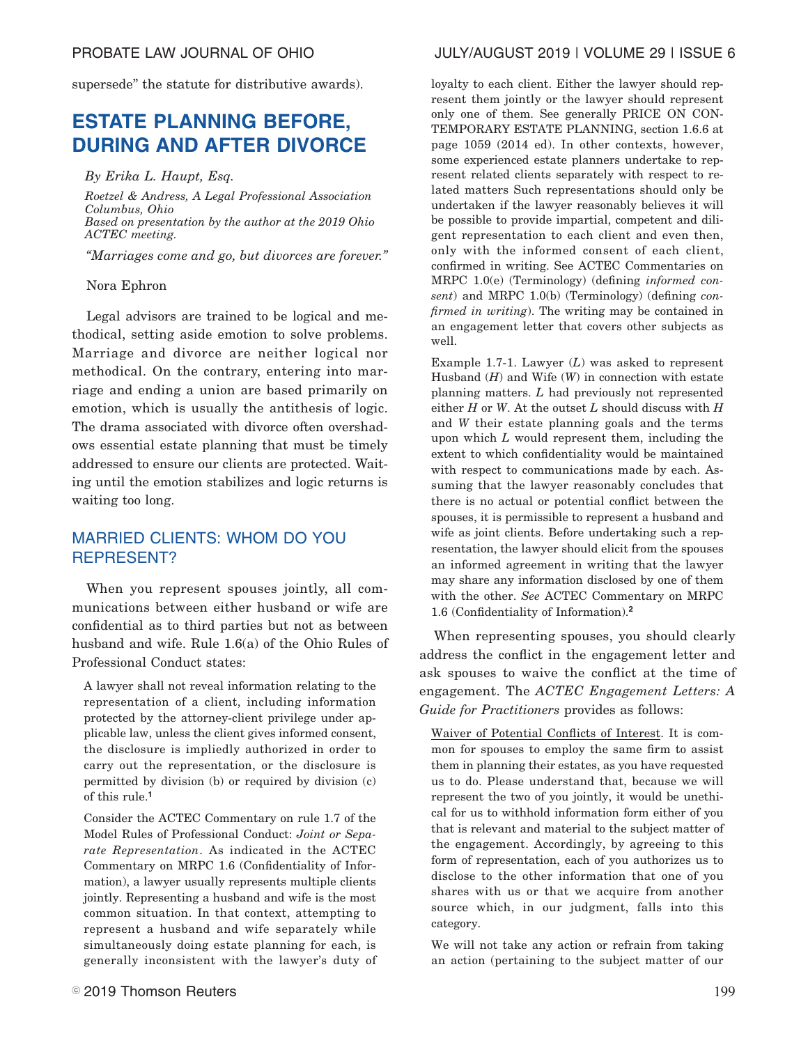supersede" the statute for distributive awards).

# **ESTATE PLANNING BEFORE, DURING AND AFTER DIVORCE**

*By Erika L. Haupt, Esq.*

*Roetzel & Andress, A Legal Professional Association Columbus, Ohio Based on presentation by the author at the 2019 Ohio ACTEC meeting.*

*"Marriages come and go, but divorces are forever."*

## Nora Ephron

Legal advisors are trained to be logical and methodical, setting aside emotion to solve problems. Marriage and divorce are neither logical nor methodical. On the contrary, entering into marriage and ending a union are based primarily on emotion, which is usually the antithesis of logic. The drama associated with divorce often overshadows essential estate planning that must be timely addressed to ensure our clients are protected. Waiting until the emotion stabilizes and logic returns is waiting too long.

# MARRIED CLIENTS: WHOM DO YOU REPRESENT?

When you represent spouses jointly, all communications between either husband or wife are confidential as to third parties but not as between husband and wife. Rule 1.6(a) of the Ohio Rules of Professional Conduct states:

A lawyer shall not reveal information relating to the representation of a client, including information protected by the attorney-client privilege under applicable law, unless the client gives informed consent, the disclosure is impliedly authorized in order to carry out the representation, or the disclosure is permitted by division (b) or required by division (c) of this rule.**<sup>1</sup>**

Consider the ACTEC Commentary on rule 1.7 of the Model Rules of Professional Conduct: *Joint or Separate Representation*. As indicated in the ACTEC Commentary on MRPC 1.6 (Confidentiality of Information), a lawyer usually represents multiple clients jointly. Representing a husband and wife is the most common situation. In that context, attempting to represent a husband and wife separately while simultaneously doing estate planning for each, is generally inconsistent with the lawyer's duty of loyalty to each client. Either the lawyer should represent them jointly or the lawyer should represent only one of them. See generally PRICE ON CON-TEMPORARY ESTATE PLANNING, section 1.6.6 at page 1059 (2014 ed). In other contexts, however, some experienced estate planners undertake to represent related clients separately with respect to related matters Such representations should only be undertaken if the lawyer reasonably believes it will be possible to provide impartial, competent and diligent representation to each client and even then, only with the informed consent of each client, confirmed in writing. See ACTEC Commentaries on MRPC 1.0(e) (Terminology) (defining *informed consent*) and MRPC 1.0(b) (Terminology) (defining *confirmed in writing*). The writing may be contained in an engagement letter that covers other subjects as well.

Example 1.7-1. Lawyer (*L*) was asked to represent Husband (*H*) and Wife (*W*) in connection with estate planning matters. *L* had previously not represented either *H* or *W*. At the outset *L* should discuss with *H* and *W* their estate planning goals and the terms upon which *L* would represent them, including the extent to which confidentiality would be maintained with respect to communications made by each. Assuming that the lawyer reasonably concludes that there is no actual or potential conflict between the spouses, it is permissible to represent a husband and wife as joint clients. Before undertaking such a representation, the lawyer should elicit from the spouses an informed agreement in writing that the lawyer may share any information disclosed by one of them with the other. *See* ACTEC Commentary on MRPC 1.6 (Confidentiality of Information).**<sup>2</sup>**

When representing spouses, you should clearly address the conflict in the engagement letter and ask spouses to waive the conflict at the time of engagement. The *ACTEC Engagement Letters: A Guide for Practitioners* provides as follows:

Waiver of Potential Conflicts of Interest. It is common for spouses to employ the same firm to assist them in planning their estates, as you have requested us to do. Please understand that, because we will represent the two of you jointly, it would be unethical for us to withhold information form either of you that is relevant and material to the subject matter of the engagement. Accordingly, by agreeing to this form of representation, each of you authorizes us to disclose to the other information that one of you shares with us or that we acquire from another source which, in our judgment, falls into this category.

We will not take any action or refrain from taking an action (pertaining to the subject matter of our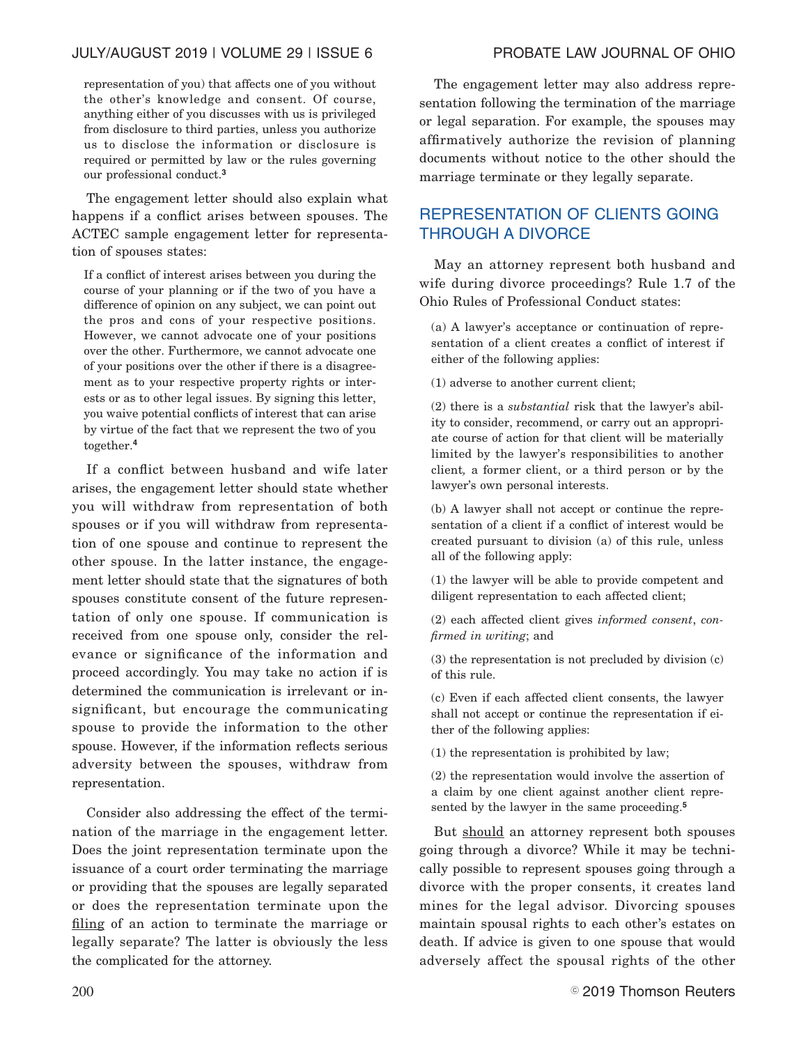representation of you) that affects one of you without the other's knowledge and consent. Of course, anything either of you discusses with us is privileged from disclosure to third parties, unless you authorize us to disclose the information or disclosure is required or permitted by law or the rules governing our professional conduct.**<sup>3</sup>**

The engagement letter should also explain what happens if a conflict arises between spouses. The ACTEC sample engagement letter for representation of spouses states:

If a conflict of interest arises between you during the course of your planning or if the two of you have a difference of opinion on any subject, we can point out the pros and cons of your respective positions. However, we cannot advocate one of your positions over the other. Furthermore, we cannot advocate one of your positions over the other if there is a disagreement as to your respective property rights or interests or as to other legal issues. By signing this letter, you waive potential conflicts of interest that can arise by virtue of the fact that we represent the two of you together.**<sup>4</sup>**

If a conflict between husband and wife later arises, the engagement letter should state whether you will withdraw from representation of both spouses or if you will withdraw from representation of one spouse and continue to represent the other spouse. In the latter instance, the engagement letter should state that the signatures of both spouses constitute consent of the future representation of only one spouse. If communication is received from one spouse only, consider the relevance or significance of the information and proceed accordingly. You may take no action if is determined the communication is irrelevant or insignificant, but encourage the communicating spouse to provide the information to the other spouse. However, if the information reflects serious adversity between the spouses, withdraw from representation.

Consider also addressing the effect of the termination of the marriage in the engagement letter. Does the joint representation terminate upon the issuance of a court order terminating the marriage or providing that the spouses are legally separated or does the representation terminate upon the filing of an action to terminate the marriage or legally separate? The latter is obviously the less the complicated for the attorney.

The engagement letter may also address representation following the termination of the marriage or legal separation. For example, the spouses may affirmatively authorize the revision of planning documents without notice to the other should the marriage terminate or they legally separate.

# REPRESENTATION OF CLIENTS GOING THROUGH A DIVORCE

May an attorney represent both husband and wife during divorce proceedings? Rule 1.7 of the Ohio Rules of Professional Conduct states:

(a) A lawyer's acceptance or continuation of representation of a client creates a conflict of interest if either of the following applies:

(1) adverse to another current client;

(2) there is a *substantial* risk that the lawyer's ability to consider, recommend, or carry out an appropriate course of action for that client will be materially limited by the lawyer's responsibilities to another client*,* a former client, or a third person or by the lawyer's own personal interests.

(b) A lawyer shall not accept or continue the representation of a client if a conflict of interest would be created pursuant to division (a) of this rule, unless all of the following apply:

(1) the lawyer will be able to provide competent and diligent representation to each affected client;

(2) each affected client gives *informed consent*, *confirmed in writing*; and

(3) the representation is not precluded by division (c) of this rule.

(c) Even if each affected client consents, the lawyer shall not accept or continue the representation if either of the following applies:

(1) the representation is prohibited by law;

(2) the representation would involve the assertion of a claim by one client against another client represented by the lawyer in the same proceeding.**<sup>5</sup>**

But should an attorney represent both spouses going through a divorce? While it may be technically possible to represent spouses going through a divorce with the proper consents, it creates land mines for the legal advisor. Divorcing spouses maintain spousal rights to each other's estates on death. If advice is given to one spouse that would adversely affect the spousal rights of the other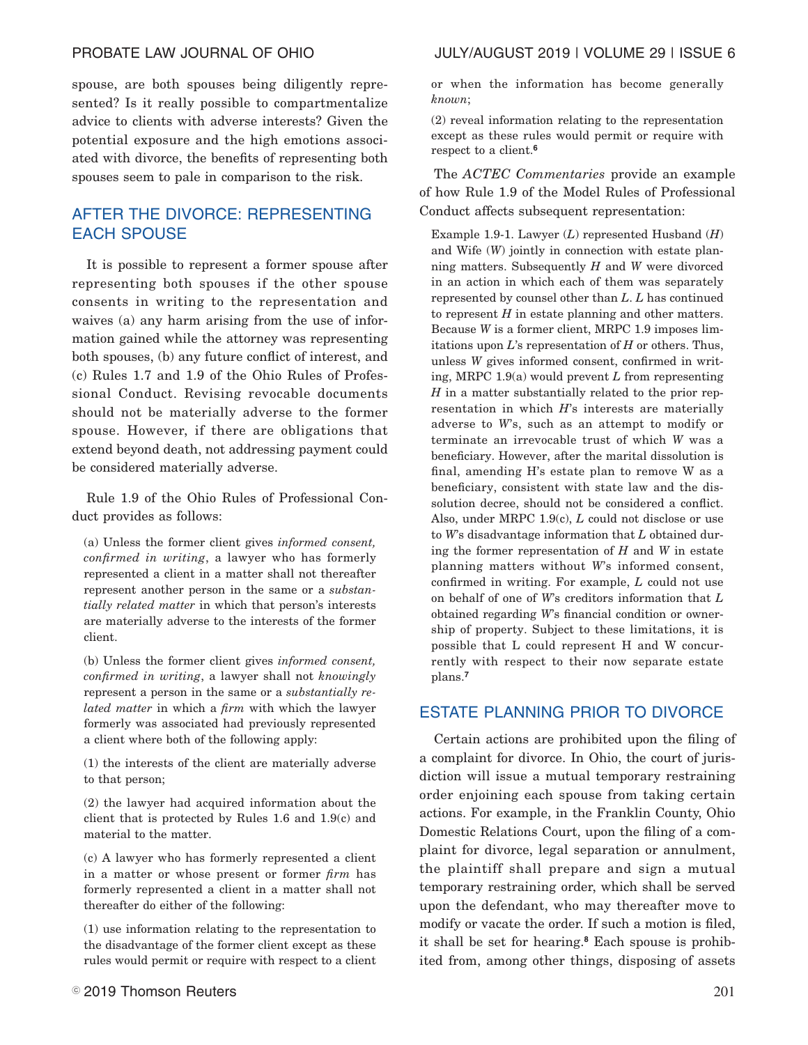spouse, are both spouses being diligently represented? Is it really possible to compartmentalize advice to clients with adverse interests? Given the potential exposure and the high emotions associated with divorce, the benefits of representing both spouses seem to pale in comparison to the risk.

# AFTER THE DIVORCE: REPRESENTING EACH SPOUSE

It is possible to represent a former spouse after representing both spouses if the other spouse consents in writing to the representation and waives (a) any harm arising from the use of information gained while the attorney was representing both spouses, (b) any future conflict of interest, and (c) Rules 1.7 and 1.9 of the Ohio Rules of Professional Conduct. Revising revocable documents should not be materially adverse to the former spouse. However, if there are obligations that extend beyond death, not addressing payment could be considered materially adverse.

Rule 1.9 of the Ohio Rules of Professional Conduct provides as follows:

(a) Unless the former client gives *informed consent, confirmed in writing*, a lawyer who has formerly represented a client in a matter shall not thereafter represent another person in the same or a *substantially related matter* in which that person's interests are materially adverse to the interests of the former client.

(b) Unless the former client gives *informed consent, confirmed in writing*, a lawyer shall not *knowingly* represent a person in the same or a *substantially related matter* in which a *firm* with which the lawyer formerly was associated had previously represented a client where both of the following apply:

(1) the interests of the client are materially adverse to that person;

(2) the lawyer had acquired information about the client that is protected by Rules 1.6 and 1.9(c) and material to the matter.

(c) A lawyer who has formerly represented a client in a matter or whose present or former *firm* has formerly represented a client in a matter shall not thereafter do either of the following:

(1) use information relating to the representation to the disadvantage of the former client except as these rules would permit or require with respect to a client or when the information has become generally *known*;

(2) reveal information relating to the representation except as these rules would permit or require with respect to a client.**<sup>6</sup>**

The *ACTEC Commentaries* provide an example of how Rule 1.9 of the Model Rules of Professional Conduct affects subsequent representation:

Example 1.9-1. Lawyer (*L*) represented Husband (*H*) and Wife (*W*) jointly in connection with estate planning matters. Subsequently *H* and *W* were divorced in an action in which each of them was separately represented by counsel other than *L*. *L* has continued to represent *H* in estate planning and other matters. Because *W* is a former client, MRPC 1.9 imposes limitations upon *L*'s representation of *H* or others. Thus, unless *W* gives informed consent, confirmed in writing, MRPC 1.9(a) would prevent *L* from representing *H* in a matter substantially related to the prior representation in which *H*'s interests are materially adverse to *W*'s, such as an attempt to modify or terminate an irrevocable trust of which *W* was a beneficiary. However, after the marital dissolution is final, amending H's estate plan to remove W as a beneficiary, consistent with state law and the dissolution decree, should not be considered a conflict. Also, under MRPC 1.9(c), *L* could not disclose or use to *W*'s disadvantage information that *L* obtained during the former representation of *H* and *W* in estate planning matters without *W*'s informed consent, confirmed in writing. For example, *L* could not use on behalf of one of *W*'s creditors information that *L* obtained regarding *W*'s financial condition or ownership of property. Subject to these limitations, it is possible that L could represent H and W concurrently with respect to their now separate estate plans.**<sup>7</sup>**

# ESTATE PLANNING PRIOR TO DIVORCE

Certain actions are prohibited upon the filing of a complaint for divorce. In Ohio, the court of jurisdiction will issue a mutual temporary restraining order enjoining each spouse from taking certain actions. For example, in the Franklin County, Ohio Domestic Relations Court, upon the filing of a complaint for divorce, legal separation or annulment, the plaintiff shall prepare and sign a mutual temporary restraining order, which shall be served upon the defendant, who may thereafter move to modify or vacate the order. If such a motion is filed, it shall be set for hearing.**<sup>8</sup>** Each spouse is prohibited from, among other things, disposing of assets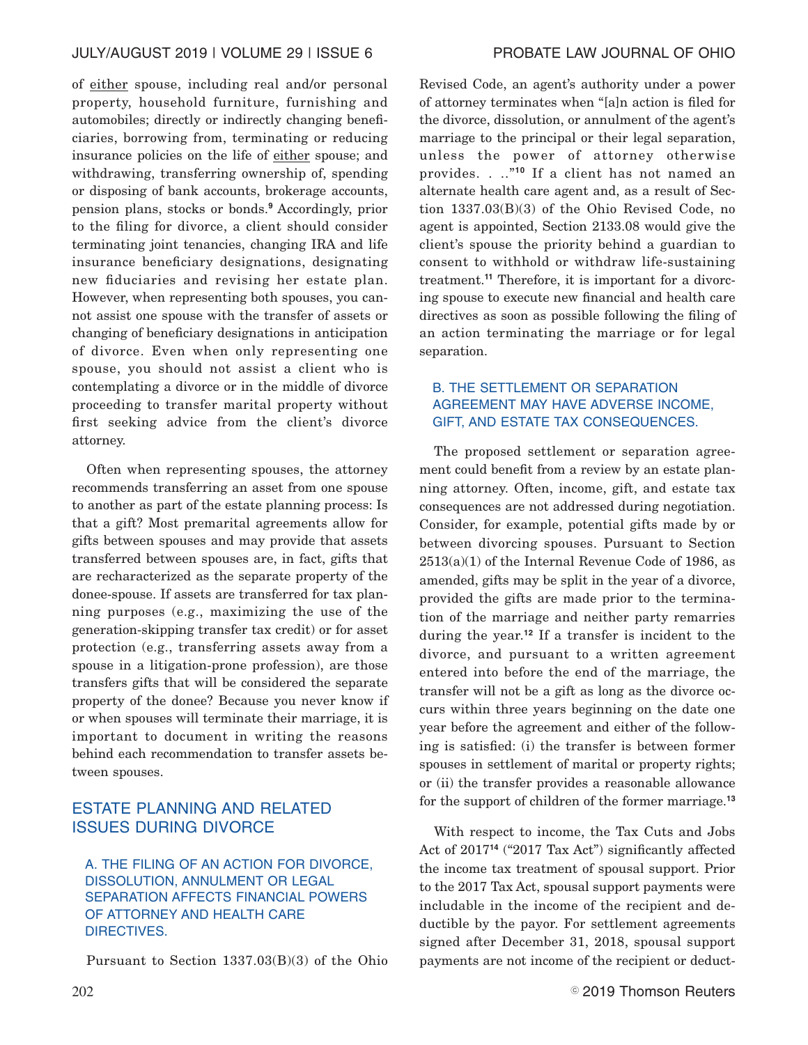of either spouse, including real and/or personal property, household furniture, furnishing and automobiles; directly or indirectly changing beneficiaries, borrowing from, terminating or reducing insurance policies on the life of either spouse; and withdrawing, transferring ownership of, spending or disposing of bank accounts, brokerage accounts, pension plans, stocks or bonds.**<sup>9</sup>** Accordingly, prior to the filing for divorce, a client should consider terminating joint tenancies, changing IRA and life insurance beneficiary designations, designating new fiduciaries and revising her estate plan. However, when representing both spouses, you cannot assist one spouse with the transfer of assets or changing of beneficiary designations in anticipation of divorce. Even when only representing one spouse, you should not assist a client who is contemplating a divorce or in the middle of divorce proceeding to transfer marital property without first seeking advice from the client's divorce attorney.

Often when representing spouses, the attorney recommends transferring an asset from one spouse to another as part of the estate planning process: Is that a gift? Most premarital agreements allow for gifts between spouses and may provide that assets transferred between spouses are, in fact, gifts that are recharacterized as the separate property of the donee-spouse. If assets are transferred for tax planning purposes (e.g., maximizing the use of the generation-skipping transfer tax credit) or for asset protection (e.g., transferring assets away from a spouse in a litigation-prone profession), are those transfers gifts that will be considered the separate property of the donee? Because you never know if or when spouses will terminate their marriage, it is important to document in writing the reasons behind each recommendation to transfer assets between spouses.

# ESTATE PLANNING AND RELATED ISSUES DURING DIVORCE

A. THE FILING OF AN ACTION FOR DIVORCE, DISSOLUTION, ANNULMENT OR LEGAL SEPARATION AFFECTS FINANCIAL POWERS OF ATTORNEY AND HEALTH CARE DIRECTIVES.

Pursuant to Section 1337.03(B)(3) of the Ohio

Revised Code, an agent's authority under a power of attorney terminates when "[a]n action is filed for the divorce, dissolution, or annulment of the agent's marriage to the principal or their legal separation, unless the power of attorney otherwise provides. . .."**<sup>10</sup>** If a client has not named an alternate health care agent and, as a result of Section 1337.03(B)(3) of the Ohio Revised Code, no agent is appointed, Section 2133.08 would give the client's spouse the priority behind a guardian to consent to withhold or withdraw life-sustaining treatment.**<sup>11</sup>** Therefore, it is important for a divorcing spouse to execute new financial and health care directives as soon as possible following the filing of an action terminating the marriage or for legal separation.

# B. THE SETTLEMENT OR SEPARATION AGREEMENT MAY HAVE ADVERSE INCOME, GIFT, AND ESTATE TAX CONSEQUENCES.

The proposed settlement or separation agreement could benefit from a review by an estate planning attorney. Often, income, gift, and estate tax consequences are not addressed during negotiation. Consider, for example, potential gifts made by or between divorcing spouses. Pursuant to Section 2513(a)(1) of the Internal Revenue Code of 1986, as amended, gifts may be split in the year of a divorce, provided the gifts are made prior to the termination of the marriage and neither party remarries during the year.**<sup>12</sup>** If a transfer is incident to the divorce, and pursuant to a written agreement entered into before the end of the marriage, the transfer will not be a gift as long as the divorce occurs within three years beginning on the date one year before the agreement and either of the following is satisfied: (i) the transfer is between former spouses in settlement of marital or property rights; or (ii) the transfer provides a reasonable allowance for the support of children of the former marriage.**<sup>13</sup>**

With respect to income, the Tax Cuts and Jobs Act of 2017**<sup>14</sup>** ("2017 Tax Act") significantly affected the income tax treatment of spousal support. Prior to the 2017 Tax Act, spousal support payments were includable in the income of the recipient and deductible by the payor. For settlement agreements signed after December 31, 2018, spousal support payments are not income of the recipient or deduct-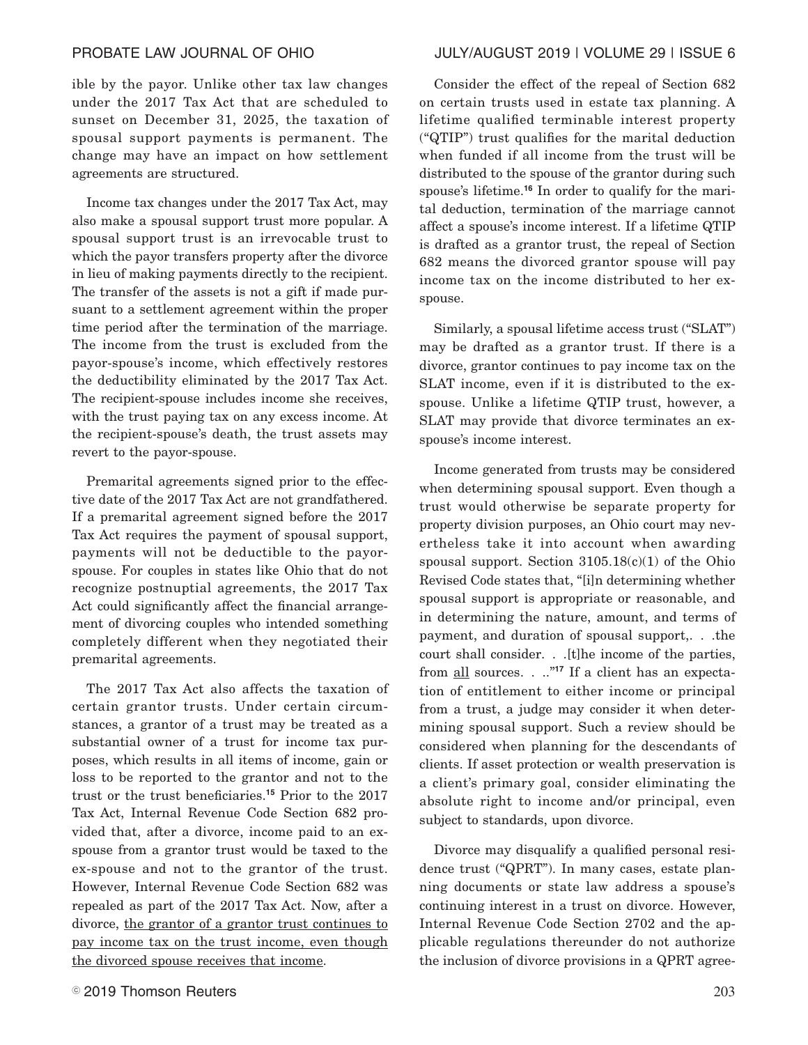ible by the payor. Unlike other tax law changes under the 2017 Tax Act that are scheduled to sunset on December 31, 2025, the taxation of spousal support payments is permanent. The change may have an impact on how settlement agreements are structured.

Income tax changes under the 2017 Tax Act, may also make a spousal support trust more popular. A spousal support trust is an irrevocable trust to which the payor transfers property after the divorce in lieu of making payments directly to the recipient. The transfer of the assets is not a gift if made pursuant to a settlement agreement within the proper time period after the termination of the marriage. The income from the trust is excluded from the payor-spouse's income, which effectively restores the deductibility eliminated by the 2017 Tax Act. The recipient-spouse includes income she receives, with the trust paying tax on any excess income. At the recipient-spouse's death, the trust assets may revert to the payor-spouse.

Premarital agreements signed prior to the effective date of the 2017 Tax Act are not grandfathered. If a premarital agreement signed before the 2017 Tax Act requires the payment of spousal support, payments will not be deductible to the payorspouse. For couples in states like Ohio that do not recognize postnuptial agreements, the 2017 Tax Act could significantly affect the financial arrangement of divorcing couples who intended something completely different when they negotiated their premarital agreements.

The 2017 Tax Act also affects the taxation of certain grantor trusts. Under certain circumstances, a grantor of a trust may be treated as a substantial owner of a trust for income tax purposes, which results in all items of income, gain or loss to be reported to the grantor and not to the trust or the trust beneficiaries.**<sup>15</sup>** Prior to the 2017 Tax Act, Internal Revenue Code Section 682 provided that, after a divorce, income paid to an exspouse from a grantor trust would be taxed to the ex-spouse and not to the grantor of the trust. However, Internal Revenue Code Section 682 was repealed as part of the 2017 Tax Act. Now, after a divorce, the grantor of a grantor trust continues to pay income tax on the trust income, even though the divorced spouse receives that income.

# PROBATE LAW JOURNAL OF OHIO JULY/AUGUST 2019 | VOLUME 29 | ISSUE 6

Consider the effect of the repeal of Section 682 on certain trusts used in estate tax planning. A lifetime qualified terminable interest property ("QTIP") trust qualifies for the marital deduction when funded if all income from the trust will be distributed to the spouse of the grantor during such spouse's lifetime.**<sup>16</sup>** In order to qualify for the marital deduction, termination of the marriage cannot affect a spouse's income interest. If a lifetime QTIP is drafted as a grantor trust, the repeal of Section 682 means the divorced grantor spouse will pay income tax on the income distributed to her exspouse.

Similarly, a spousal lifetime access trust ("SLAT") may be drafted as a grantor trust. If there is a divorce, grantor continues to pay income tax on the SLAT income, even if it is distributed to the exspouse. Unlike a lifetime QTIP trust, however, a SLAT may provide that divorce terminates an exspouse's income interest.

Income generated from trusts may be considered when determining spousal support. Even though a trust would otherwise be separate property for property division purposes, an Ohio court may nevertheless take it into account when awarding spousal support. Section  $3105.18(c)(1)$  of the Ohio Revised Code states that, "[i]n determining whether spousal support is appropriate or reasonable, and in determining the nature, amount, and terms of payment, and duration of spousal support,. . .the court shall consider. . .[t]he income of the parties, from all sources. . .."**<sup>17</sup>** If a client has an expectation of entitlement to either income or principal from a trust, a judge may consider it when determining spousal support. Such a review should be considered when planning for the descendants of clients. If asset protection or wealth preservation is a client's primary goal, consider eliminating the absolute right to income and/or principal, even subject to standards, upon divorce.

Divorce may disqualify a qualified personal residence trust ("QPRT"). In many cases, estate planning documents or state law address a spouse's continuing interest in a trust on divorce. However, Internal Revenue Code Section 2702 and the applicable regulations thereunder do not authorize the inclusion of divorce provisions in a QPRT agree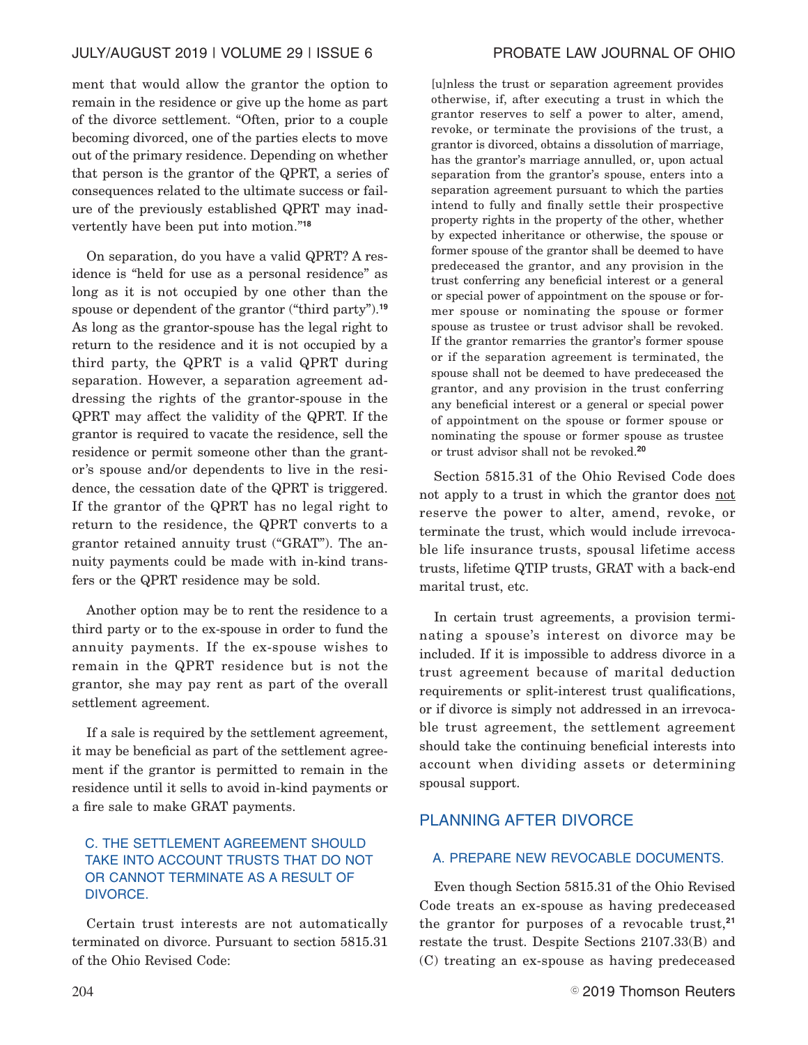ment that would allow the grantor the option to remain in the residence or give up the home as part of the divorce settlement. "Often, prior to a couple becoming divorced, one of the parties elects to move out of the primary residence. Depending on whether that person is the grantor of the QPRT, a series of consequences related to the ultimate success or failure of the previously established QPRT may inadvertently have been put into motion."**<sup>18</sup>**

On separation, do you have a valid QPRT? A residence is "held for use as a personal residence" as long as it is not occupied by one other than the spouse or dependent of the grantor ("third party").**<sup>19</sup>** As long as the grantor-spouse has the legal right to return to the residence and it is not occupied by a third party, the QPRT is a valid QPRT during separation. However, a separation agreement addressing the rights of the grantor-spouse in the QPRT may affect the validity of the QPRT. If the grantor is required to vacate the residence, sell the residence or permit someone other than the grantor's spouse and/or dependents to live in the residence, the cessation date of the QPRT is triggered. If the grantor of the QPRT has no legal right to return to the residence, the QPRT converts to a grantor retained annuity trust ("GRAT"). The annuity payments could be made with in-kind transfers or the QPRT residence may be sold.

Another option may be to rent the residence to a third party or to the ex-spouse in order to fund the annuity payments. If the ex-spouse wishes to remain in the QPRT residence but is not the grantor, she may pay rent as part of the overall settlement agreement.

If a sale is required by the settlement agreement, it may be beneficial as part of the settlement agreement if the grantor is permitted to remain in the residence until it sells to avoid in-kind payments or a fire sale to make GRAT payments.

# C. THE SETTLEMENT AGREEMENT SHOULD TAKE INTO ACCOUNT TRUSTS THAT DO NOT OR CANNOT TERMINATE AS A RESULT OF DIVORCE.

Certain trust interests are not automatically terminated on divorce. Pursuant to section 5815.31 of the Ohio Revised Code:

[u]nless the trust or separation agreement provides otherwise, if, after executing a trust in which the grantor reserves to self a power to alter, amend, revoke, or terminate the provisions of the trust, a grantor is divorced, obtains a dissolution of marriage, has the grantor's marriage annulled, or, upon actual separation from the grantor's spouse, enters into a separation agreement pursuant to which the parties intend to fully and finally settle their prospective property rights in the property of the other, whether by expected inheritance or otherwise, the spouse or former spouse of the grantor shall be deemed to have predeceased the grantor, and any provision in the trust conferring any beneficial interest or a general or special power of appointment on the spouse or former spouse or nominating the spouse or former spouse as trustee or trust advisor shall be revoked. If the grantor remarries the grantor's former spouse or if the separation agreement is terminated, the spouse shall not be deemed to have predeceased the grantor, and any provision in the trust conferring any beneficial interest or a general or special power of appointment on the spouse or former spouse or nominating the spouse or former spouse as trustee or trust advisor shall not be revoked.**<sup>20</sup>**

Section 5815.31 of the Ohio Revised Code does not apply to a trust in which the grantor does not reserve the power to alter, amend, revoke, or terminate the trust, which would include irrevocable life insurance trusts, spousal lifetime access trusts, lifetime QTIP trusts, GRAT with a back-end marital trust, etc.

In certain trust agreements, a provision terminating a spouse's interest on divorce may be included. If it is impossible to address divorce in a trust agreement because of marital deduction requirements or split-interest trust qualifications, or if divorce is simply not addressed in an irrevocable trust agreement, the settlement agreement should take the continuing beneficial interests into account when dividing assets or determining spousal support.

# PLANNING AFTER DIVORCE

# A. PREPARE NEW REVOCABLE DOCUMENTS.

Even though Section 5815.31 of the Ohio Revised Code treats an ex-spouse as having predeceased the grantor for purposes of a revocable trust,**<sup>21</sup>** restate the trust. Despite Sections 2107.33(B) and (C) treating an ex-spouse as having predeceased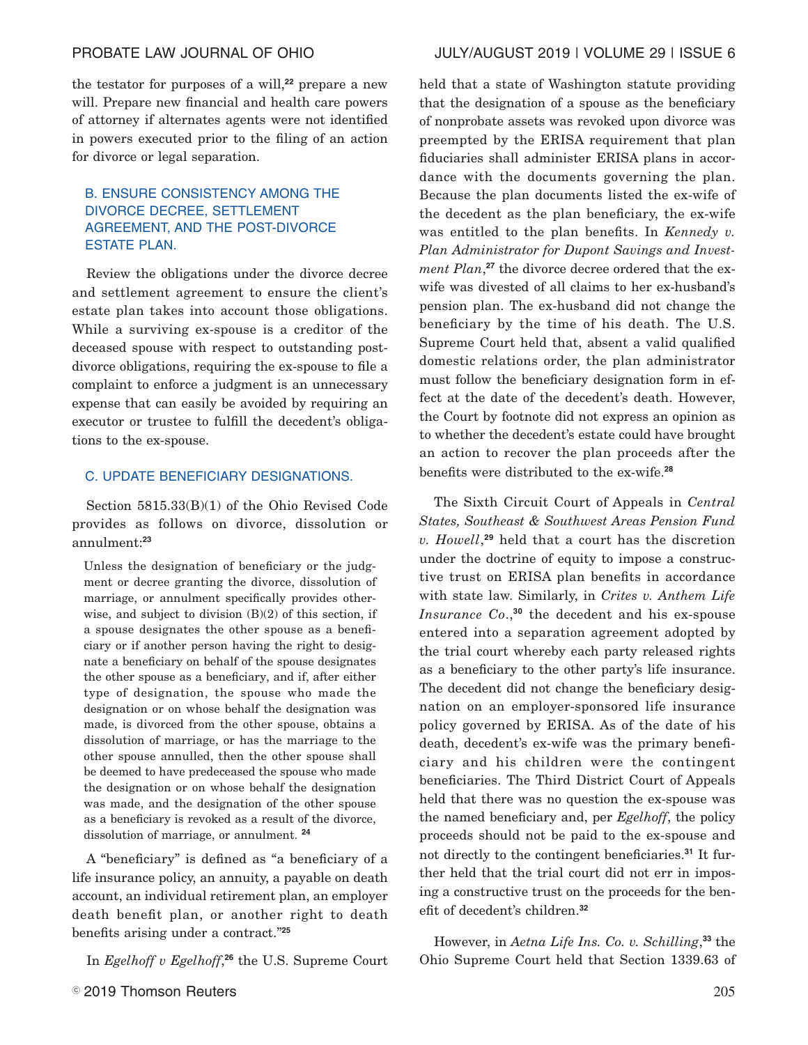# PROBATE LAW JOURNAL OF OHIO JULY/AUGUST 2019 | VOLUME 29 | ISSUE 6

the testator for purposes of a will,**<sup>22</sup>** prepare a new will. Prepare new financial and health care powers of attorney if alternates agents were not identified in powers executed prior to the filing of an action for divorce or legal separation.

# B. ENSURE CONSISTENCY AMONG THE DIVORCE DECREE, SETTLEMENT AGREEMENT, AND THE POST-DIVORCE ESTATE PLAN.

Review the obligations under the divorce decree and settlement agreement to ensure the client's estate plan takes into account those obligations. While a surviving ex-spouse is a creditor of the deceased spouse with respect to outstanding postdivorce obligations, requiring the ex-spouse to file a complaint to enforce a judgment is an unnecessary expense that can easily be avoided by requiring an executor or trustee to fulfill the decedent's obligations to the ex-spouse.

### C. UPDATE BENEFICIARY DESIGNATIONS.

Section 5815.33(B)(1) of the Ohio Revised Code provides as follows on divorce, dissolution or annulment:**<sup>23</sup>**

Unless the designation of beneficiary or the judgment or decree granting the divorce, dissolution of marriage, or annulment specifically provides otherwise, and subject to division  $(B)(2)$  of this section, if a spouse designates the other spouse as a beneficiary or if another person having the right to designate a beneficiary on behalf of the spouse designates the other spouse as a beneficiary, and if, after either type of designation, the spouse who made the designation or on whose behalf the designation was made, is divorced from the other spouse, obtains a dissolution of marriage, or has the marriage to the other spouse annulled, then the other spouse shall be deemed to have predeceased the spouse who made the designation or on whose behalf the designation was made, and the designation of the other spouse as a beneficiary is revoked as a result of the divorce, dissolution of marriage, or annulment. **<sup>24</sup>**

A "beneficiary" is defined as "a beneficiary of a life insurance policy, an annuity, a payable on death account, an individual retirement plan, an employer death benefit plan, or another right to death benefits arising under a contract."**<sup>25</sup>**

In *Egelhoff v Egelhoff*, **<sup>26</sup>** the U.S. Supreme Court

held that a state of Washington statute providing that the designation of a spouse as the beneficiary of nonprobate assets was revoked upon divorce was preempted by the ERISA requirement that plan fiduciaries shall administer ERISA plans in accordance with the documents governing the plan. Because the plan documents listed the ex-wife of the decedent as the plan beneficiary, the ex-wife was entitled to the plan benefits. In *Kennedy v. Plan Administrator for Dupont Savings and Investment Plan*, **<sup>27</sup>** the divorce decree ordered that the exwife was divested of all claims to her ex-husband's pension plan. The ex-husband did not change the beneficiary by the time of his death. The U.S. Supreme Court held that, absent a valid qualified domestic relations order, the plan administrator must follow the beneficiary designation form in effect at the date of the decedent's death. However, the Court by footnote did not express an opinion as to whether the decedent's estate could have brought an action to recover the plan proceeds after the benefits were distributed to the ex-wife.**<sup>28</sup>**

The Sixth Circuit Court of Appeals in *Central States, Southeast & Southwest Areas Pension Fund v. Howell*, **<sup>29</sup>** held that a court has the discretion under the doctrine of equity to impose a constructive trust on ERISA plan benefits in accordance with state law. Similarly, in *Crites v. Anthem Life Insurance Co*., **<sup>30</sup>** the decedent and his ex-spouse entered into a separation agreement adopted by the trial court whereby each party released rights as a beneficiary to the other party's life insurance. The decedent did not change the beneficiary designation on an employer-sponsored life insurance policy governed by ERISA. As of the date of his death, decedent's ex-wife was the primary beneficiary and his children were the contingent beneficiaries. The Third District Court of Appeals held that there was no question the ex-spouse was the named beneficiary and, per *Egelhoff*, the policy proceeds should not be paid to the ex-spouse and not directly to the contingent beneficiaries.**<sup>31</sup>** It further held that the trial court did not err in imposing a constructive trust on the proceeds for the benefit of decedent's children.**<sup>32</sup>**

However, in *Aetna Life Ins. Co. v. Schilling*, **<sup>33</sup>** the Ohio Supreme Court held that Section 1339.63 of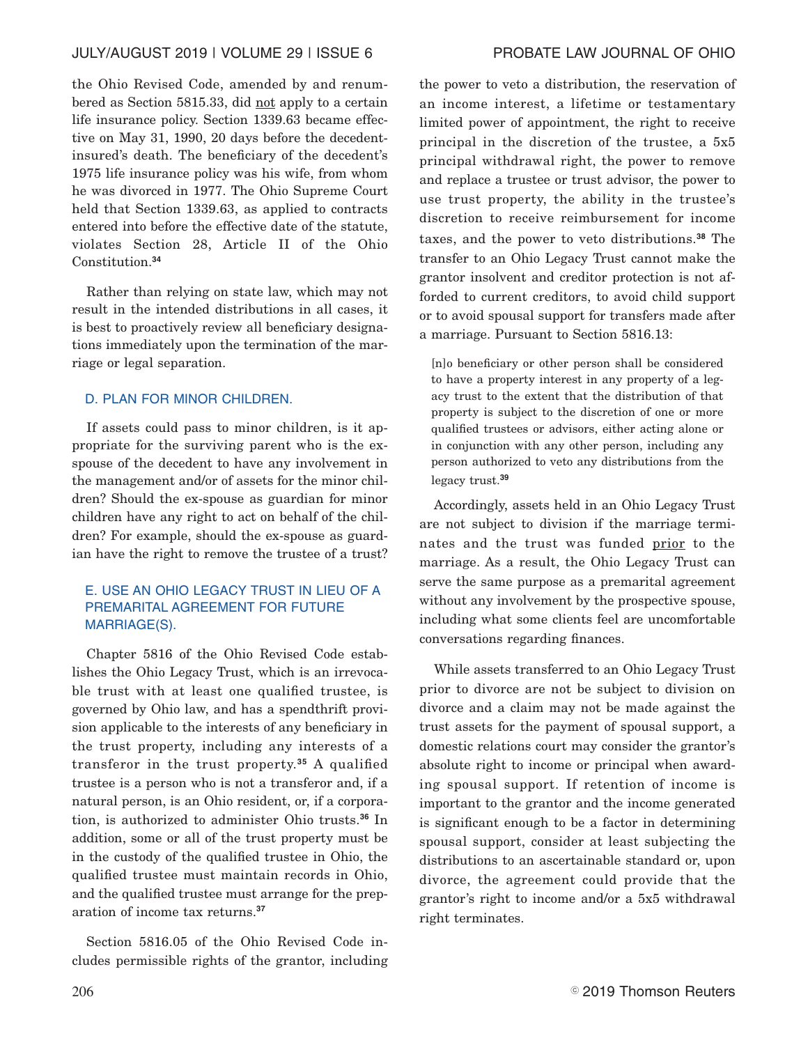the Ohio Revised Code, amended by and renumbered as Section 5815.33, did not apply to a certain life insurance policy. Section 1339.63 became effective on May 31, 1990, 20 days before the decedentinsured's death. The beneficiary of the decedent's 1975 life insurance policy was his wife, from whom he was divorced in 1977. The Ohio Supreme Court held that Section 1339.63, as applied to contracts entered into before the effective date of the statute, violates Section 28, Article II of the Ohio Constitution.**<sup>34</sup>**

Rather than relying on state law, which may not result in the intended distributions in all cases, it is best to proactively review all beneficiary designations immediately upon the termination of the marriage or legal separation.

### D. PLAN FOR MINOR CHILDREN.

If assets could pass to minor children, is it appropriate for the surviving parent who is the exspouse of the decedent to have any involvement in the management and/or of assets for the minor children? Should the ex-spouse as guardian for minor children have any right to act on behalf of the children? For example, should the ex-spouse as guardian have the right to remove the trustee of a trust?

# E. USE AN OHIO LEGACY TRUST IN LIEU OF A PREMARITAL AGREEMENT FOR FUTURE MARRIAGE(S).

Chapter 5816 of the Ohio Revised Code establishes the Ohio Legacy Trust, which is an irrevocable trust with at least one qualified trustee, is governed by Ohio law, and has a spendthrift provision applicable to the interests of any beneficiary in the trust property, including any interests of a transferor in the trust property.**<sup>35</sup>** A qualified trustee is a person who is not a transferor and, if a natural person, is an Ohio resident, or, if a corporation, is authorized to administer Ohio trusts.**<sup>36</sup>** In addition, some or all of the trust property must be in the custody of the qualified trustee in Ohio, the qualified trustee must maintain records in Ohio, and the qualified trustee must arrange for the preparation of income tax returns.**<sup>37</sup>**

Section 5816.05 of the Ohio Revised Code includes permissible rights of the grantor, including

the power to veto a distribution, the reservation of an income interest, a lifetime or testamentary limited power of appointment, the right to receive principal in the discretion of the trustee, a 5x5 principal withdrawal right, the power to remove and replace a trustee or trust advisor, the power to use trust property, the ability in the trustee's discretion to receive reimbursement for income taxes, and the power to veto distributions.**<sup>38</sup>** The transfer to an Ohio Legacy Trust cannot make the grantor insolvent and creditor protection is not afforded to current creditors, to avoid child support or to avoid spousal support for transfers made after a marriage. Pursuant to Section 5816.13:

[n]o beneficiary or other person shall be considered to have a property interest in any property of a legacy trust to the extent that the distribution of that property is subject to the discretion of one or more qualified trustees or advisors, either acting alone or in conjunction with any other person, including any person authorized to veto any distributions from the legacy trust.**<sup>39</sup>**

Accordingly, assets held in an Ohio Legacy Trust are not subject to division if the marriage terminates and the trust was funded prior to the marriage. As a result, the Ohio Legacy Trust can serve the same purpose as a premarital agreement without any involvement by the prospective spouse, including what some clients feel are uncomfortable conversations regarding finances.

While assets transferred to an Ohio Legacy Trust prior to divorce are not be subject to division on divorce and a claim may not be made against the trust assets for the payment of spousal support, a domestic relations court may consider the grantor's absolute right to income or principal when awarding spousal support. If retention of income is important to the grantor and the income generated is significant enough to be a factor in determining spousal support, consider at least subjecting the distributions to an ascertainable standard or, upon divorce, the agreement could provide that the grantor's right to income and/or a 5x5 withdrawal right terminates.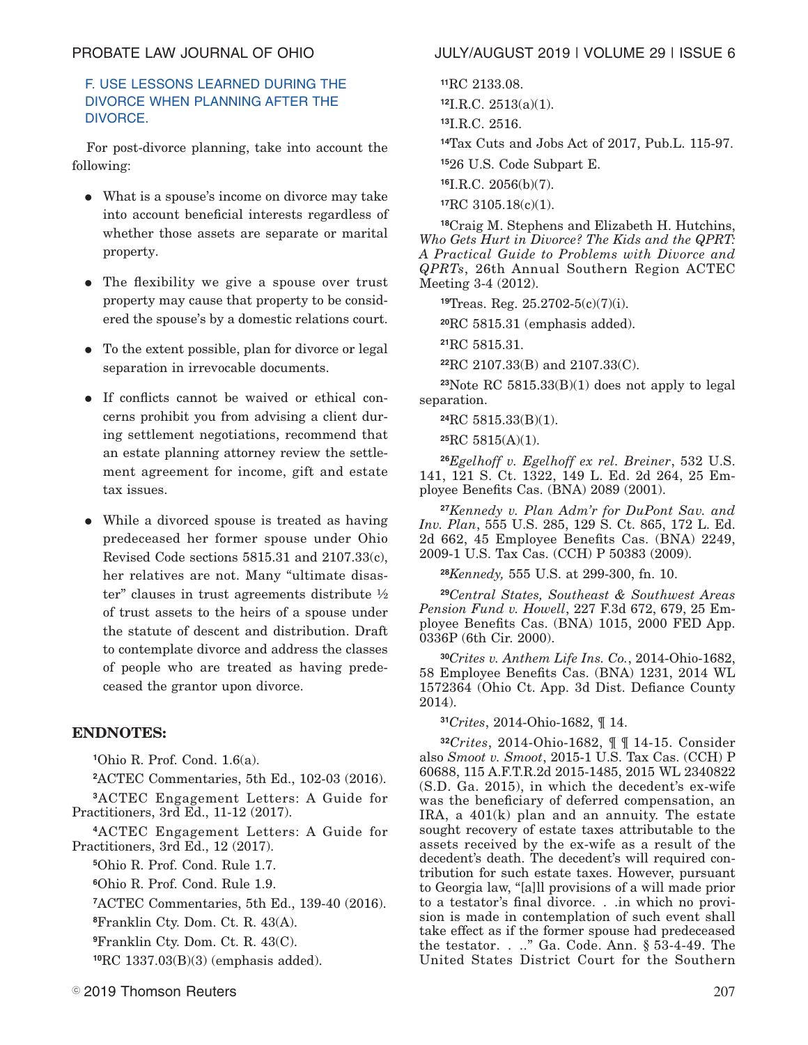# F. USE LESSONS LEARNED DURING THE DIVORCE WHEN PLANNING AFTER THE DIVORCE.

For post-divorce planning, take into account the following:

- E What is a spouse's income on divorce may take into account beneficial interests regardless of whether those assets are separate or marital property.
- The flexibility we give a spouse over trust property may cause that property to be considered the spouse's by a domestic relations court.
- To the extent possible, plan for divorce or legal separation in irrevocable documents.
- E If conflicts cannot be waived or ethical concerns prohibit you from advising a client during settlement negotiations, recommend that an estate planning attorney review the settlement agreement for income, gift and estate tax issues.
- While a divorced spouse is treated as having predeceased her former spouse under Ohio Revised Code sections 5815.31 and 2107.33(c), her relatives are not. Many "ultimate disaster" clauses in trust agreements distribute ½ of trust assets to the heirs of a spouse under the statute of descent and distribution. Draft to contemplate divorce and address the classes of people who are treated as having predeceased the grantor upon divorce.

# **ENDNOTES:**

**<sup>1</sup>**Ohio R. Prof. Cond. 1.6(a).

**<sup>2</sup>**ACTEC Commentaries, 5th Ed., 102-03 (2016).

**<sup>3</sup>**ACTEC Engagement Letters: A Guide for Practitioners, 3rd Ed., 11-12 (2017).

**<sup>4</sup>**ACTEC Engagement Letters: A Guide for Practitioners, 3rd Ed., 12 (2017).

**<sup>5</sup>**Ohio R. Prof. Cond. Rule 1.7.

**<sup>6</sup>**Ohio R. Prof. Cond. Rule 1.9.

**<sup>7</sup>**ACTEC Commentaries, 5th Ed., 139-40 (2016).

**<sup>8</sup>**Franklin Cty. Dom. Ct. R. 43(A).

**<sup>9</sup>**Franklin Cty. Dom. Ct. R. 43(C).

**<sup>10</sup>**RC 1337.03(B)(3) (emphasis added).

# PROBATE LAW JOURNAL OF OHIO JULY/AUGUST 2019 | VOLUME 29 | ISSUE 6

**<sup>11</sup>**RC 2133.08.

**<sup>12</sup>**I.R.C. 2513(a)(1).

**<sup>13</sup>**I.R.C. 2516.

**<sup>14</sup>**Tax Cuts and Jobs Act of 2017, Pub.L. 115-97.

**<sup>15</sup>**26 U.S. Code Subpart E.

**<sup>16</sup>**I.R.C. 2056(b)(7).

**<sup>17</sup>**RC 3105.18(c)(1).

**<sup>18</sup>**Craig M. Stephens and Elizabeth H. Hutchins, *Who Gets Hurt in Divorce? The Kids and the QPRT: A Practical Guide to Problems with Divorce and QPRTs*, 26th Annual Southern Region ACTEC Meeting 3-4 (2012).

**<sup>19</sup>**Treas. Reg. 25.2702-5(c)(7)(i).

**<sup>20</sup>**RC 5815.31 (emphasis added).

**<sup>21</sup>**RC 5815.31.

**<sup>22</sup>**RC 2107.33(B) and 2107.33(C).

**<sup>23</sup>**Note RC 5815.33(B)(1) does not apply to legal separation.

**<sup>24</sup>**RC 5815.33(B)(1).

**<sup>25</sup>**RC 5815(A)(1).

**<sup>26</sup>***Egelhoff v. Egelhoff ex rel. Breiner*, 532 U.S. 141, 121 S. Ct. 1322, 149 L. Ed. 2d 264, 25 Employee Benefits Cas. (BNA) 2089 (2001).

**<sup>27</sup>***Kennedy v. Plan Adm'r for DuPont Sav. and Inv. Plan*, 555 U.S. 285, 129 S. Ct. 865, 172 L. Ed. 2d 662, 45 Employee Benefits Cas. (BNA) 2249, 2009-1 U.S. Tax Cas. (CCH) P 50383 (2009).

**<sup>28</sup>***Kennedy,* 555 U.S. at 299-300, fn. 10.

**<sup>29</sup>***Central States, Southeast & Southwest Areas Pension Fund v. Howell*, 227 F.3d 672, 679, 25 Employee Benefits Cas. (BNA) 1015, 2000 FED App. 0336P (6th Cir. 2000).

**<sup>30</sup>***Crites v. Anthem Life Ins. Co.*, 2014-Ohio-1682, 58 Employee Benefits Cas. (BNA) 1231, 2014 WL 1572364 (Ohio Ct. App. 3d Dist. Defiance County 2014).

**<sup>31</sup>***Crites*, 2014-Ohio-1682, ¶ 14.

**<sup>32</sup>***Crites*, 2014-Ohio-1682, ¶ ¶ 14-15. Consider also *Smoot v. Smoot*, 2015-1 U.S. Tax Cas. (CCH) P 60688, 115 A.F.T.R.2d 2015-1485, 2015 WL 2340822 (S.D. Ga. 2015), in which the decedent's ex-wife was the beneficiary of deferred compensation, an IRA, a 401(k) plan and an annuity. The estate sought recovery of estate taxes attributable to the assets received by the ex-wife as a result of the decedent's death. The decedent's will required contribution for such estate taxes. However, pursuant to Georgia law, "[a]ll provisions of a will made prior to a testator's final divorce. . .in which no provision is made in contemplation of such event shall take effect as if the former spouse had predeceased the testator. . .." Ga. Code. Ann. § 53-4-49. The United States District Court for the Southern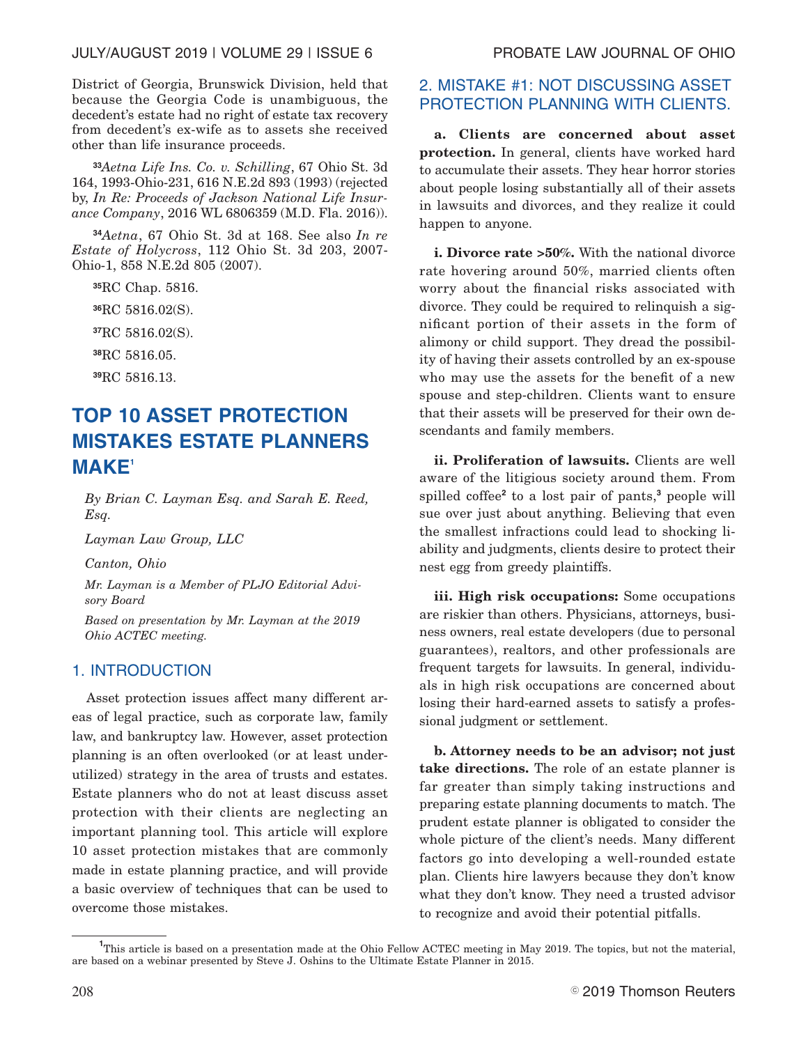District of Georgia, Brunswick Division, held that because the Georgia Code is unambiguous, the decedent's estate had no right of estate tax recovery from decedent's ex-wife as to assets she received other than life insurance proceeds.

**<sup>33</sup>***Aetna Life Ins. Co. v. Schilling*, 67 Ohio St. 3d 164, 1993-Ohio-231, 616 N.E.2d 893 (1993) (rejected by, *In Re: Proceeds of Jackson National Life Insurance Company*, 2016 WL 6806359 (M.D. Fla. 2016)).

**<sup>34</sup>***Aetna*, 67 Ohio St. 3d at 168. See also *In re Estate of Holycross*, 112 Ohio St. 3d 203, 2007- Ohio-1, 858 N.E.2d 805 (2007).

RC Chap. 5816. RC 5816.02(S). RC 5816.02(S). RC 5816.05. RC 5816.13.

# **TOP 10 ASSET PROTECTION MISTAKES ESTATE PLANNERS MAKE<sup>1</sup>**

*By Brian C. Layman Esq. and Sarah E. Reed, Esq.*

*Layman Law Group, LLC*

*Canton, Ohio*

*Mr. Layman is a Member of PLJO Editorial Advisory Board*

*Based on presentation by Mr. Layman at the 2019 Ohio ACTEC meeting.*

# 1. INTRODUCTION

Asset protection issues affect many different areas of legal practice, such as corporate law, family law, and bankruptcy law. However, asset protection planning is an often overlooked (or at least underutilized) strategy in the area of trusts and estates. Estate planners who do not at least discuss asset protection with their clients are neglecting an important planning tool. This article will explore 10 asset protection mistakes that are commonly made in estate planning practice, and will provide a basic overview of techniques that can be used to overcome those mistakes.

# 2. MISTAKE #1: NOT DISCUSSING ASSET PROTECTION PLANNING WITH CLIENTS.

**a. Clients are concerned about asset protection.** In general, clients have worked hard to accumulate their assets. They hear horror stories about people losing substantially all of their assets in lawsuits and divorces, and they realize it could happen to anyone.

**i. Divorce rate >50%.** With the national divorce rate hovering around 50%, married clients often worry about the financial risks associated with divorce. They could be required to relinquish a significant portion of their assets in the form of alimony or child support. They dread the possibility of having their assets controlled by an ex-spouse who may use the assets for the benefit of a new spouse and step-children. Clients want to ensure that their assets will be preserved for their own descendants and family members.

**ii. Proliferation of lawsuits.** Clients are well aware of the litigious society around them. From spilled coffee**<sup>2</sup>** to a lost pair of pants,**<sup>3</sup>** people will sue over just about anything. Believing that even the smallest infractions could lead to shocking liability and judgments, clients desire to protect their nest egg from greedy plaintiffs.

**iii. High risk occupations:** Some occupations are riskier than others. Physicians, attorneys, business owners, real estate developers (due to personal guarantees), realtors, and other professionals are frequent targets for lawsuits. In general, individuals in high risk occupations are concerned about losing their hard-earned assets to satisfy a professional judgment or settlement.

**b. Attorney needs to be an advisor; not just take directions.** The role of an estate planner is far greater than simply taking instructions and preparing estate planning documents to match. The prudent estate planner is obligated to consider the whole picture of the client's needs. Many different factors go into developing a well-rounded estate plan. Clients hire lawyers because they don't know what they don't know. They need a trusted advisor to recognize and avoid their potential pitfalls.

<sup>&</sup>lt;sup>1</sup>This article is based on a presentation made at the Ohio Fellow ACTEC meeting in May 2019. The topics, but not the material, are based on a webinar presented by Steve J. Oshins to the Ultimate Estate Planner in 2015.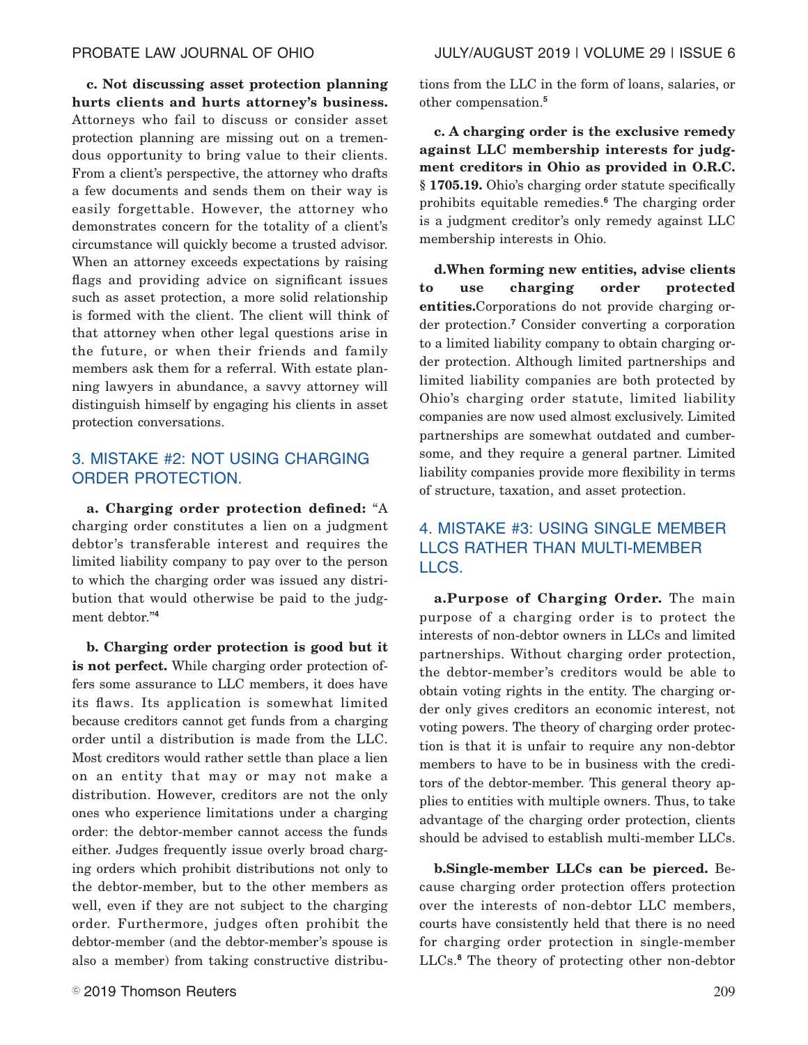**c. Not discussing asset protection planning hurts clients and hurts attorney's business.** Attorneys who fail to discuss or consider asset protection planning are missing out on a tremendous opportunity to bring value to their clients. From a client's perspective, the attorney who drafts a few documents and sends them on their way is easily forgettable. However, the attorney who demonstrates concern for the totality of a client's circumstance will quickly become a trusted advisor. When an attorney exceeds expectations by raising flags and providing advice on significant issues such as asset protection, a more solid relationship is formed with the client. The client will think of that attorney when other legal questions arise in the future, or when their friends and family members ask them for a referral. With estate planning lawyers in abundance, a savvy attorney will distinguish himself by engaging his clients in asset

# 3. MISTAKE #2: NOT USING CHARGING ORDER PROTECTION.

protection conversations.

**a. Charging order protection defined:** "A charging order constitutes a lien on a judgment debtor's transferable interest and requires the limited liability company to pay over to the person to which the charging order was issued any distribution that would otherwise be paid to the judgment debtor."**<sup>4</sup>**

**b. Charging order protection is good but it is not perfect.** While charging order protection offers some assurance to LLC members, it does have its flaws. Its application is somewhat limited because creditors cannot get funds from a charging order until a distribution is made from the LLC. Most creditors would rather settle than place a lien on an entity that may or may not make a distribution. However, creditors are not the only ones who experience limitations under a charging order: the debtor-member cannot access the funds either. Judges frequently issue overly broad charging orders which prohibit distributions not only to the debtor-member, but to the other members as well, even if they are not subject to the charging order. Furthermore, judges often prohibit the debtor-member (and the debtor-member's spouse is also a member) from taking constructive distributions from the LLC in the form of loans, salaries, or other compensation.**<sup>5</sup>**

**c. A charging order is the exclusive remedy against LLC membership interests for judgment creditors in Ohio as provided in O.R.C. § 1705.19.** Ohio's charging order statute specifically prohibits equitable remedies.**<sup>6</sup>** The charging order is a judgment creditor's only remedy against LLC membership interests in Ohio.

**d.When forming new entities, advise clients to use charging order protected entities.**Corporations do not provide charging order protection.**<sup>7</sup>** Consider converting a corporation to a limited liability company to obtain charging order protection. Although limited partnerships and limited liability companies are both protected by Ohio's charging order statute, limited liability companies are now used almost exclusively. Limited partnerships are somewhat outdated and cumbersome, and they require a general partner. Limited liability companies provide more flexibility in terms of structure, taxation, and asset protection.

# 4. MISTAKE #3: USING SINGLE MEMBER LLCS RATHER THAN MULTI-MEMBER LLCS.

**a.Purpose of Charging Order.** The main purpose of a charging order is to protect the interests of non-debtor owners in LLCs and limited partnerships. Without charging order protection, the debtor-member's creditors would be able to obtain voting rights in the entity. The charging order only gives creditors an economic interest, not voting powers. The theory of charging order protection is that it is unfair to require any non-debtor members to have to be in business with the creditors of the debtor-member. This general theory applies to entities with multiple owners. Thus, to take advantage of the charging order protection, clients should be advised to establish multi-member LLCs.

**b.Single-member LLCs can be pierced.** Because charging order protection offers protection over the interests of non-debtor LLC members, courts have consistently held that there is no need for charging order protection in single-member LLCs.**<sup>8</sup>** The theory of protecting other non-debtor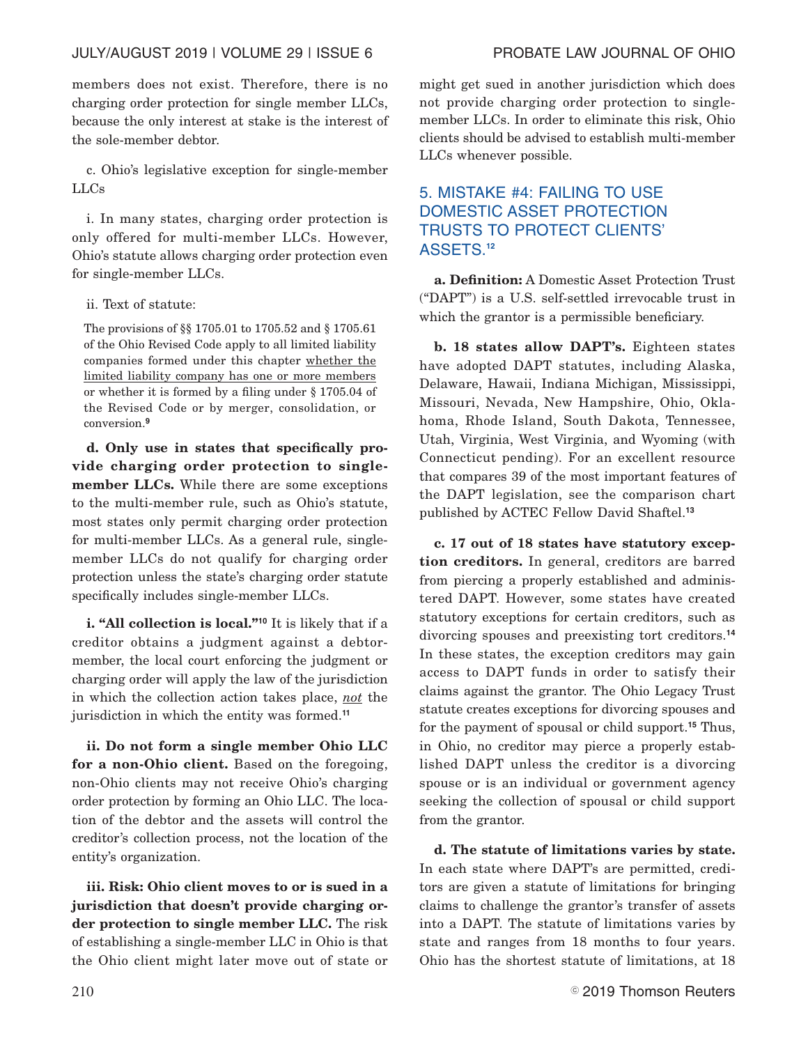members does not exist. Therefore, there is no charging order protection for single member LLCs, because the only interest at stake is the interest of the sole-member debtor.

c. Ohio's legislative exception for single-member LLCs

i. In many states, charging order protection is only offered for multi-member LLCs. However, Ohio's statute allows charging order protection even for single-member LLCs.

## ii. Text of statute:

The provisions of §§ 1705.01 to 1705.52 and § 1705.61 of the Ohio Revised Code apply to all limited liability companies formed under this chapter whether the limited liability company has one or more members or whether it is formed by a filing under § 1705.04 of the Revised Code or by merger, consolidation, or conversion.**<sup>9</sup>**

**d. Only use in states that specifically provide charging order protection to singlemember LLCs.** While there are some exceptions to the multi-member rule, such as Ohio's statute, most states only permit charging order protection for multi-member LLCs. As a general rule, singlemember LLCs do not qualify for charging order protection unless the state's charging order statute specifically includes single-member LLCs.

**i. "All collection is local."<sup>10</sup>** It is likely that if a creditor obtains a judgment against a debtormember, the local court enforcing the judgment or charging order will apply the law of the jurisdiction in which the collection action takes place, *not* the jurisdiction in which the entity was formed.**<sup>11</sup>**

**ii. Do not form a single member Ohio LLC for a non-Ohio client.** Based on the foregoing, non-Ohio clients may not receive Ohio's charging order protection by forming an Ohio LLC. The location of the debtor and the assets will control the creditor's collection process, not the location of the entity's organization.

**iii. Risk: Ohio client moves to or is sued in a jurisdiction that doesn't provide charging order protection to single member LLC.** The risk of establishing a single-member LLC in Ohio is that the Ohio client might later move out of state or might get sued in another jurisdiction which does not provide charging order protection to singlemember LLCs. In order to eliminate this risk, Ohio clients should be advised to establish multi-member LLCs whenever possible.

# 5. MISTAKE #4: FAILING TO USE DOMESTIC ASSET PROTECTION TRUSTS TO PROTECT CLIENTS' ASSETS.**<sup>12</sup>**

**a. Definition:** A Domestic Asset Protection Trust ("DAPT") is a U.S. self-settled irrevocable trust in which the grantor is a permissible beneficiary.

**b. 18 states allow DAPT's.** Eighteen states have adopted DAPT statutes, including Alaska, Delaware, Hawaii, Indiana Michigan, Mississippi, Missouri, Nevada, New Hampshire, Ohio, Oklahoma, Rhode Island, South Dakota, Tennessee, Utah, Virginia, West Virginia, and Wyoming (with Connecticut pending). For an excellent resource that compares 39 of the most important features of the DAPT legislation, see the comparison chart published by ACTEC Fellow David Shaftel.**<sup>13</sup>**

**c. 17 out of 18 states have statutory exception creditors.** In general, creditors are barred from piercing a properly established and administered DAPT. However, some states have created statutory exceptions for certain creditors, such as divorcing spouses and preexisting tort creditors.**<sup>14</sup>** In these states, the exception creditors may gain access to DAPT funds in order to satisfy their claims against the grantor. The Ohio Legacy Trust statute creates exceptions for divorcing spouses and for the payment of spousal or child support.**<sup>15</sup>** Thus, in Ohio, no creditor may pierce a properly established DAPT unless the creditor is a divorcing spouse or is an individual or government agency seeking the collection of spousal or child support from the grantor.

**d. The statute of limitations varies by state.** In each state where DAPT's are permitted, creditors are given a statute of limitations for bringing claims to challenge the grantor's transfer of assets into a DAPT. The statute of limitations varies by state and ranges from 18 months to four years. Ohio has the shortest statute of limitations, at 18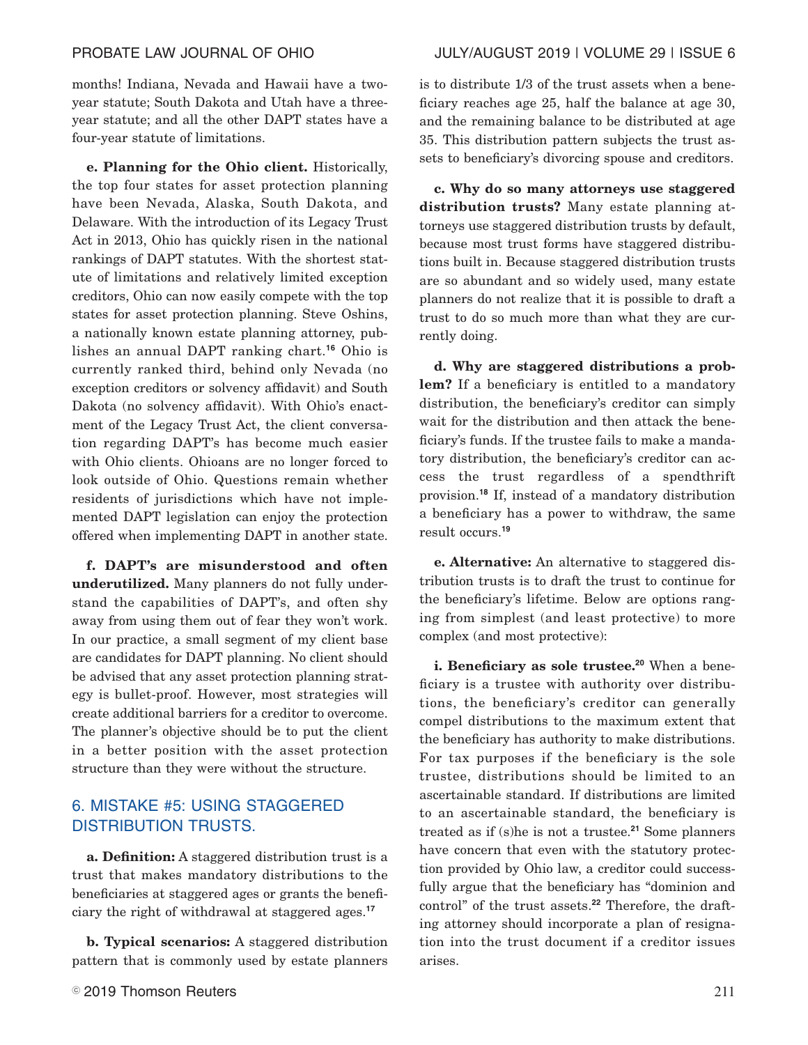months! Indiana, Nevada and Hawaii have a twoyear statute; South Dakota and Utah have a threeyear statute; and all the other DAPT states have a four-year statute of limitations.

**e. Planning for the Ohio client.** Historically, the top four states for asset protection planning have been Nevada, Alaska, South Dakota, and Delaware. With the introduction of its Legacy Trust Act in 2013, Ohio has quickly risen in the national rankings of DAPT statutes. With the shortest statute of limitations and relatively limited exception creditors, Ohio can now easily compete with the top states for asset protection planning. Steve Oshins, a nationally known estate planning attorney, publishes an annual DAPT ranking chart.**<sup>16</sup>** Ohio is currently ranked third, behind only Nevada (no exception creditors or solvency affidavit) and South Dakota (no solvency affidavit). With Ohio's enactment of the Legacy Trust Act, the client conversation regarding DAPT's has become much easier with Ohio clients. Ohioans are no longer forced to look outside of Ohio. Questions remain whether residents of jurisdictions which have not implemented DAPT legislation can enjoy the protection offered when implementing DAPT in another state.

**f. DAPT's are misunderstood and often underutilized.** Many planners do not fully understand the capabilities of DAPT's, and often shy away from using them out of fear they won't work. In our practice, a small segment of my client base are candidates for DAPT planning. No client should be advised that any asset protection planning strategy is bullet-proof. However, most strategies will create additional barriers for a creditor to overcome. The planner's objective should be to put the client in a better position with the asset protection structure than they were without the structure.

# 6. MISTAKE #5: USING STAGGERED DISTRIBUTION TRUSTS.

**a. Definition:** A staggered distribution trust is a trust that makes mandatory distributions to the beneficiaries at staggered ages or grants the beneficiary the right of withdrawal at staggered ages.**<sup>17</sup>**

**b. Typical scenarios:** A staggered distribution pattern that is commonly used by estate planners is to distribute 1/3 of the trust assets when a beneficiary reaches age 25, half the balance at age 30, and the remaining balance to be distributed at age 35. This distribution pattern subjects the trust assets to beneficiary's divorcing spouse and creditors.

**c. Why do so many attorneys use staggered distribution trusts?** Many estate planning attorneys use staggered distribution trusts by default, because most trust forms have staggered distributions built in. Because staggered distribution trusts are so abundant and so widely used, many estate planners do not realize that it is possible to draft a trust to do so much more than what they are currently doing.

**d. Why are staggered distributions a problem?** If a beneficiary is entitled to a mandatory distribution, the beneficiary's creditor can simply wait for the distribution and then attack the beneficiary's funds. If the trustee fails to make a mandatory distribution, the beneficiary's creditor can access the trust regardless of a spendthrift provision.**<sup>18</sup>** If, instead of a mandatory distribution a beneficiary has a power to withdraw, the same result occurs.**<sup>19</sup>**

**e. Alternative:** An alternative to staggered distribution trusts is to draft the trust to continue for the beneficiary's lifetime. Below are options ranging from simplest (and least protective) to more complex (and most protective):

**i. Beneficiary as sole trustee.<sup>20</sup>** When a beneficiary is a trustee with authority over distributions, the beneficiary's creditor can generally compel distributions to the maximum extent that the beneficiary has authority to make distributions. For tax purposes if the beneficiary is the sole trustee, distributions should be limited to an ascertainable standard. If distributions are limited to an ascertainable standard, the beneficiary is treated as if (s)he is not a trustee.**<sup>21</sup>** Some planners have concern that even with the statutory protection provided by Ohio law, a creditor could successfully argue that the beneficiary has "dominion and control" of the trust assets.**<sup>22</sup>** Therefore, the drafting attorney should incorporate a plan of resignation into the trust document if a creditor issues arises.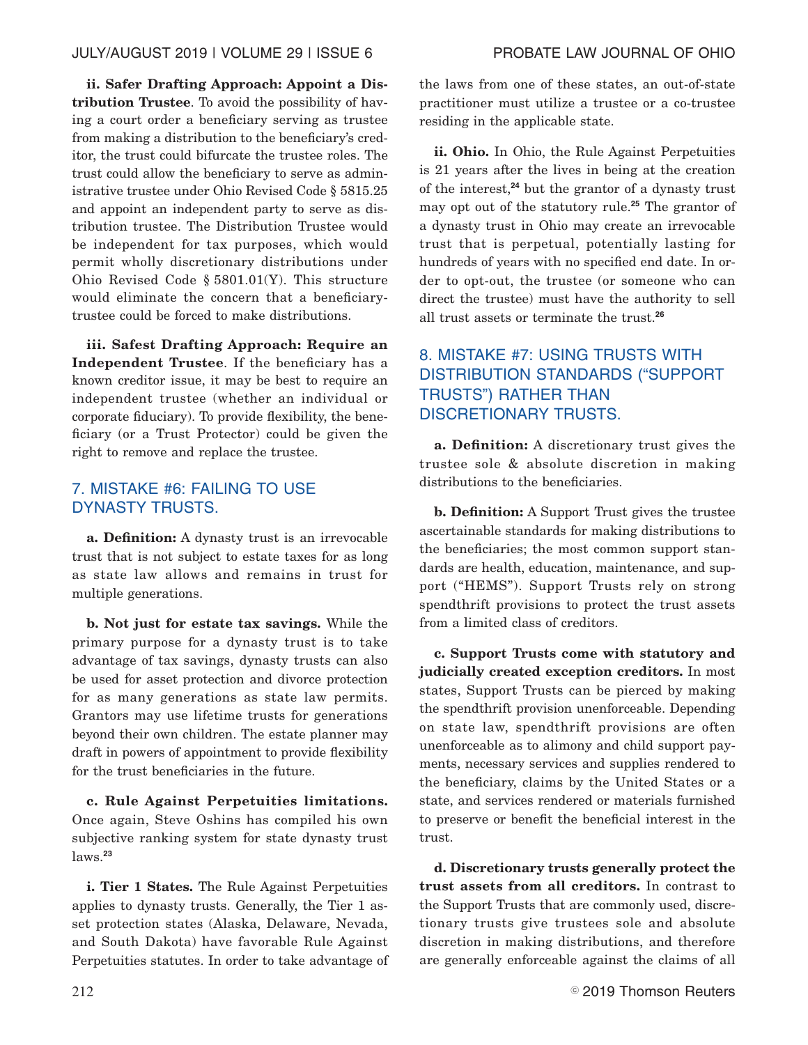# JULY/AUGUST 2019 | VOLUME 29 | ISSUE 6 PROBATE LAW JOURNAL OF OHIO

**ii. Safer Drafting Approach: Appoint a Distribution Trustee**. To avoid the possibility of having a court order a beneficiary serving as trustee from making a distribution to the beneficiary's creditor, the trust could bifurcate the trustee roles. The trust could allow the beneficiary to serve as administrative trustee under Ohio Revised Code § 5815.25 and appoint an independent party to serve as distribution trustee. The Distribution Trustee would be independent for tax purposes, which would permit wholly discretionary distributions under Ohio Revised Code § 5801.01(Y). This structure would eliminate the concern that a beneficiarytrustee could be forced to make distributions.

**iii. Safest Drafting Approach: Require an Independent Trustee**. If the beneficiary has a known creditor issue, it may be best to require an independent trustee (whether an individual or corporate fiduciary). To provide flexibility, the beneficiary (or a Trust Protector) could be given the right to remove and replace the trustee.

# 7. MISTAKE #6: FAILING TO USE DYNASTY TRUSTS.

**a. Definition:** A dynasty trust is an irrevocable trust that is not subject to estate taxes for as long as state law allows and remains in trust for multiple generations.

**b. Not just for estate tax savings.** While the primary purpose for a dynasty trust is to take advantage of tax savings, dynasty trusts can also be used for asset protection and divorce protection for as many generations as state law permits. Grantors may use lifetime trusts for generations beyond their own children. The estate planner may draft in powers of appointment to provide flexibility for the trust beneficiaries in the future.

**c. Rule Against Perpetuities limitations.** Once again, Steve Oshins has compiled his own subjective ranking system for state dynasty trust laws.**<sup>23</sup>**

**i. Tier 1 States.** The Rule Against Perpetuities applies to dynasty trusts. Generally, the Tier 1 asset protection states (Alaska, Delaware, Nevada, and South Dakota) have favorable Rule Against Perpetuities statutes. In order to take advantage of the laws from one of these states, an out-of-state practitioner must utilize a trustee or a co-trustee residing in the applicable state.

**ii. Ohio.** In Ohio, the Rule Against Perpetuities is 21 years after the lives in being at the creation of the interest,**<sup>24</sup>** but the grantor of a dynasty trust may opt out of the statutory rule.**<sup>25</sup>** The grantor of a dynasty trust in Ohio may create an irrevocable trust that is perpetual, potentially lasting for hundreds of years with no specified end date. In order to opt-out, the trustee (or someone who can direct the trustee) must have the authority to sell all trust assets or terminate the trust.**<sup>26</sup>**

# 8. MISTAKE #7: USING TRUSTS WITH DISTRIBUTION STANDARDS ("SUPPORT TRUSTS") RATHER THAN DISCRETIONARY TRUSTS.

**a. Definition:** A discretionary trust gives the trustee sole & absolute discretion in making distributions to the beneficiaries.

**b. Definition:** A Support Trust gives the trustee ascertainable standards for making distributions to the beneficiaries; the most common support standards are health, education, maintenance, and support ("HEMS"). Support Trusts rely on strong spendthrift provisions to protect the trust assets from a limited class of creditors.

**c. Support Trusts come with statutory and judicially created exception creditors.** In most states, Support Trusts can be pierced by making the spendthrift provision unenforceable. Depending on state law, spendthrift provisions are often unenforceable as to alimony and child support payments, necessary services and supplies rendered to the beneficiary, claims by the United States or a state, and services rendered or materials furnished to preserve or benefit the beneficial interest in the trust.

**d. Discretionary trusts generally protect the trust assets from all creditors.** In contrast to the Support Trusts that are commonly used, discretionary trusts give trustees sole and absolute discretion in making distributions, and therefore are generally enforceable against the claims of all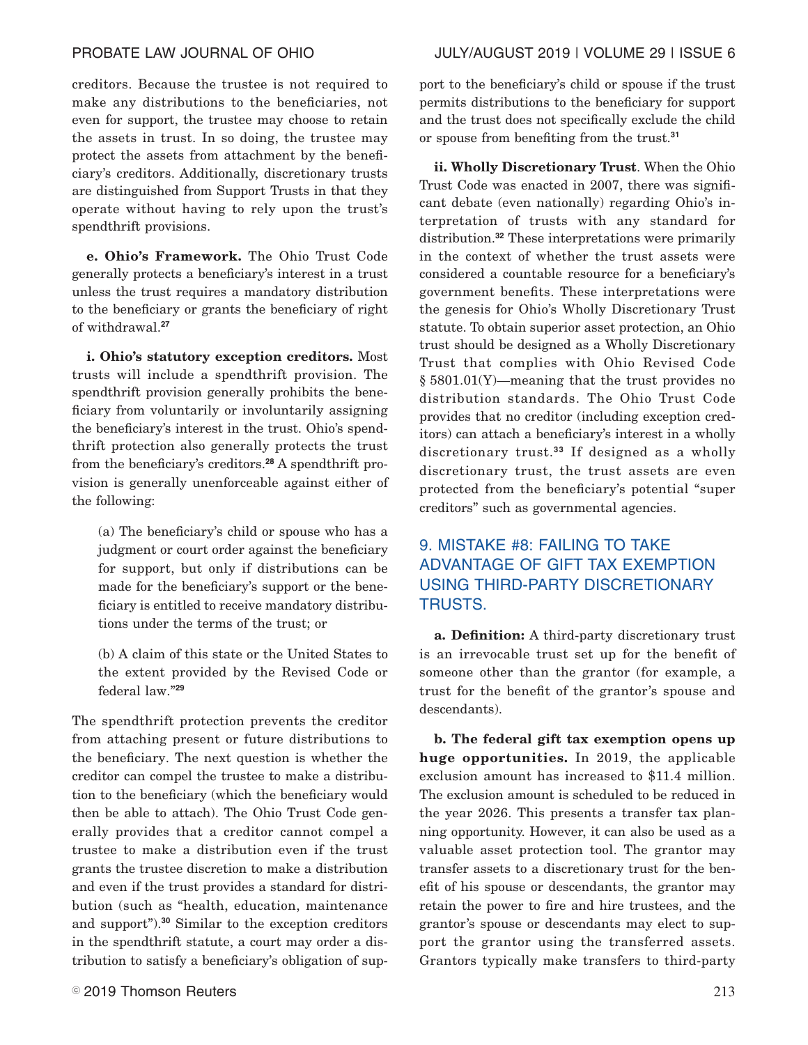PROBATE LAW JOURNAL OF OHIO JULY/AUGUST 2019 | VOLUME 29 | ISSUE 6

creditors. Because the trustee is not required to make any distributions to the beneficiaries, not even for support, the trustee may choose to retain the assets in trust. In so doing, the trustee may protect the assets from attachment by the beneficiary's creditors. Additionally, discretionary trusts are distinguished from Support Trusts in that they operate without having to rely upon the trust's spendthrift provisions.

**e. Ohio's Framework.** The Ohio Trust Code generally protects a beneficiary's interest in a trust unless the trust requires a mandatory distribution to the beneficiary or grants the beneficiary of right of withdrawal.**<sup>27</sup>**

**i. Ohio's statutory exception creditors.** Most trusts will include a spendthrift provision. The spendthrift provision generally prohibits the beneficiary from voluntarily or involuntarily assigning the beneficiary's interest in the trust. Ohio's spendthrift protection also generally protects the trust from the beneficiary's creditors.**<sup>28</sup>** A spendthrift provision is generally unenforceable against either of the following:

(a) The beneficiary's child or spouse who has a judgment or court order against the beneficiary for support, but only if distributions can be made for the beneficiary's support or the beneficiary is entitled to receive mandatory distributions under the terms of the trust; or

(b) A claim of this state or the United States to the extent provided by the Revised Code or federal law."**<sup>29</sup>**

The spendthrift protection prevents the creditor from attaching present or future distributions to the beneficiary. The next question is whether the creditor can compel the trustee to make a distribution to the beneficiary (which the beneficiary would then be able to attach). The Ohio Trust Code generally provides that a creditor cannot compel a trustee to make a distribution even if the trust grants the trustee discretion to make a distribution and even if the trust provides a standard for distribution (such as "health, education, maintenance and support").**<sup>30</sup>** Similar to the exception creditors in the spendthrift statute, a court may order a distribution to satisfy a beneficiary's obligation of support to the beneficiary's child or spouse if the trust permits distributions to the beneficiary for support and the trust does not specifically exclude the child or spouse from benefiting from the trust.**<sup>31</sup>**

**ii. Wholly Discretionary Trust**. When the Ohio Trust Code was enacted in 2007, there was significant debate (even nationally) regarding Ohio's interpretation of trusts with any standard for distribution.**<sup>32</sup>** These interpretations were primarily in the context of whether the trust assets were considered a countable resource for a beneficiary's government benefits. These interpretations were the genesis for Ohio's Wholly Discretionary Trust statute. To obtain superior asset protection, an Ohio trust should be designed as a Wholly Discretionary Trust that complies with Ohio Revised Code § 5801.01(Y)—meaning that the trust provides no distribution standards. The Ohio Trust Code provides that no creditor (including exception creditors) can attach a beneficiary's interest in a wholly discretionary trust.**<sup>33</sup>** If designed as a wholly discretionary trust, the trust assets are even protected from the beneficiary's potential "super creditors" such as governmental agencies.

# 9. MISTAKE #8: FAILING TO TAKE ADVANTAGE OF GIFT TAX EXEMPTION USING THIRD-PARTY DISCRETIONARY TRUSTS.

**a. Definition:** A third-party discretionary trust is an irrevocable trust set up for the benefit of someone other than the grantor (for example, a trust for the benefit of the grantor's spouse and descendants).

**b. The federal gift tax exemption opens up huge opportunities.** In 2019, the applicable exclusion amount has increased to \$11.4 million. The exclusion amount is scheduled to be reduced in the year 2026. This presents a transfer tax planning opportunity. However, it can also be used as a valuable asset protection tool. The grantor may transfer assets to a discretionary trust for the benefit of his spouse or descendants, the grantor may retain the power to fire and hire trustees, and the grantor's spouse or descendants may elect to support the grantor using the transferred assets. Grantors typically make transfers to third-party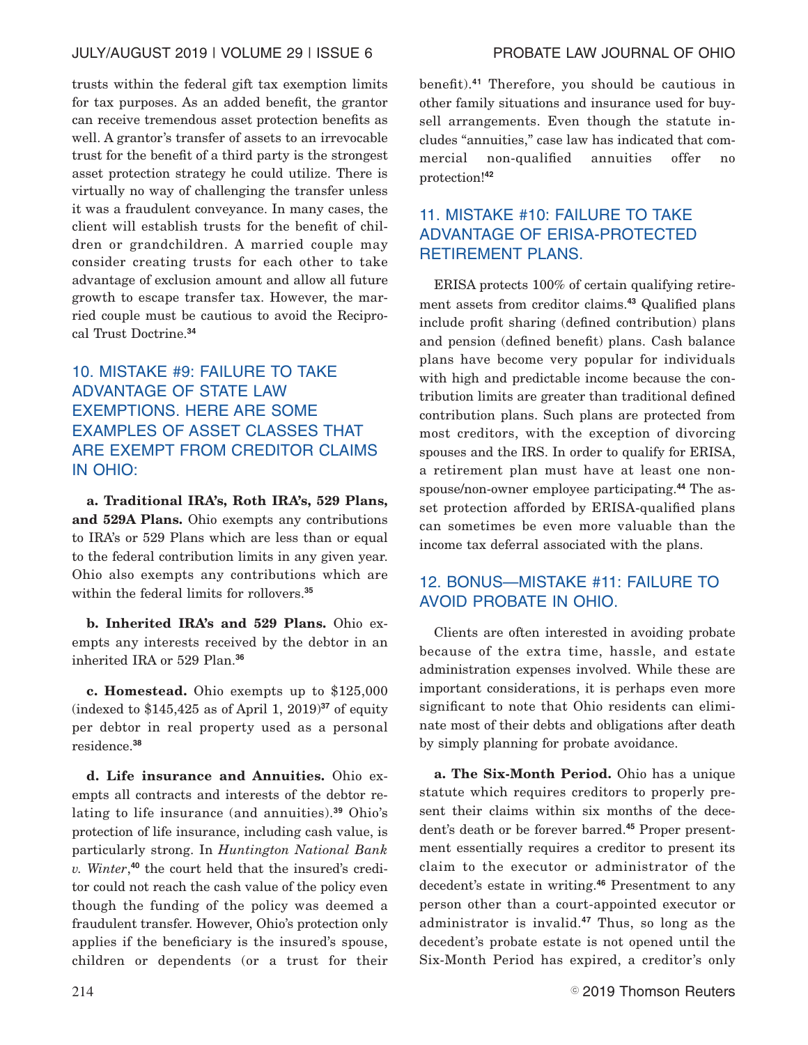## JULY/AUGUST 2019 | VOLUME 29 | ISSUE 6 PROBATE LAW JOURNAL OF OHIO

trusts within the federal gift tax exemption limits for tax purposes. As an added benefit, the grantor can receive tremendous asset protection benefits as well. A grantor's transfer of assets to an irrevocable trust for the benefit of a third party is the strongest asset protection strategy he could utilize. There is virtually no way of challenging the transfer unless it was a fraudulent conveyance. In many cases, the client will establish trusts for the benefit of children or grandchildren. A married couple may consider creating trusts for each other to take advantage of exclusion amount and allow all future growth to escape transfer tax. However, the married couple must be cautious to avoid the Reciprocal Trust Doctrine.**<sup>34</sup>**

# 10. MISTAKE #9: FAILURE TO TAKE ADVANTAGE OF STATE LAW EXEMPTIONS. HERE ARE SOME EXAMPLES OF ASSET CLASSES THAT ARE EXEMPT FROM CREDITOR CLAIMS IN OHIO:

**a. Traditional IRA's, Roth IRA's, 529 Plans, and 529A Plans.** Ohio exempts any contributions to IRA's or 529 Plans which are less than or equal to the federal contribution limits in any given year. Ohio also exempts any contributions which are within the federal limits for rollovers.**<sup>35</sup>**

**b. Inherited IRA's and 529 Plans.** Ohio exempts any interests received by the debtor in an inherited IRA or 529 Plan.**<sup>36</sup>**

**c. Homestead.** Ohio exempts up to \$125,000 (indexed to \$145,425 as of April 1, 2019)**<sup>37</sup>** of equity per debtor in real property used as a personal residence.**<sup>38</sup>**

**d. Life insurance and Annuities.** Ohio exempts all contracts and interests of the debtor relating to life insurance (and annuities).**<sup>39</sup>** Ohio's protection of life insurance, including cash value, is particularly strong. In *Huntington National Bank v. Winter*, **<sup>40</sup>** the court held that the insured's creditor could not reach the cash value of the policy even though the funding of the policy was deemed a fraudulent transfer. However, Ohio's protection only applies if the beneficiary is the insured's spouse, children or dependents (or a trust for their benefit).**<sup>41</sup>** Therefore, you should be cautious in other family situations and insurance used for buysell arrangements. Even though the statute includes "annuities," case law has indicated that commercial non-qualified annuities offer no protection!**<sup>42</sup>**

# 11. MISTAKE #10: FAILURE TO TAKE ADVANTAGE OF ERISA-PROTECTED RETIREMENT PLANS.

ERISA protects 100% of certain qualifying retirement assets from creditor claims.**<sup>43</sup>** Qualified plans include profit sharing (defined contribution) plans and pension (defined benefit) plans. Cash balance plans have become very popular for individuals with high and predictable income because the contribution limits are greater than traditional defined contribution plans. Such plans are protected from most creditors, with the exception of divorcing spouses and the IRS. In order to qualify for ERISA, a retirement plan must have at least one nonspouse/non-owner employee participating.**<sup>44</sup>** The asset protection afforded by ERISA-qualified plans can sometimes be even more valuable than the income tax deferral associated with the plans.

# 12. BONUS—MISTAKE #11: FAILURE TO AVOID PROBATE IN OHIO.

Clients are often interested in avoiding probate because of the extra time, hassle, and estate administration expenses involved. While these are important considerations, it is perhaps even more significant to note that Ohio residents can eliminate most of their debts and obligations after death by simply planning for probate avoidance.

**a. The Six-Month Period.** Ohio has a unique statute which requires creditors to properly present their claims within six months of the decedent's death or be forever barred.**<sup>45</sup>** Proper presentment essentially requires a creditor to present its claim to the executor or administrator of the decedent's estate in writing.**<sup>46</sup>** Presentment to any person other than a court-appointed executor or administrator is invalid.**<sup>47</sup>** Thus, so long as the decedent's probate estate is not opened until the Six-Month Period has expired, a creditor's only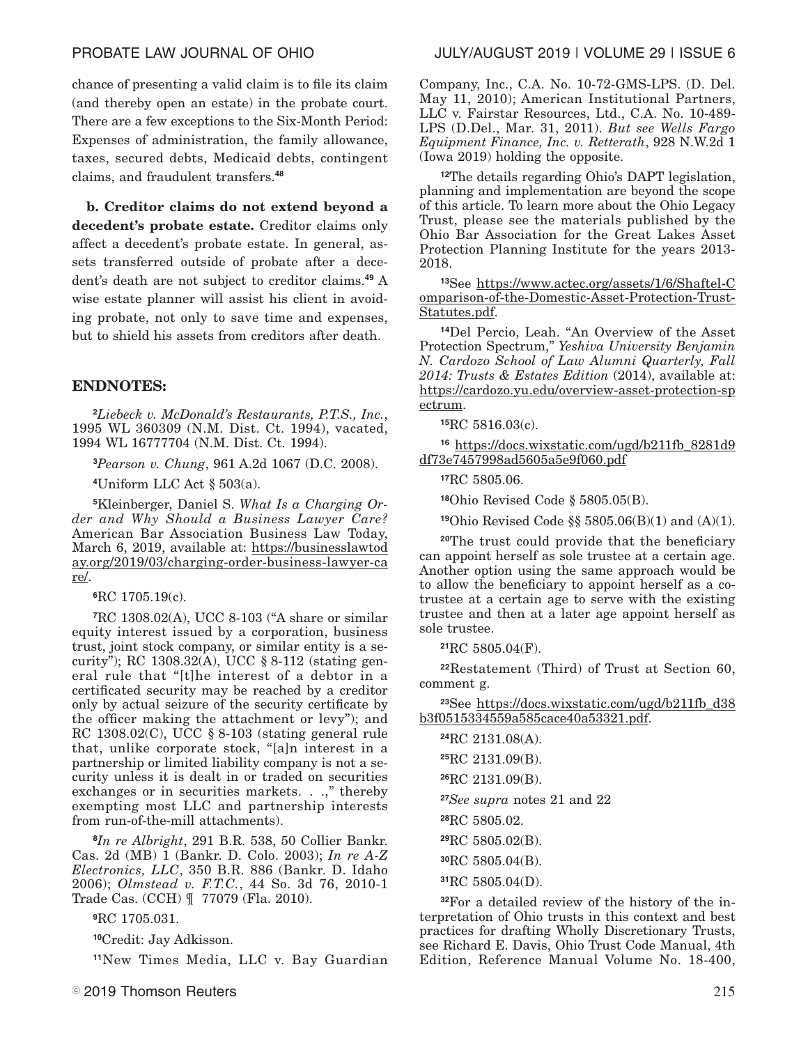chance of presenting a valid claim is to file its claim (and thereby open an estate) in the probate court. There are a few exceptions to the Six-Month Period: Expenses of administration, the family allowance, taxes, secured debts, Medicaid debts, contingent claims, and fraudulent transfers.**<sup>48</sup>**

**b. Creditor claims do not extend beyond a decedent's probate estate.** Creditor claims only affect a decedent's probate estate. In general, assets transferred outside of probate after a decedent's death are not subject to creditor claims.**<sup>49</sup>** A wise estate planner will assist his client in avoiding probate, not only to save time and expenses, but to shield his assets from creditors after death.

### **ENDNOTES:**

**<sup>2</sup>***Liebeck v. McDonald's Restaurants, P.T.S., Inc.*, 1995 WL 360309 (N.M. Dist. Ct. 1994), vacated, 1994 WL 16777704 (N.M. Dist. Ct. 1994).

**<sup>3</sup>***Pearson v. Chung*, 961 A.2d 1067 (D.C. 2008).

**<sup>4</sup>**Uniform LLC Act § 503(a).

**<sup>5</sup>**Kleinberger, Daniel S. *What Is a Charging Order and Why Should a Business Lawyer Care?* American Bar Association Business Law Today, March 6, 2019, available at: https://businesslawtod ay.org/2019/03/charging-order-business-lawyer-ca re/.

**<sup>6</sup>**RC 1705.19(c).

**<sup>7</sup>**RC 1308.02(A), UCC 8-103 ("A share or similar equity interest issued by a corporation, business trust, joint stock company, or similar entity is a security"); RC 1308.32(A), UCC § 8-112 (stating general rule that "[t]he interest of a debtor in a certificated security may be reached by a creditor only by actual seizure of the security certificate by the officer making the attachment or levy"); and RC 1308.02(C), UCC § 8-103 (stating general rule that, unlike corporate stock, "[a]n interest in a partnership or limited liability company is not a security unless it is dealt in or traded on securities exchanges or in securities markets. . .," thereby exempting most LLC and partnership interests from run-of-the-mill attachments).

**<sup>8</sup>***In re Albright*, 291 B.R. 538, 50 Collier Bankr. Cas. 2d (MB) 1 (Bankr. D. Colo. 2003); *In re A-Z Electronics, LLC*, 350 B.R. 886 (Bankr. D. Idaho 2006); *Olmstead v. F.T.C.*, 44 So. 3d 76, 2010-1 Trade Cas. (CCH) ¶ 77079 (Fla. 2010).

**<sup>9</sup>**RC 1705.031.

**<sup>10</sup>**Credit: Jay Adkisson.

**<sup>11</sup>**New Times Media, LLC v. Bay Guardian

Company, Inc., C.A. No. 10-72-GMS-LPS. (D. Del. May 11, 2010); American Institutional Partners, LLC v. Fairstar Resources, Ltd., C.A. No. 10-489- LPS (D.Del., Mar. 31, 2011). *But see Wells Fargo Equipment Finance, Inc. v. Retterath*, 928 N.W.2d 1 (Iowa 2019) holding the opposite.

**<sup>12</sup>**The details regarding Ohio's DAPT legislation, planning and implementation are beyond the scope of this article. To learn more about the Ohio Legacy Trust, please see the materials published by the Ohio Bar Association for the Great Lakes Asset Protection Planning Institute for the years 2013- 2018.

**<sup>13</sup>**See https://www.actec.org/assets/1/6/Shaftel-C omparison-of-the-Domestic-Asset-Protection-Trust-Statutes.pdf.

**<sup>14</sup>**Del Percio, Leah. "An Overview of the Asset Protection Spectrum," *Yeshiva University Benjamin N. Cardozo School of Law Alumni Quarterly, Fall 2014: Trusts & Estates Edition* (2014), available at: https://cardozo.yu.edu/overview-asset-protection-sp ectrum.

**<sup>15</sup>**RC 5816.03(c).

**<sup>16</sup>** https://docs.wixstatic.com/ugd/b211fb\_8281d9 df73e7457998ad5605a5e9f060.pdf

**<sup>17</sup>**RC 5805.06.

**<sup>18</sup>**Ohio Revised Code § 5805.05(B).

**<sup>19</sup>**Ohio Revised Code §§ 5805.06(B)(1) and (A)(1).

**<sup>20</sup>**The trust could provide that the beneficiary can appoint herself as sole trustee at a certain age. Another option using the same approach would be to allow the beneficiary to appoint herself as a cotrustee at a certain age to serve with the existing trustee and then at a later age appoint herself as sole trustee.

**<sup>21</sup>**RC 5805.04(F).

**<sup>22</sup>**Restatement (Third) of Trust at Section 60, comment g.

**<sup>23</sup>**See https://docs.wixstatic.com/ugd/b211fb\_d38 b3f0515334559a585cace40a53321.pdf.

| <sup>24</sup> RC 2131.08(A).            |
|-----------------------------------------|
| <sup>25</sup> RC 2131.09(B).            |
| <sup>26</sup> RC 2131.09(B).            |
| <sup>27</sup> See supra notes 21 and 22 |
| <sup>28</sup> RC 5805.02.               |
| <sup>29</sup> RC 5805.02(B).            |
| 30RC 5805.04(B).                        |
| <sup>31</sup> RC 5805.04(D).            |
|                                         |

**32**For a detailed review of the history of the interpretation of Ohio trusts in this context and best practices for drafting Wholly Discretionary Trusts, see Richard E. Davis, Ohio Trust Code Manual, 4th Edition, Reference Manual Volume No. 18-400,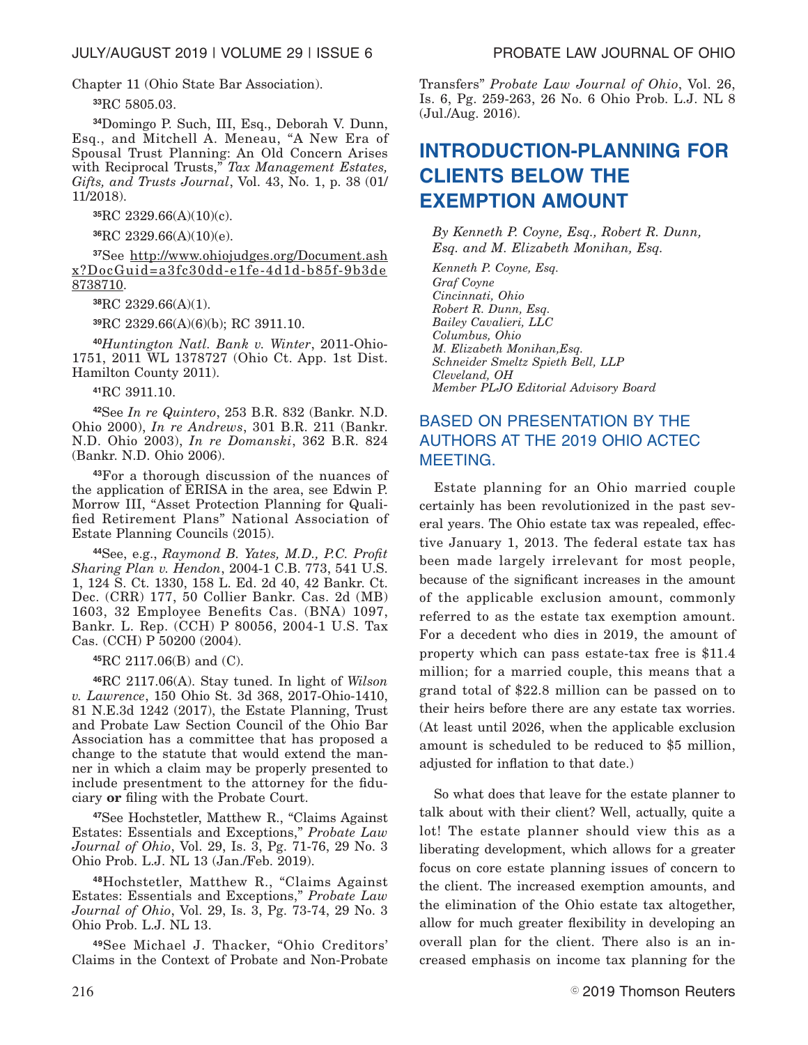Chapter 11 (Ohio State Bar Association).

**<sup>33</sup>**RC 5805.03.

**<sup>34</sup>**Domingo P. Such, III, Esq., Deborah V. Dunn, Esq., and Mitchell A. Meneau, "A New Era of Spousal Trust Planning: An Old Concern Arises with Reciprocal Trusts," *Tax Management Estates, Gifts, and Trusts Journal*, Vol. 43, No. 1, p. 38 (01/ 11/2018).

**<sup>35</sup>**RC 2329.66(A)(10)(c).

**<sup>36</sup>**RC 2329.66(A)(10)(e).

**<sup>37</sup>**See http://www.ohiojudges.org/Document.ash x?DocGuid=a3fc30dd-e1fe-4d1d-b85f-9b3de 8738710.

**<sup>38</sup>**RC 2329.66(A)(1).

**<sup>39</sup>**RC 2329.66(A)(6)(b); RC 3911.10.

**40***Huntington Natl. Bank v. Winter*, 2011-Ohio-1751, 2011 WL 1378727 (Ohio Ct. App. 1st Dist. Hamilton County 2011).

**<sup>41</sup>**RC 3911.10.

**<sup>42</sup>**See *In re Quintero*, 253 B.R. 832 (Bankr. N.D. Ohio 2000), *In re Andrews*, 301 B.R. 211 (Bankr. N.D. Ohio 2003), *In re Domanski*, 362 B.R. 824 (Bankr. N.D. Ohio 2006).

**<sup>43</sup>**For a thorough discussion of the nuances of the application of ERISA in the area, see Edwin P. Morrow III, "Asset Protection Planning for Qualified Retirement Plans" National Association of Estate Planning Councils (2015).

**<sup>44</sup>**See, e.g., *Raymond B. Yates, M.D., P.C. Profit Sharing Plan v. Hendon*, 2004-1 C.B. 773, 541 U.S. 1, 124 S. Ct. 1330, 158 L. Ed. 2d 40, 42 Bankr. Ct. Dec. (CRR) 177, 50 Collier Bankr. Cas. 2d (MB) 1603, 32 Employee Benefits Cas. (BNA) 1097, Bankr. L. Rep. (CCH) P 80056, 2004-1 U.S. Tax Cas. (CCH) P 50200 (2004).

**<sup>45</sup>**RC 2117.06(B) and (C).

**<sup>46</sup>**RC 2117.06(A). Stay tuned. In light of *Wilson v. Lawrence*, 150 Ohio St. 3d 368, 2017-Ohio-1410, 81 N.E.3d 1242 (2017), the Estate Planning, Trust and Probate Law Section Council of the Ohio Bar Association has a committee that has proposed a change to the statute that would extend the manner in which a claim may be properly presented to include presentment to the attorney for the fiduciary **or** filing with the Probate Court.

**<sup>47</sup>**See Hochstetler, Matthew R., "Claims Against Estates: Essentials and Exceptions," *Probate Law Journal of Ohio*, Vol. 29, Is. 3, Pg. 71-76, 29 No. 3 Ohio Prob. L.J. NL 13 (Jan./Feb. 2019).

**<sup>48</sup>**Hochstetler, Matthew R., "Claims Against Estates: Essentials and Exceptions," *Probate Law Journal of Ohio*, Vol. 29, Is. 3, Pg. 73-74, 29 No. 3 Ohio Prob. L.J. NL 13.

**<sup>49</sup>**See Michael J. Thacker, "Ohio Creditors' Claims in the Context of Probate and Non-Probate Transfers" *Probate Law Journal of Ohio*, Vol. 26, Is. 6, Pg. 259-263, 26 No. 6 Ohio Prob. L.J. NL 8 (Jul./Aug. 2016).

# **INTRODUCTION-PLANNING FOR CLIENTS BELOW THE EXEMPTION AMOUNT**

*By Kenneth P. Coyne, Esq., Robert R. Dunn, Esq. and M. Elizabeth Monihan, Esq.*

*Kenneth P. Coyne, Esq. Graf Coyne Cincinnati, Ohio Robert R. Dunn, Esq. Bailey Cavalieri, LLC Columbus, Ohio M. Elizabeth Monihan,Esq. Schneider Smeltz Spieth Bell, LLP Cleveland, OH Member PLJO Editorial Advisory Board*

# BASED ON PRESENTATION BY THE AUTHORS AT THE 2019 OHIO ACTEC MEETING.

Estate planning for an Ohio married couple certainly has been revolutionized in the past several years. The Ohio estate tax was repealed, effective January 1, 2013. The federal estate tax has been made largely irrelevant for most people, because of the significant increases in the amount of the applicable exclusion amount, commonly referred to as the estate tax exemption amount. For a decedent who dies in 2019, the amount of property which can pass estate-tax free is \$11.4 million; for a married couple, this means that a grand total of \$22.8 million can be passed on to their heirs before there are any estate tax worries. (At least until 2026, when the applicable exclusion amount is scheduled to be reduced to \$5 million, adjusted for inflation to that date.)

So what does that leave for the estate planner to talk about with their client? Well, actually, quite a lot! The estate planner should view this as a liberating development, which allows for a greater focus on core estate planning issues of concern to the client. The increased exemption amounts, and the elimination of the Ohio estate tax altogether, allow for much greater flexibility in developing an overall plan for the client. There also is an increased emphasis on income tax planning for the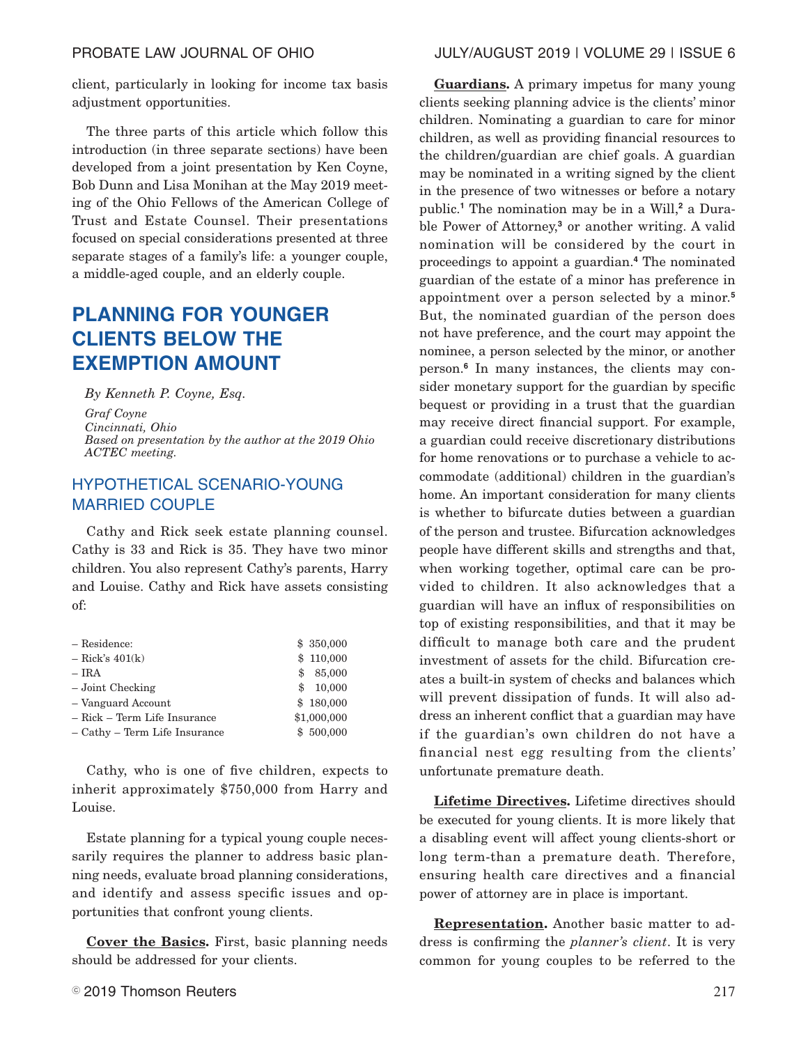client, particularly in looking for income tax basis adjustment opportunities.

The three parts of this article which follow this introduction (in three separate sections) have been developed from a joint presentation by Ken Coyne, Bob Dunn and Lisa Monihan at the May 2019 meeting of the Ohio Fellows of the American College of Trust and Estate Counsel. Their presentations focused on special considerations presented at three separate stages of a family's life: a younger couple, a middle-aged couple, and an elderly couple.

# **PLANNING FOR YOUNGER CLIENTS BELOW THE EXEMPTION AMOUNT**

*By Kenneth P. Coyne, Esq. Graf Coyne Cincinnati, Ohio Based on presentation by the author at the 2019 Ohio ACTEC meeting.*

# HYPOTHETICAL SCENARIO-YOUNG MARRIED COUPLE

Cathy and Rick seek estate planning counsel. Cathy is 33 and Rick is 35. They have two minor children. You also represent Cathy's parents, Harry and Louise. Cathy and Rick have assets consisting of:

| - Residence:                  | \$350,000    |
|-------------------------------|--------------|
| $-$ Rick's 401(k)             | \$110,000    |
| $-$ IRA                       | 85,000<br>\$ |
| $-$ Joint Checking            | 10,000<br>\$ |
| - Vanguard Account            | \$180,000    |
| - Rick - Term Life Insurance  | \$1,000,000  |
| - Cathy - Term Life Insurance | \$500,000    |

Cathy, who is one of five children, expects to inherit approximately \$750,000 from Harry and Louise.

Estate planning for a typical young couple necessarily requires the planner to address basic planning needs, evaluate broad planning considerations, and identify and assess specific issues and opportunities that confront young clients.

**Cover the Basics.** First, basic planning needs should be addressed for your clients.

**Guardians.** A primary impetus for many young clients seeking planning advice is the clients' minor children. Nominating a guardian to care for minor children, as well as providing financial resources to the children/guardian are chief goals. A guardian may be nominated in a writing signed by the client in the presence of two witnesses or before a notary public.**<sup>1</sup>** The nomination may be in a Will,**<sup>2</sup>** a Durable Power of Attorney,**<sup>3</sup>** or another writing. A valid nomination will be considered by the court in proceedings to appoint a guardian.**<sup>4</sup>** The nominated guardian of the estate of a minor has preference in appointment over a person selected by a minor.**<sup>5</sup>** But, the nominated guardian of the person does not have preference, and the court may appoint the nominee, a person selected by the minor, or another person.**<sup>6</sup>** In many instances, the clients may consider monetary support for the guardian by specific bequest or providing in a trust that the guardian may receive direct financial support. For example, a guardian could receive discretionary distributions for home renovations or to purchase a vehicle to accommodate (additional) children in the guardian's home. An important consideration for many clients is whether to bifurcate duties between a guardian of the person and trustee. Bifurcation acknowledges people have different skills and strengths and that, when working together, optimal care can be provided to children. It also acknowledges that a guardian will have an influx of responsibilities on top of existing responsibilities, and that it may be difficult to manage both care and the prudent investment of assets for the child. Bifurcation creates a built-in system of checks and balances which will prevent dissipation of funds. It will also address an inherent conflict that a guardian may have if the guardian's own children do not have a financial nest egg resulting from the clients' unfortunate premature death.

**Lifetime Directives.** Lifetime directives should be executed for young clients. It is more likely that a disabling event will affect young clients-short or long term-than a premature death. Therefore, ensuring health care directives and a financial power of attorney are in place is important.

**Representation.** Another basic matter to address is confirming the *planner's client*. It is very common for young couples to be referred to the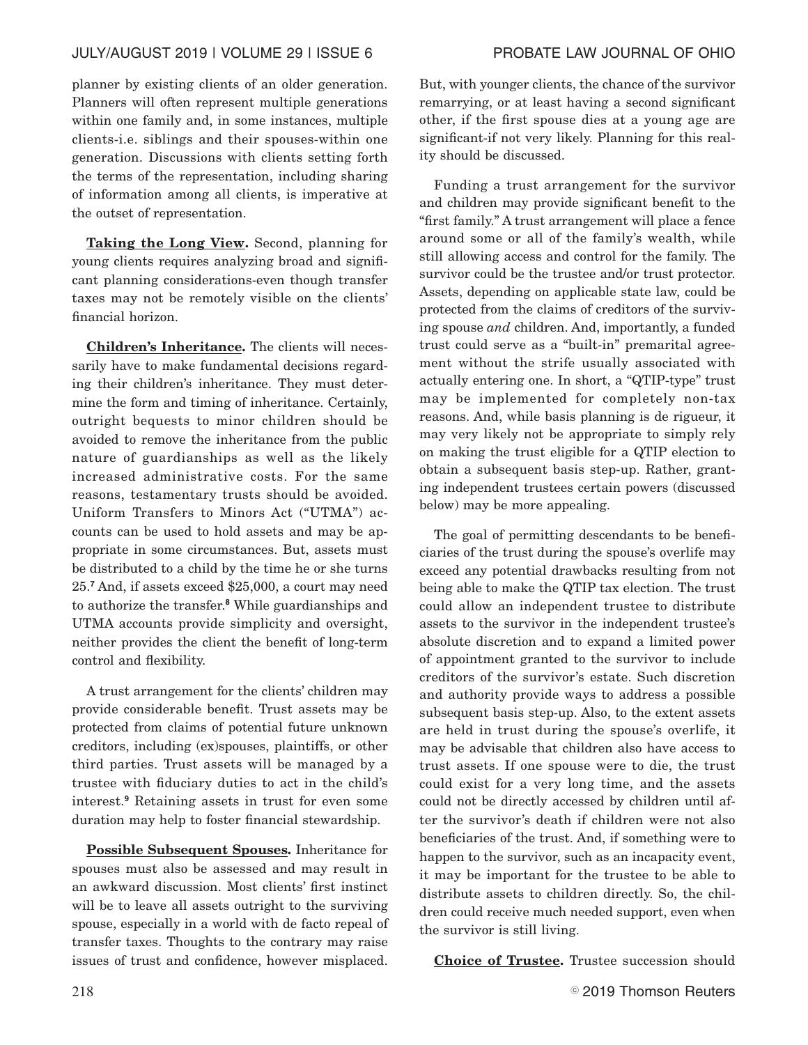# JULY/AUGUST 2019 | VOLUME 29 | ISSUE 6 PROBATE LAW JOURNAL OF OHIO

planner by existing clients of an older generation. Planners will often represent multiple generations within one family and, in some instances, multiple clients-i.e. siblings and their spouses-within one generation. Discussions with clients setting forth the terms of the representation, including sharing of information among all clients, is imperative at the outset of representation.

**Taking the Long View.** Second, planning for young clients requires analyzing broad and significant planning considerations-even though transfer taxes may not be remotely visible on the clients' financial horizon.

**Children's Inheritance.** The clients will necessarily have to make fundamental decisions regarding their children's inheritance. They must determine the form and timing of inheritance. Certainly, outright bequests to minor children should be avoided to remove the inheritance from the public nature of guardianships as well as the likely increased administrative costs. For the same reasons, testamentary trusts should be avoided. Uniform Transfers to Minors Act ("UTMA") accounts can be used to hold assets and may be appropriate in some circumstances. But, assets must be distributed to a child by the time he or she turns 25.**<sup>7</sup>** And, if assets exceed \$25,000, a court may need to authorize the transfer.**<sup>8</sup>** While guardianships and UTMA accounts provide simplicity and oversight, neither provides the client the benefit of long-term control and flexibility.

A trust arrangement for the clients' children may provide considerable benefit. Trust assets may be protected from claims of potential future unknown creditors, including (ex)spouses, plaintiffs, or other third parties. Trust assets will be managed by a trustee with fiduciary duties to act in the child's interest.**<sup>9</sup>** Retaining assets in trust for even some duration may help to foster financial stewardship.

**Possible Subsequent Spouses.** Inheritance for spouses must also be assessed and may result in an awkward discussion. Most clients' first instinct will be to leave all assets outright to the surviving spouse, especially in a world with de facto repeal of transfer taxes. Thoughts to the contrary may raise issues of trust and confidence, however misplaced.

But, with younger clients, the chance of the survivor remarrying, or at least having a second significant other, if the first spouse dies at a young age are significant-if not very likely. Planning for this reality should be discussed.

Funding a trust arrangement for the survivor and children may provide significant benefit to the "first family." A trust arrangement will place a fence around some or all of the family's wealth, while still allowing access and control for the family. The survivor could be the trustee and/or trust protector. Assets, depending on applicable state law, could be protected from the claims of creditors of the surviving spouse *and* children. And, importantly, a funded trust could serve as a "built-in" premarital agreement without the strife usually associated with actually entering one. In short, a "QTIP-type" trust may be implemented for completely non-tax reasons. And, while basis planning is de rigueur, it may very likely not be appropriate to simply rely on making the trust eligible for a QTIP election to obtain a subsequent basis step-up. Rather, granting independent trustees certain powers (discussed below) may be more appealing.

The goal of permitting descendants to be beneficiaries of the trust during the spouse's overlife may exceed any potential drawbacks resulting from not being able to make the QTIP tax election. The trust could allow an independent trustee to distribute assets to the survivor in the independent trustee's absolute discretion and to expand a limited power of appointment granted to the survivor to include creditors of the survivor's estate. Such discretion and authority provide ways to address a possible subsequent basis step-up. Also, to the extent assets are held in trust during the spouse's overlife, it may be advisable that children also have access to trust assets. If one spouse were to die, the trust could exist for a very long time, and the assets could not be directly accessed by children until after the survivor's death if children were not also beneficiaries of the trust. And, if something were to happen to the survivor, such as an incapacity event, it may be important for the trustee to be able to distribute assets to children directly. So, the children could receive much needed support, even when the survivor is still living.

**Choice of Trustee.** Trustee succession should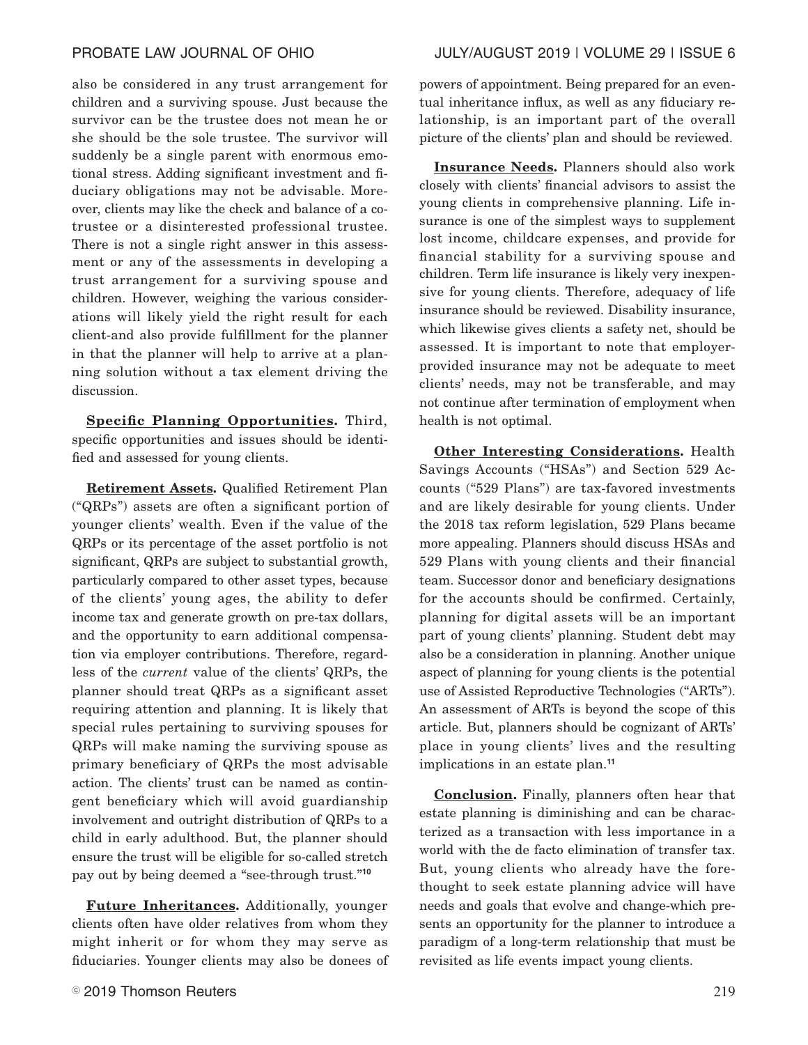also be considered in any trust arrangement for children and a surviving spouse. Just because the survivor can be the trustee does not mean he or she should be the sole trustee. The survivor will suddenly be a single parent with enormous emotional stress. Adding significant investment and fiduciary obligations may not be advisable. Moreover, clients may like the check and balance of a cotrustee or a disinterested professional trustee. There is not a single right answer in this assessment or any of the assessments in developing a trust arrangement for a surviving spouse and children. However, weighing the various considerations will likely yield the right result for each client-and also provide fulfillment for the planner in that the planner will help to arrive at a planning solution without a tax element driving the discussion.

**Specific Planning Opportunities.** Third, specific opportunities and issues should be identified and assessed for young clients.

**Retirement Assets.** Qualified Retirement Plan ("QRPs") assets are often a significant portion of younger clients' wealth. Even if the value of the QRPs or its percentage of the asset portfolio is not significant, QRPs are subject to substantial growth, particularly compared to other asset types, because of the clients' young ages, the ability to defer income tax and generate growth on pre-tax dollars, and the opportunity to earn additional compensation via employer contributions. Therefore, regardless of the *current* value of the clients' QRPs, the planner should treat QRPs as a significant asset requiring attention and planning. It is likely that special rules pertaining to surviving spouses for QRPs will make naming the surviving spouse as primary beneficiary of QRPs the most advisable action. The clients' trust can be named as contingent beneficiary which will avoid guardianship involvement and outright distribution of QRPs to a child in early adulthood. But, the planner should ensure the trust will be eligible for so-called stretch pay out by being deemed a "see-through trust."**<sup>10</sup>**

**Future Inheritances.** Additionally, younger clients often have older relatives from whom they might inherit or for whom they may serve as fiduciaries. Younger clients may also be donees of

powers of appointment. Being prepared for an eventual inheritance influx, as well as any fiduciary relationship, is an important part of the overall picture of the clients' plan and should be reviewed.

**Insurance Needs.** Planners should also work closely with clients' financial advisors to assist the young clients in comprehensive planning. Life insurance is one of the simplest ways to supplement lost income, childcare expenses, and provide for financial stability for a surviving spouse and children. Term life insurance is likely very inexpensive for young clients. Therefore, adequacy of life insurance should be reviewed. Disability insurance, which likewise gives clients a safety net, should be assessed. It is important to note that employerprovided insurance may not be adequate to meet clients' needs, may not be transferable, and may not continue after termination of employment when health is not optimal.

**Other Interesting Considerations.** Health Savings Accounts ("HSAs") and Section 529 Accounts ("529 Plans") are tax-favored investments and are likely desirable for young clients. Under the 2018 tax reform legislation, 529 Plans became more appealing. Planners should discuss HSAs and 529 Plans with young clients and their financial team. Successor donor and beneficiary designations for the accounts should be confirmed. Certainly, planning for digital assets will be an important part of young clients' planning. Student debt may also be a consideration in planning. Another unique aspect of planning for young clients is the potential use of Assisted Reproductive Technologies ("ARTs"). An assessment of ARTs is beyond the scope of this article. But, planners should be cognizant of ARTs' place in young clients' lives and the resulting implications in an estate plan.**<sup>11</sup>**

**Conclusion.** Finally, planners often hear that estate planning is diminishing and can be characterized as a transaction with less importance in a world with the de facto elimination of transfer tax. But, young clients who already have the forethought to seek estate planning advice will have needs and goals that evolve and change-which presents an opportunity for the planner to introduce a paradigm of a long-term relationship that must be revisited as life events impact young clients.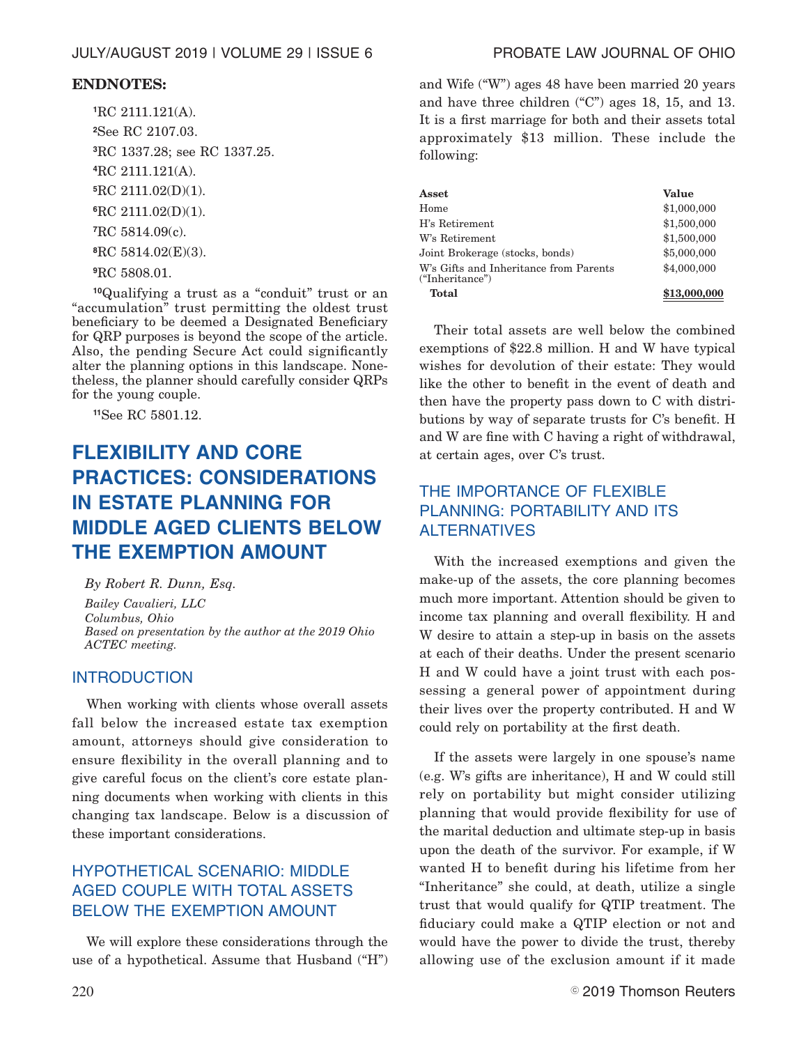## **ENDNOTES:**

RC 2111.121(A). See RC 2107.03. RC 1337.28; see RC 1337.25. RC 2111.121(A). RC 2111.02(D)(1). RC 2111.02(D)(1). RC 5814.09(c). RC 5814.02(E)(3). RC 5808.01.

**<sup>10</sup>**Qualifying a trust as a "conduit" trust or an "accumulation" trust permitting the oldest trust beneficiary to be deemed a Designated Beneficiary for QRP purposes is beyond the scope of the article. Also, the pending Secure Act could significantly alter the planning options in this landscape. Nonetheless, the planner should carefully consider QRPs for the young couple.

**<sup>11</sup>**See RC 5801.12.

# **FLEXIBILITY AND CORE PRACTICES: CONSIDERATIONS IN ESTATE PLANNING FOR MIDDLE AGED CLIENTS BELOW THE EXEMPTION AMOUNT**

*By Robert R. Dunn, Esq.*

*Bailey Cavalieri, LLC Columbus, Ohio Based on presentation by the author at the 2019 Ohio ACTEC meeting.*

# INTRODUCTION

When working with clients whose overall assets fall below the increased estate tax exemption amount, attorneys should give consideration to ensure flexibility in the overall planning and to give careful focus on the client's core estate planning documents when working with clients in this changing tax landscape. Below is a discussion of these important considerations.

# HYPOTHETICAL SCENARIO: MIDDLE AGED COUPLE WITH TOTAL ASSETS BELOW THE EXEMPTION AMOUNT

We will explore these considerations through the use of a hypothetical. Assume that Husband ("H") and Wife ("W") ages 48 have been married 20 years and have three children ("C") ages 18, 15, and 13. It is a first marriage for both and their assets total approximately \$13 million. These include the following:

| Asset                                                     | Value        |
|-----------------------------------------------------------|--------------|
| Home                                                      | \$1,000,000  |
| H's Retirement                                            | \$1,500,000  |
| W's Retirement                                            | \$1,500,000  |
| Joint Brokerage (stocks, bonds)                           | \$5,000,000  |
| W's Gifts and Inheritance from Parents<br>("Inheritance") | \$4,000,000  |
| <b>Total</b>                                              | \$13,000,000 |

Their total assets are well below the combined exemptions of \$22.8 million. H and W have typical wishes for devolution of their estate: They would like the other to benefit in the event of death and then have the property pass down to C with distributions by way of separate trusts for C's benefit. H and W are fine with C having a right of withdrawal, at certain ages, over C's trust.

# THE IMPORTANCE OF FLEXIBLE PLANNING: PORTABILITY AND ITS ALTERNATIVES

With the increased exemptions and given the make-up of the assets, the core planning becomes much more important. Attention should be given to income tax planning and overall flexibility. H and W desire to attain a step-up in basis on the assets at each of their deaths. Under the present scenario H and W could have a joint trust with each possessing a general power of appointment during their lives over the property contributed. H and W could rely on portability at the first death.

If the assets were largely in one spouse's name (e.g. W's gifts are inheritance), H and W could still rely on portability but might consider utilizing planning that would provide flexibility for use of the marital deduction and ultimate step-up in basis upon the death of the survivor. For example, if W wanted H to benefit during his lifetime from her "Inheritance" she could, at death, utilize a single trust that would qualify for QTIP treatment. The fiduciary could make a QTIP election or not and would have the power to divide the trust, thereby allowing use of the exclusion amount if it made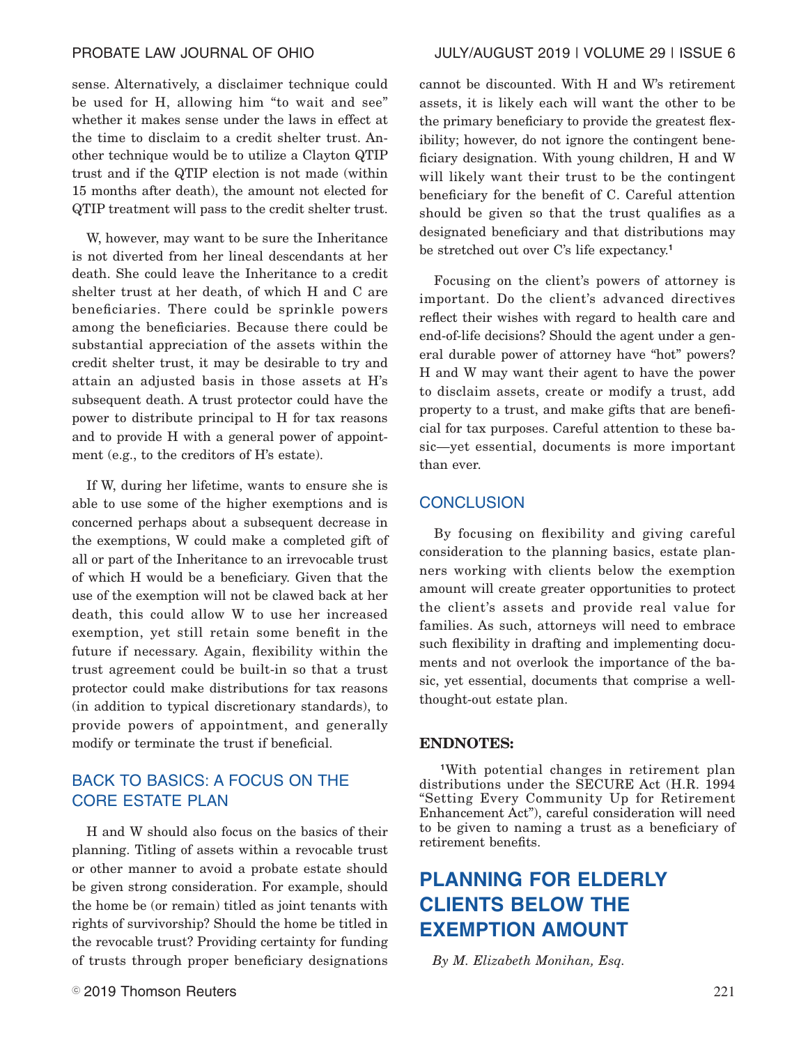sense. Alternatively, a disclaimer technique could be used for H, allowing him "to wait and see" whether it makes sense under the laws in effect at the time to disclaim to a credit shelter trust. Another technique would be to utilize a Clayton QTIP trust and if the QTIP election is not made (within 15 months after death), the amount not elected for QTIP treatment will pass to the credit shelter trust.

W, however, may want to be sure the Inheritance is not diverted from her lineal descendants at her death. She could leave the Inheritance to a credit shelter trust at her death, of which H and C are beneficiaries. There could be sprinkle powers among the beneficiaries. Because there could be substantial appreciation of the assets within the credit shelter trust, it may be desirable to try and attain an adjusted basis in those assets at H's subsequent death. A trust protector could have the power to distribute principal to H for tax reasons and to provide H with a general power of appointment (e.g., to the creditors of H's estate).

If W, during her lifetime, wants to ensure she is able to use some of the higher exemptions and is concerned perhaps about a subsequent decrease in the exemptions, W could make a completed gift of all or part of the Inheritance to an irrevocable trust of which H would be a beneficiary. Given that the use of the exemption will not be clawed back at her death, this could allow W to use her increased exemption, yet still retain some benefit in the future if necessary. Again, flexibility within the trust agreement could be built-in so that a trust protector could make distributions for tax reasons (in addition to typical discretionary standards), to provide powers of appointment, and generally modify or terminate the trust if beneficial.

# BACK TO BASICS: A FOCUS ON THE CORE ESTATE PLAN

H and W should also focus on the basics of their planning. Titling of assets within a revocable trust or other manner to avoid a probate estate should be given strong consideration. For example, should the home be (or remain) titled as joint tenants with rights of survivorship? Should the home be titled in the revocable trust? Providing certainty for funding of trusts through proper beneficiary designations cannot be discounted. With H and W's retirement assets, it is likely each will want the other to be the primary beneficiary to provide the greatest flexibility; however, do not ignore the contingent beneficiary designation. With young children, H and W will likely want their trust to be the contingent beneficiary for the benefit of C. Careful attention should be given so that the trust qualifies as a designated beneficiary and that distributions may be stretched out over C's life expectancy.**<sup>1</sup>**

Focusing on the client's powers of attorney is important. Do the client's advanced directives reflect their wishes with regard to health care and end-of-life decisions? Should the agent under a general durable power of attorney have "hot" powers? H and W may want their agent to have the power to disclaim assets, create or modify a trust, add property to a trust, and make gifts that are beneficial for tax purposes. Careful attention to these basic—yet essential, documents is more important than ever.

# **CONCLUSION**

By focusing on flexibility and giving careful consideration to the planning basics, estate planners working with clients below the exemption amount will create greater opportunities to protect the client's assets and provide real value for families. As such, attorneys will need to embrace such flexibility in drafting and implementing documents and not overlook the importance of the basic, yet essential, documents that comprise a wellthought-out estate plan.

### **ENDNOTES:**

**<sup>1</sup>**With potential changes in retirement plan distributions under the SECURE Act (H.R. 1994 "Setting Every Community Up for Retirement Enhancement Act"), careful consideration will need to be given to naming a trust as a beneficiary of retirement benefits.

# **PLANNING FOR ELDERLY CLIENTS BELOW THE EXEMPTION AMOUNT**

*By M. Elizabeth Monihan, Esq.*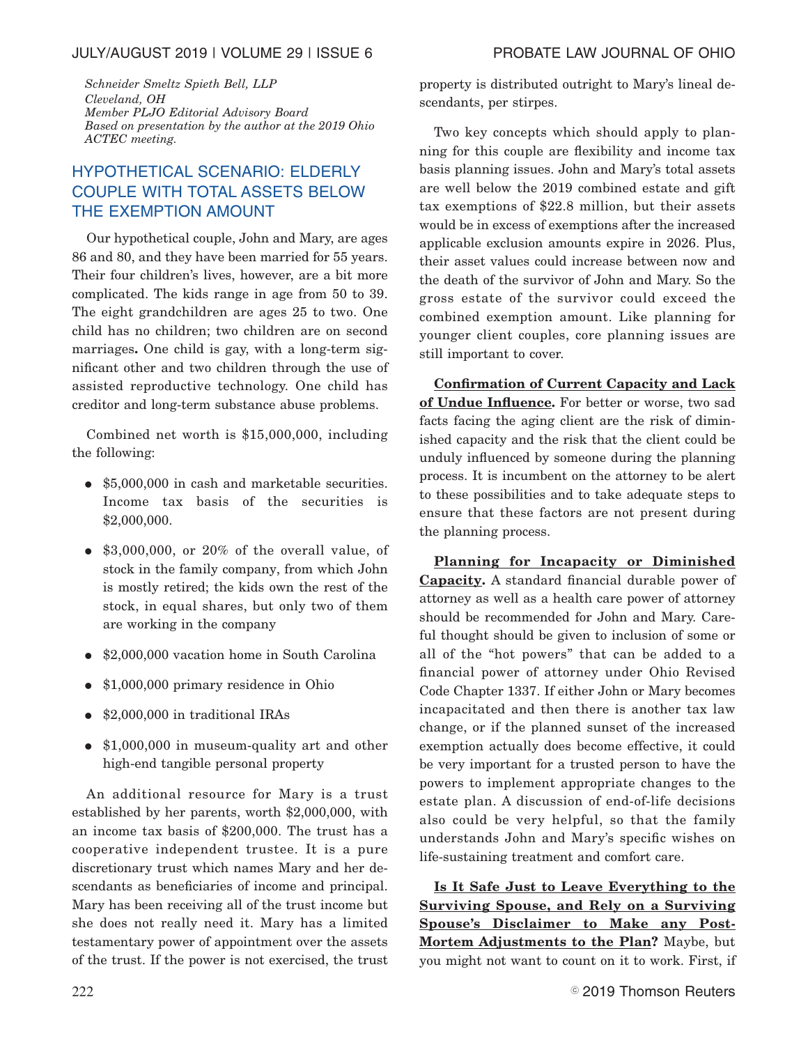*Schneider Smeltz Spieth Bell, LLP Cleveland, OH Member PLJO Editorial Advisory Board Based on presentation by the author at the 2019 Ohio ACTEC meeting.*

# HYPOTHETICAL SCENARIO: ELDERLY COUPLE WITH TOTAL ASSETS BELOW THE EXEMPTION AMOUNT

Our hypothetical couple, John and Mary, are ages 86 and 80, and they have been married for 55 years. Their four children's lives, however, are a bit more complicated. The kids range in age from 50 to 39. The eight grandchildren are ages 25 to two. One child has no children; two children are on second marriages**.** One child is gay, with a long-term significant other and two children through the use of assisted reproductive technology. One child has creditor and long-term substance abuse problems.

Combined net worth is \$15,000,000, including the following:

- \$5,000,000 in cash and marketable securities. Income tax basis of the securities is \$2,000,000.
- $\bullet$  \$3,000,000, or 20% of the overall value, of stock in the family company, from which John is mostly retired; the kids own the rest of the stock, in equal shares, but only two of them are working in the company
- \$2,000,000 vacation home in South Carolina
- \$1,000,000 primary residence in Ohio
- \$2,000,000 in traditional IRAs
- $\bullet$  \$1,000,000 in museum-quality art and other high-end tangible personal property

An additional resource for Mary is a trust established by her parents, worth \$2,000,000, with an income tax basis of \$200,000. The trust has a cooperative independent trustee. It is a pure discretionary trust which names Mary and her descendants as beneficiaries of income and principal. Mary has been receiving all of the trust income but she does not really need it. Mary has a limited testamentary power of appointment over the assets of the trust. If the power is not exercised, the trust property is distributed outright to Mary's lineal descendants, per stirpes.

Two key concepts which should apply to planning for this couple are flexibility and income tax basis planning issues. John and Mary's total assets are well below the 2019 combined estate and gift tax exemptions of \$22.8 million, but their assets would be in excess of exemptions after the increased applicable exclusion amounts expire in 2026. Plus, their asset values could increase between now and the death of the survivor of John and Mary. So the gross estate of the survivor could exceed the combined exemption amount. Like planning for younger client couples, core planning issues are still important to cover.

**Confirmation of Current Capacity and Lack of Undue Influence.** For better or worse, two sad facts facing the aging client are the risk of diminished capacity and the risk that the client could be unduly influenced by someone during the planning process. It is incumbent on the attorney to be alert to these possibilities and to take adequate steps to ensure that these factors are not present during the planning process.

**Planning for Incapacity or Diminished Capacity.** A standard financial durable power of attorney as well as a health care power of attorney should be recommended for John and Mary. Careful thought should be given to inclusion of some or all of the "hot powers" that can be added to a financial power of attorney under Ohio Revised Code Chapter 1337. If either John or Mary becomes incapacitated and then there is another tax law change, or if the planned sunset of the increased exemption actually does become effective, it could be very important for a trusted person to have the powers to implement appropriate changes to the estate plan. A discussion of end-of-life decisions also could be very helpful, so that the family understands John and Mary's specific wishes on life-sustaining treatment and comfort care.

**Is It Safe Just to Leave Everything to the Surviving Spouse, and Rely on a Surviving Spouse's Disclaimer to Make any Post-Mortem Adjustments to the Plan?** Maybe, but you might not want to count on it to work. First, if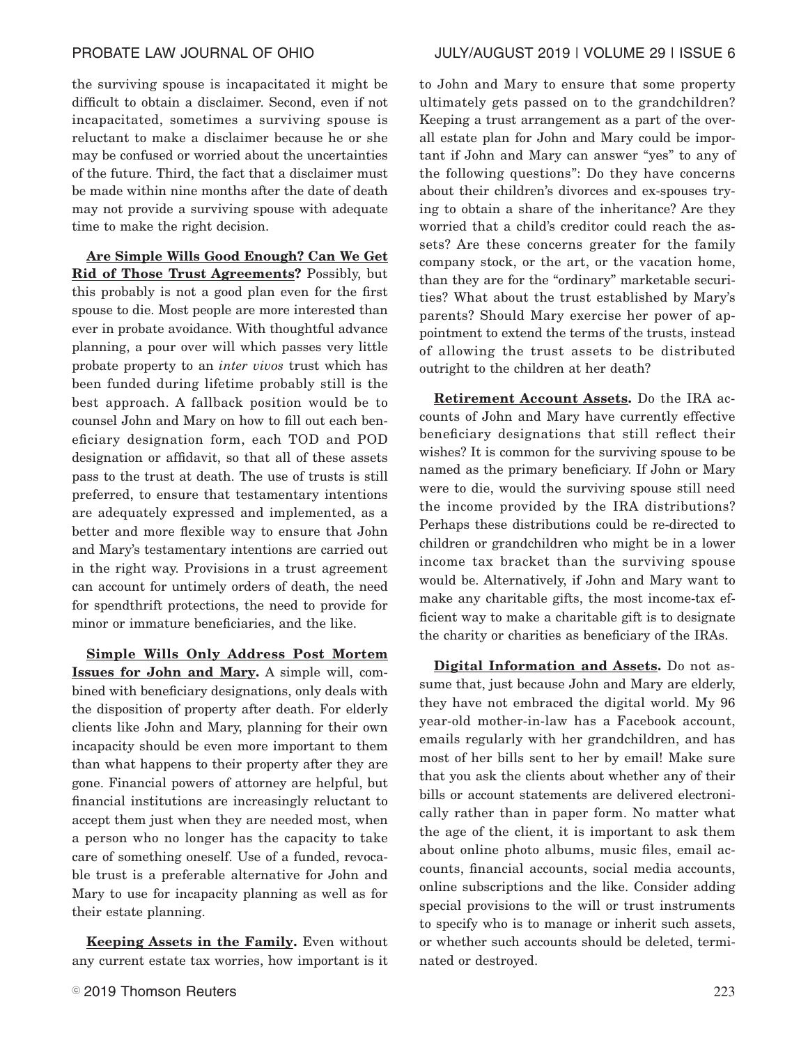the surviving spouse is incapacitated it might be difficult to obtain a disclaimer. Second, even if not incapacitated, sometimes a surviving spouse is reluctant to make a disclaimer because he or she may be confused or worried about the uncertainties of the future. Third, the fact that a disclaimer must be made within nine months after the date of death may not provide a surviving spouse with adequate time to make the right decision.

**Are Simple Wills Good Enough? Can We Get Rid of Those Trust Agreements?** Possibly, but this probably is not a good plan even for the first spouse to die. Most people are more interested than ever in probate avoidance. With thoughtful advance planning, a pour over will which passes very little probate property to an *inter vivos* trust which has been funded during lifetime probably still is the best approach. A fallback position would be to counsel John and Mary on how to fill out each beneficiary designation form, each TOD and POD designation or affidavit, so that all of these assets pass to the trust at death. The use of trusts is still preferred, to ensure that testamentary intentions are adequately expressed and implemented, as a better and more flexible way to ensure that John and Mary's testamentary intentions are carried out in the right way. Provisions in a trust agreement can account for untimely orders of death, the need for spendthrift protections, the need to provide for minor or immature beneficiaries, and the like.

**Simple Wills Only Address Post Mortem Issues for John and Mary.** A simple will, combined with beneficiary designations, only deals with the disposition of property after death. For elderly clients like John and Mary, planning for their own incapacity should be even more important to them than what happens to their property after they are gone. Financial powers of attorney are helpful, but financial institutions are increasingly reluctant to accept them just when they are needed most, when a person who no longer has the capacity to take care of something oneself. Use of a funded, revocable trust is a preferable alternative for John and Mary to use for incapacity planning as well as for their estate planning.

**Keeping Assets in the Family.** Even without any current estate tax worries, how important is it to John and Mary to ensure that some property ultimately gets passed on to the grandchildren? Keeping a trust arrangement as a part of the overall estate plan for John and Mary could be important if John and Mary can answer "yes" to any of the following questions": Do they have concerns about their children's divorces and ex-spouses trying to obtain a share of the inheritance? Are they worried that a child's creditor could reach the assets? Are these concerns greater for the family company stock, or the art, or the vacation home, than they are for the "ordinary" marketable securities? What about the trust established by Mary's parents? Should Mary exercise her power of appointment to extend the terms of the trusts, instead of allowing the trust assets to be distributed outright to the children at her death?

**Retirement Account Assets.** Do the IRA accounts of John and Mary have currently effective beneficiary designations that still reflect their wishes? It is common for the surviving spouse to be named as the primary beneficiary. If John or Mary were to die, would the surviving spouse still need the income provided by the IRA distributions? Perhaps these distributions could be re-directed to children or grandchildren who might be in a lower income tax bracket than the surviving spouse would be. Alternatively, if John and Mary want to make any charitable gifts, the most income-tax efficient way to make a charitable gift is to designate the charity or charities as beneficiary of the IRAs.

**Digital Information and Assets.** Do not assume that, just because John and Mary are elderly, they have not embraced the digital world. My 96 year-old mother-in-law has a Facebook account, emails regularly with her grandchildren, and has most of her bills sent to her by email! Make sure that you ask the clients about whether any of their bills or account statements are delivered electronically rather than in paper form. No matter what the age of the client, it is important to ask them about online photo albums, music files, email accounts, financial accounts, social media accounts, online subscriptions and the like. Consider adding special provisions to the will or trust instruments to specify who is to manage or inherit such assets, or whether such accounts should be deleted, terminated or destroyed.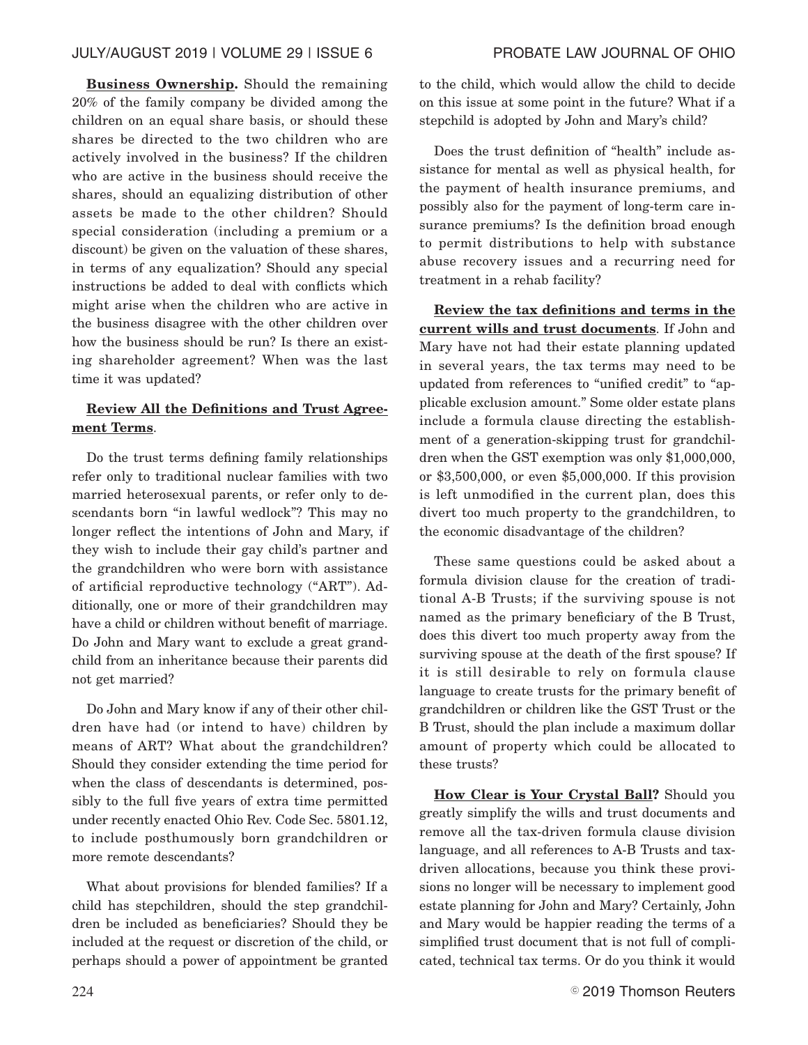**Business Ownership.** Should the remaining 20% of the family company be divided among the children on an equal share basis, or should these shares be directed to the two children who are actively involved in the business? If the children who are active in the business should receive the shares, should an equalizing distribution of other assets be made to the other children? Should special consideration (including a premium or a discount) be given on the valuation of these shares, in terms of any equalization? Should any special instructions be added to deal with conflicts which might arise when the children who are active in the business disagree with the other children over how the business should be run? Is there an existing shareholder agreement? When was the last time it was updated?

# **Review All the Definitions and Trust Agreement Terms**.

Do the trust terms defining family relationships refer only to traditional nuclear families with two married heterosexual parents, or refer only to descendants born "in lawful wedlock"? This may no longer reflect the intentions of John and Mary, if they wish to include their gay child's partner and the grandchildren who were born with assistance of artificial reproductive technology ("ART"). Additionally, one or more of their grandchildren may have a child or children without benefit of marriage. Do John and Mary want to exclude a great grandchild from an inheritance because their parents did not get married?

Do John and Mary know if any of their other children have had (or intend to have) children by means of ART? What about the grandchildren? Should they consider extending the time period for when the class of descendants is determined, possibly to the full five years of extra time permitted under recently enacted Ohio Rev. Code Sec. 5801.12, to include posthumously born grandchildren or more remote descendants?

What about provisions for blended families? If a child has stepchildren, should the step grandchildren be included as beneficiaries? Should they be included at the request or discretion of the child, or perhaps should a power of appointment be granted to the child, which would allow the child to decide on this issue at some point in the future? What if a stepchild is adopted by John and Mary's child?

Does the trust definition of "health" include assistance for mental as well as physical health, for the payment of health insurance premiums, and possibly also for the payment of long-term care insurance premiums? Is the definition broad enough to permit distributions to help with substance abuse recovery issues and a recurring need for treatment in a rehab facility?

**Review the tax definitions and terms in the current wills and trust documents**. If John and Mary have not had their estate planning updated in several years, the tax terms may need to be updated from references to "unified credit" to "applicable exclusion amount." Some older estate plans include a formula clause directing the establishment of a generation-skipping trust for grandchildren when the GST exemption was only \$1,000,000, or \$3,500,000, or even \$5,000,000. If this provision is left unmodified in the current plan, does this divert too much property to the grandchildren, to the economic disadvantage of the children?

These same questions could be asked about a formula division clause for the creation of traditional A-B Trusts; if the surviving spouse is not named as the primary beneficiary of the B Trust, does this divert too much property away from the surviving spouse at the death of the first spouse? If it is still desirable to rely on formula clause language to create trusts for the primary benefit of grandchildren or children like the GST Trust or the B Trust, should the plan include a maximum dollar amount of property which could be allocated to these trusts?

**How Clear is Your Crystal Ball?** Should you greatly simplify the wills and trust documents and remove all the tax-driven formula clause division language, and all references to A-B Trusts and taxdriven allocations, because you think these provisions no longer will be necessary to implement good estate planning for John and Mary? Certainly, John and Mary would be happier reading the terms of a simplified trust document that is not full of complicated, technical tax terms. Or do you think it would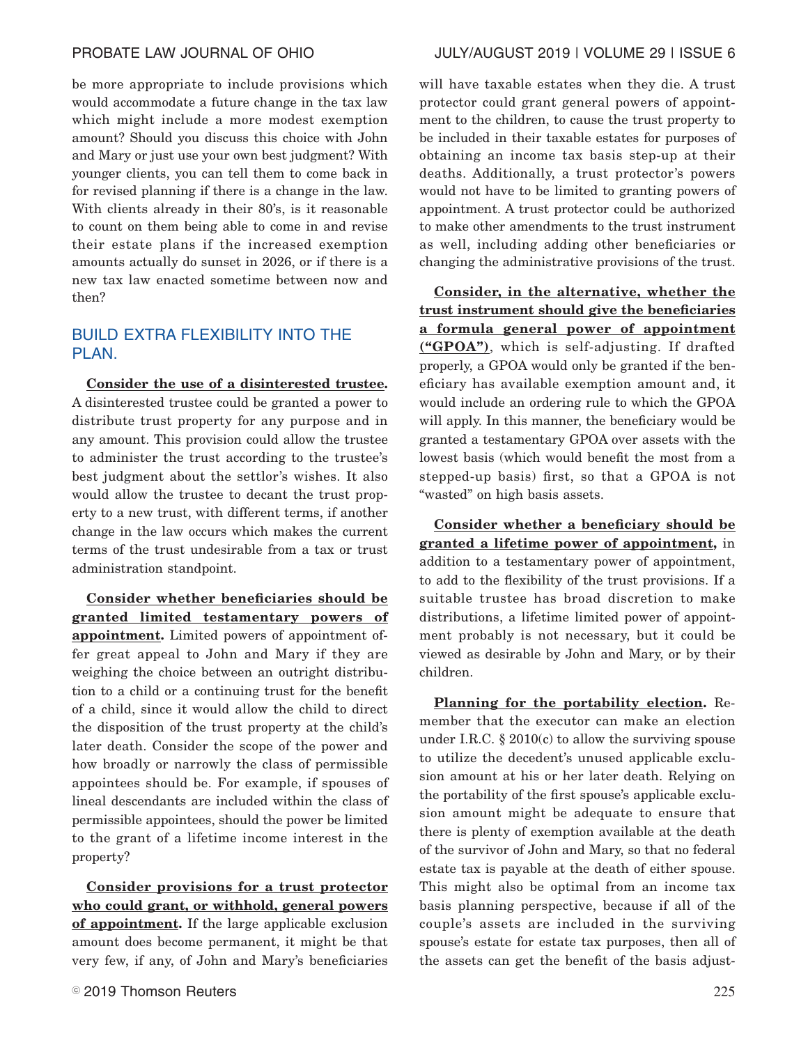be more appropriate to include provisions which would accommodate a future change in the tax law which might include a more modest exemption amount? Should you discuss this choice with John and Mary or just use your own best judgment? With younger clients, you can tell them to come back in for revised planning if there is a change in the law. With clients already in their 80's, is it reasonable to count on them being able to come in and revise their estate plans if the increased exemption amounts actually do sunset in 2026, or if there is a new tax law enacted sometime between now and then?

# BUILD EXTRA FLEXIBILITY INTO THE PLAN.

**Consider the use of a disinterested trustee.** A disinterested trustee could be granted a power to distribute trust property for any purpose and in any amount. This provision could allow the trustee to administer the trust according to the trustee's best judgment about the settlor's wishes. It also would allow the trustee to decant the trust property to a new trust, with different terms, if another change in the law occurs which makes the current terms of the trust undesirable from a tax or trust administration standpoint.

**Consider whether beneficiaries should be granted limited testamentary powers of appointment.** Limited powers of appointment offer great appeal to John and Mary if they are weighing the choice between an outright distribution to a child or a continuing trust for the benefit of a child, since it would allow the child to direct the disposition of the trust property at the child's later death. Consider the scope of the power and how broadly or narrowly the class of permissible appointees should be. For example, if spouses of lineal descendants are included within the class of permissible appointees, should the power be limited to the grant of a lifetime income interest in the property?

**Consider provisions for a trust protector who could grant, or withhold, general powers of appointment.** If the large applicable exclusion amount does become permanent, it might be that very few, if any, of John and Mary's beneficiaries

# PROBATE LAW JOURNAL OF OHIO JULY/AUGUST 2019 | VOLUME 29 | ISSUE 6

will have taxable estates when they die. A trust protector could grant general powers of appointment to the children, to cause the trust property to be included in their taxable estates for purposes of obtaining an income tax basis step-up at their deaths. Additionally, a trust protector's powers would not have to be limited to granting powers of appointment. A trust protector could be authorized to make other amendments to the trust instrument as well, including adding other beneficiaries or changing the administrative provisions of the trust.

**Consider, in the alternative, whether the trust instrument should give the beneficiaries a formula general power of appointment ("GPOA")**, which is self-adjusting. If drafted properly, a GPOA would only be granted if the beneficiary has available exemption amount and, it would include an ordering rule to which the GPOA will apply. In this manner, the beneficiary would be granted a testamentary GPOA over assets with the lowest basis (which would benefit the most from a stepped-up basis) first, so that a GPOA is not "wasted" on high basis assets.

**Consider whether a beneficiary should be granted a lifetime power of appointment,** in addition to a testamentary power of appointment, to add to the flexibility of the trust provisions. If a suitable trustee has broad discretion to make distributions, a lifetime limited power of appointment probably is not necessary, but it could be viewed as desirable by John and Mary, or by their children.

**Planning for the portability election.** Remember that the executor can make an election under I.R.C.  $\S 2010(c)$  to allow the surviving spouse to utilize the decedent's unused applicable exclusion amount at his or her later death. Relying on the portability of the first spouse's applicable exclusion amount might be adequate to ensure that there is plenty of exemption available at the death of the survivor of John and Mary, so that no federal estate tax is payable at the death of either spouse. This might also be optimal from an income tax basis planning perspective, because if all of the couple's assets are included in the surviving spouse's estate for estate tax purposes, then all of the assets can get the benefit of the basis adjust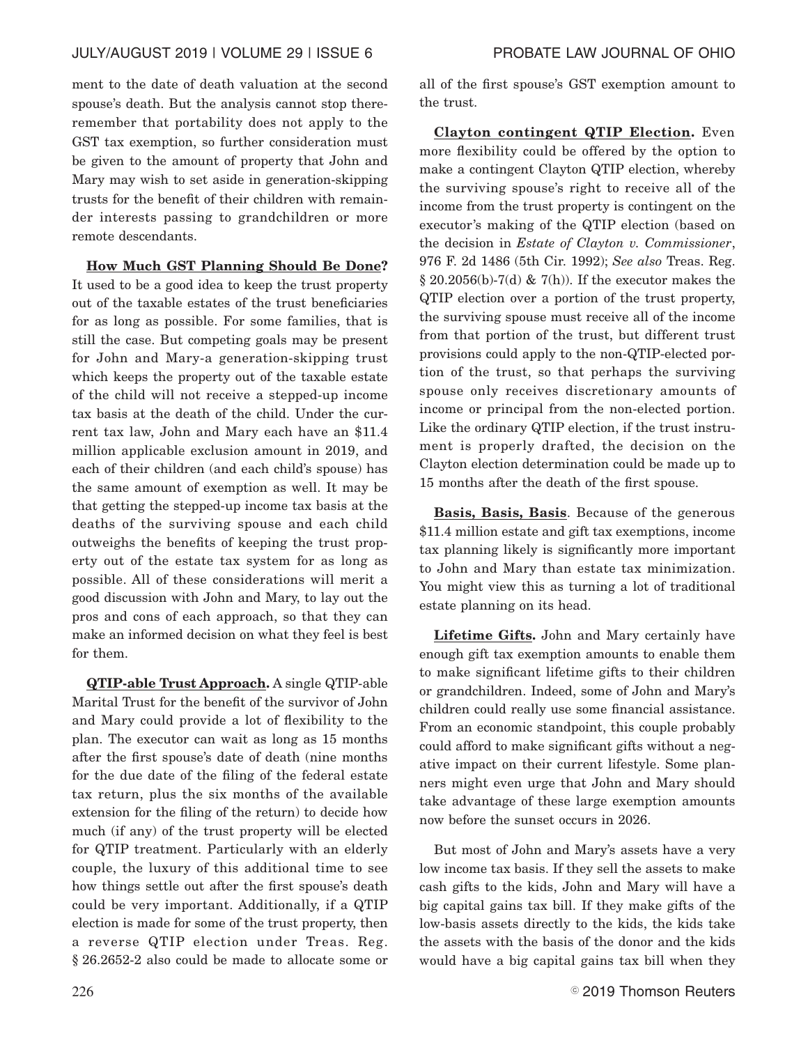ment to the date of death valuation at the second spouse's death. But the analysis cannot stop thereremember that portability does not apply to the GST tax exemption, so further consideration must be given to the amount of property that John and Mary may wish to set aside in generation-skipping trusts for the benefit of their children with remainder interests passing to grandchildren or more remote descendants.

**How Much GST Planning Should Be Done?** It used to be a good idea to keep the trust property out of the taxable estates of the trust beneficiaries for as long as possible. For some families, that is still the case. But competing goals may be present for John and Mary-a generation-skipping trust which keeps the property out of the taxable estate of the child will not receive a stepped-up income tax basis at the death of the child. Under the current tax law, John and Mary each have an \$11.4 million applicable exclusion amount in 2019, and each of their children (and each child's spouse) has the same amount of exemption as well. It may be that getting the stepped-up income tax basis at the deaths of the surviving spouse and each child outweighs the benefits of keeping the trust property out of the estate tax system for as long as possible. All of these considerations will merit a good discussion with John and Mary, to lay out the pros and cons of each approach, so that they can make an informed decision on what they feel is best for them.

**QTIP-able Trust Approach.** A single QTIP-able Marital Trust for the benefit of the survivor of John and Mary could provide a lot of flexibility to the plan. The executor can wait as long as 15 months after the first spouse's date of death (nine months for the due date of the filing of the federal estate tax return, plus the six months of the available extension for the filing of the return) to decide how much (if any) of the trust property will be elected for QTIP treatment. Particularly with an elderly couple, the luxury of this additional time to see how things settle out after the first spouse's death could be very important. Additionally, if a QTIP election is made for some of the trust property, then a reverse QTIP election under Treas. Reg. § 26.2652-2 also could be made to allocate some or all of the first spouse's GST exemption amount to the trust.

**Clayton contingent QTIP Election.** Even more flexibility could be offered by the option to make a contingent Clayton QTIP election, whereby the surviving spouse's right to receive all of the income from the trust property is contingent on the executor's making of the QTIP election (based on the decision in *Estate of Clayton v. Commissioner*, 976 F. 2d 1486 (5th Cir. 1992); *See also* Treas. Reg.  $\S 20.2056(b)$ -7(d) & 7(h)). If the executor makes the QTIP election over a portion of the trust property, the surviving spouse must receive all of the income from that portion of the trust, but different trust provisions could apply to the non-QTIP-elected portion of the trust, so that perhaps the surviving spouse only receives discretionary amounts of income or principal from the non-elected portion. Like the ordinary QTIP election, if the trust instrument is properly drafted, the decision on the Clayton election determination could be made up to 15 months after the death of the first spouse.

**Basis, Basis, Basis**. Because of the generous \$11.4 million estate and gift tax exemptions, income tax planning likely is significantly more important to John and Mary than estate tax minimization. You might view this as turning a lot of traditional estate planning on its head.

**Lifetime Gifts.** John and Mary certainly have enough gift tax exemption amounts to enable them to make significant lifetime gifts to their children or grandchildren. Indeed, some of John and Mary's children could really use some financial assistance. From an economic standpoint, this couple probably could afford to make significant gifts without a negative impact on their current lifestyle. Some planners might even urge that John and Mary should take advantage of these large exemption amounts now before the sunset occurs in 2026.

But most of John and Mary's assets have a very low income tax basis. If they sell the assets to make cash gifts to the kids, John and Mary will have a big capital gains tax bill. If they make gifts of the low-basis assets directly to the kids, the kids take the assets with the basis of the donor and the kids would have a big capital gains tax bill when they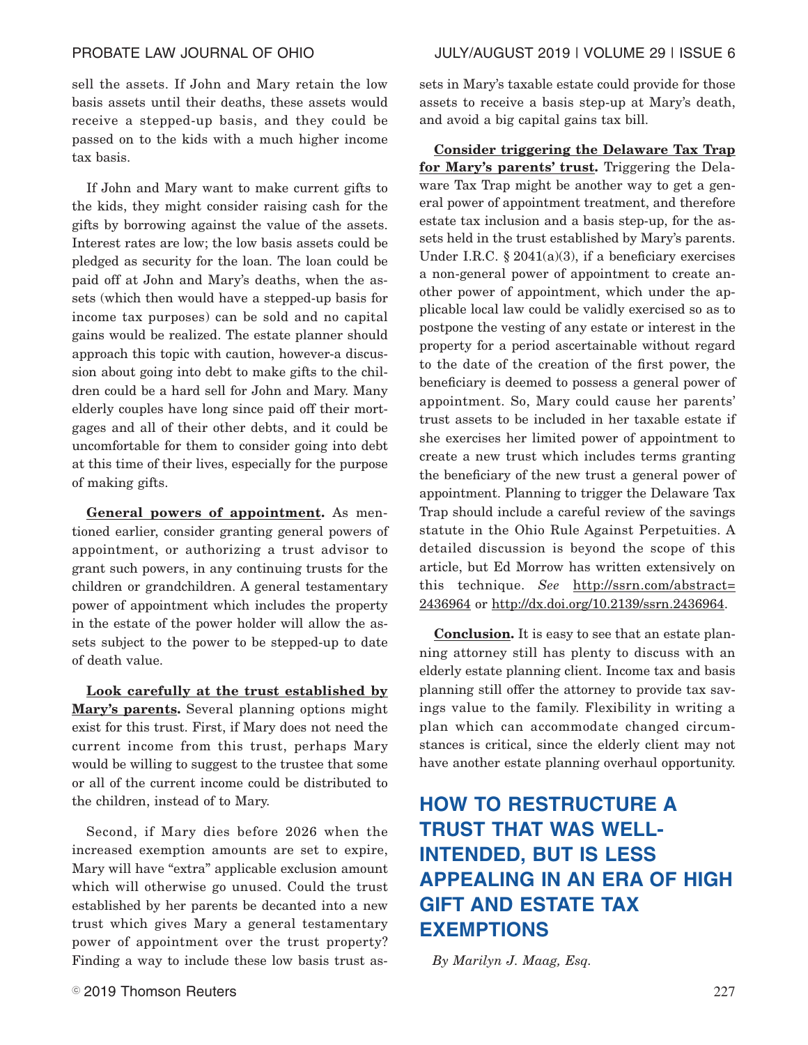sell the assets. If John and Mary retain the low basis assets until their deaths, these assets would receive a stepped-up basis, and they could be passed on to the kids with a much higher income tax basis.

If John and Mary want to make current gifts to the kids, they might consider raising cash for the gifts by borrowing against the value of the assets. Interest rates are low; the low basis assets could be pledged as security for the loan. The loan could be paid off at John and Mary's deaths, when the assets (which then would have a stepped-up basis for income tax purposes) can be sold and no capital gains would be realized. The estate planner should approach this topic with caution, however-a discussion about going into debt to make gifts to the children could be a hard sell for John and Mary. Many elderly couples have long since paid off their mortgages and all of their other debts, and it could be uncomfortable for them to consider going into debt at this time of their lives, especially for the purpose of making gifts.

**General powers of appointment.** As mentioned earlier, consider granting general powers of appointment, or authorizing a trust advisor to grant such powers, in any continuing trusts for the children or grandchildren. A general testamentary power of appointment which includes the property in the estate of the power holder will allow the assets subject to the power to be stepped-up to date of death value.

**Look carefully at the trust established by Mary's parents.** Several planning options might exist for this trust. First, if Mary does not need the current income from this trust, perhaps Mary would be willing to suggest to the trustee that some or all of the current income could be distributed to the children, instead of to Mary.

Second, if Mary dies before 2026 when the increased exemption amounts are set to expire, Mary will have "extra" applicable exclusion amount which will otherwise go unused. Could the trust established by her parents be decanted into a new trust which gives Mary a general testamentary power of appointment over the trust property? Finding a way to include these low basis trust assets in Mary's taxable estate could provide for those assets to receive a basis step-up at Mary's death, and avoid a big capital gains tax bill.

**Consider triggering the Delaware Tax Trap for Mary's parents' trust.** Triggering the Delaware Tax Trap might be another way to get a general power of appointment treatment, and therefore estate tax inclusion and a basis step-up, for the assets held in the trust established by Mary's parents. Under I.R.C.  $\S 2041(a)(3)$ , if a beneficiary exercises a non-general power of appointment to create another power of appointment, which under the applicable local law could be validly exercised so as to postpone the vesting of any estate or interest in the property for a period ascertainable without regard to the date of the creation of the first power, the beneficiary is deemed to possess a general power of appointment. So, Mary could cause her parents' trust assets to be included in her taxable estate if she exercises her limited power of appointment to create a new trust which includes terms granting the beneficiary of the new trust a general power of appointment. Planning to trigger the Delaware Tax Trap should include a careful review of the savings statute in the Ohio Rule Against Perpetuities. A detailed discussion is beyond the scope of this article, but Ed Morrow has written extensively on this technique. *See* http://ssrn.com/abstract= 2436964 or http://dx.doi.org/10.2139/ssrn.2436964.

**Conclusion.** It is easy to see that an estate planning attorney still has plenty to discuss with an elderly estate planning client. Income tax and basis planning still offer the attorney to provide tax savings value to the family. Flexibility in writing a plan which can accommodate changed circumstances is critical, since the elderly client may not have another estate planning overhaul opportunity.

# **HOW TO RESTRUCTURE A TRUST THAT WAS WELL-INTENDED, BUT IS LESS APPEALING IN AN ERA OF HIGH GIFT AND ESTATE TAX EXEMPTIONS**

*By Marilyn J. Maag, Esq.*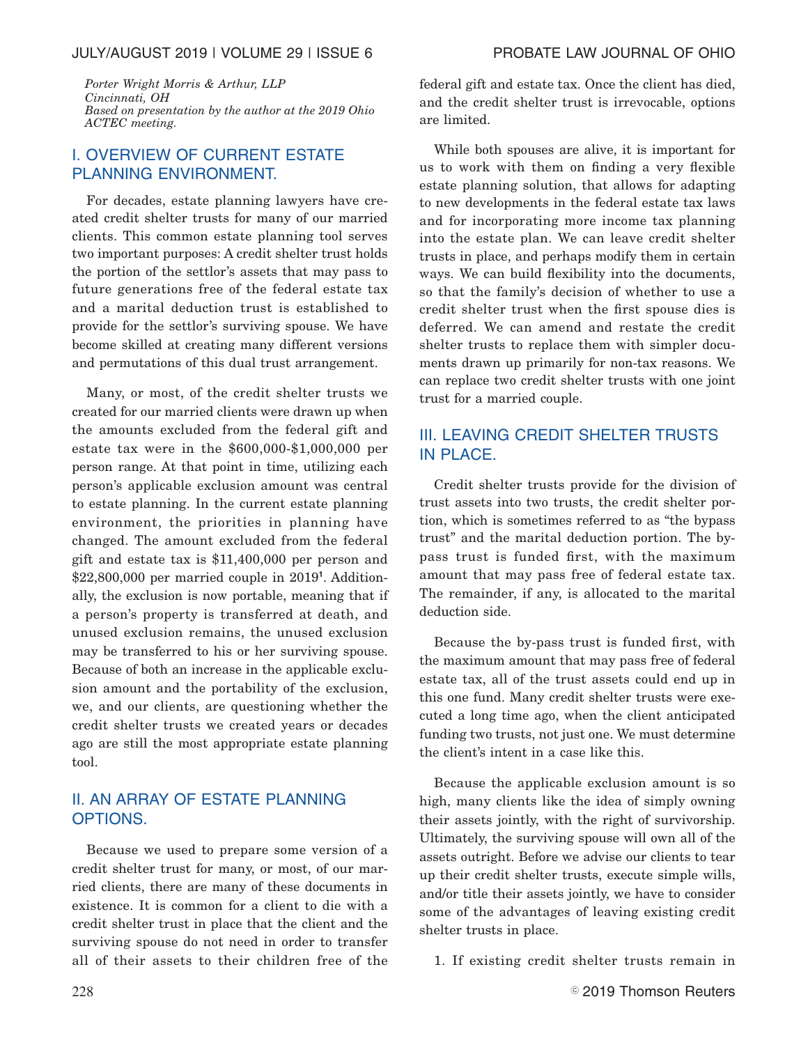### JULY/AUGUST 2019 | VOLUME 29 | ISSUE 6 PROBATE LAW JOURNAL OF OHIO

*Porter Wright Morris & Arthur, LLP Cincinnati, OH Based on presentation by the author at the 2019 Ohio ACTEC meeting.*

# I. OVERVIEW OF CURRENT ESTATE PLANNING ENVIRONMENT.

For decades, estate planning lawyers have created credit shelter trusts for many of our married clients. This common estate planning tool serves two important purposes: A credit shelter trust holds the portion of the settlor's assets that may pass to future generations free of the federal estate tax and a marital deduction trust is established to provide for the settlor's surviving spouse. We have become skilled at creating many different versions and permutations of this dual trust arrangement.

Many, or most, of the credit shelter trusts we created for our married clients were drawn up when the amounts excluded from the federal gift and estate tax were in the \$600,000-\$1,000,000 per person range. At that point in time, utilizing each person's applicable exclusion amount was central to estate planning. In the current estate planning environment, the priorities in planning have changed. The amount excluded from the federal gift and estate tax is \$11,400,000 per person and \$22,800,000 per married couple in 2019**<sup>1</sup>** . Additionally, the exclusion is now portable, meaning that if a person's property is transferred at death, and unused exclusion remains, the unused exclusion may be transferred to his or her surviving spouse. Because of both an increase in the applicable exclusion amount and the portability of the exclusion, we, and our clients, are questioning whether the credit shelter trusts we created years or decades ago are still the most appropriate estate planning tool.

# II. AN ARRAY OF ESTATE PLANNING OPTIONS.

Because we used to prepare some version of a credit shelter trust for many, or most, of our married clients, there are many of these documents in existence. It is common for a client to die with a credit shelter trust in place that the client and the surviving spouse do not need in order to transfer all of their assets to their children free of the federal gift and estate tax. Once the client has died, and the credit shelter trust is irrevocable, options are limited.

While both spouses are alive, it is important for us to work with them on finding a very flexible estate planning solution, that allows for adapting to new developments in the federal estate tax laws and for incorporating more income tax planning into the estate plan. We can leave credit shelter trusts in place, and perhaps modify them in certain ways. We can build flexibility into the documents, so that the family's decision of whether to use a credit shelter trust when the first spouse dies is deferred. We can amend and restate the credit shelter trusts to replace them with simpler documents drawn up primarily for non-tax reasons. We can replace two credit shelter trusts with one joint trust for a married couple.

# III. LEAVING CREDIT SHELTER TRUSTS IN PLACE.

Credit shelter trusts provide for the division of trust assets into two trusts, the credit shelter portion, which is sometimes referred to as "the bypass trust" and the marital deduction portion. The bypass trust is funded first, with the maximum amount that may pass free of federal estate tax. The remainder, if any, is allocated to the marital deduction side.

Because the by-pass trust is funded first, with the maximum amount that may pass free of federal estate tax, all of the trust assets could end up in this one fund. Many credit shelter trusts were executed a long time ago, when the client anticipated funding two trusts, not just one. We must determine the client's intent in a case like this.

Because the applicable exclusion amount is so high, many clients like the idea of simply owning their assets jointly, with the right of survivorship. Ultimately, the surviving spouse will own all of the assets outright. Before we advise our clients to tear up their credit shelter trusts, execute simple wills, and/or title their assets jointly, we have to consider some of the advantages of leaving existing credit shelter trusts in place.

1. If existing credit shelter trusts remain in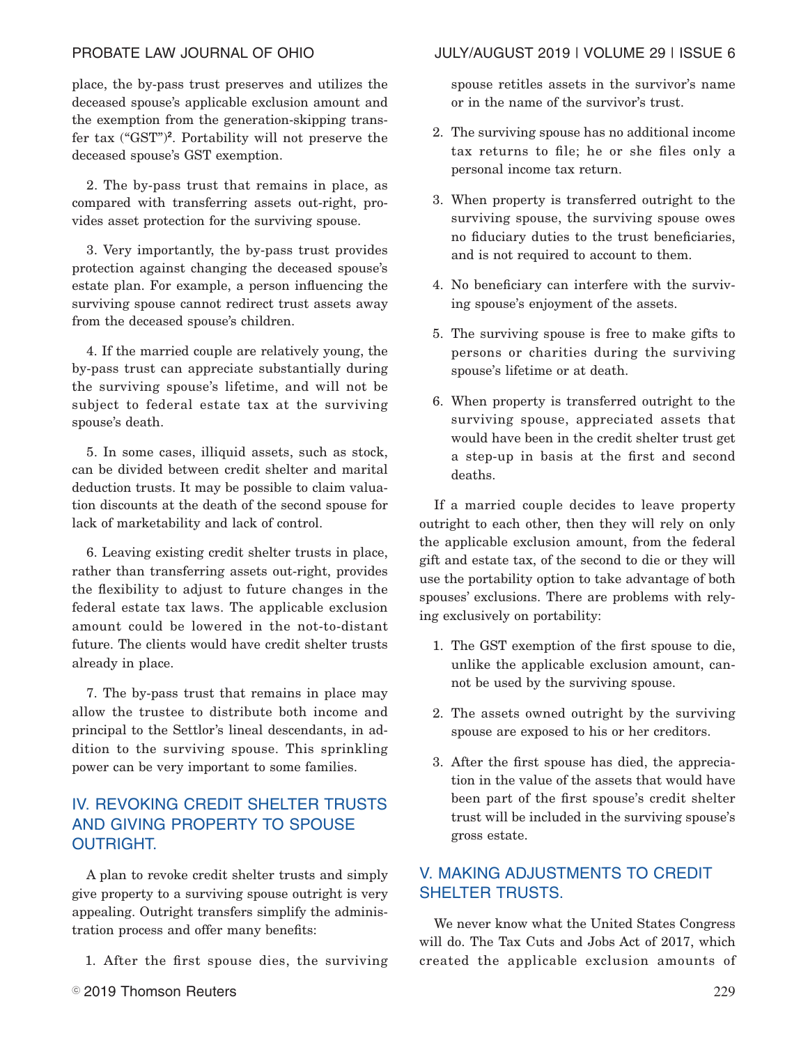place, the by-pass trust preserves and utilizes the deceased spouse's applicable exclusion amount and the exemption from the generation-skipping transfer tax ("GST")**<sup>2</sup>** . Portability will not preserve the deceased spouse's GST exemption.

2. The by-pass trust that remains in place, as compared with transferring assets out-right, provides asset protection for the surviving spouse.

3. Very importantly, the by-pass trust provides protection against changing the deceased spouse's estate plan. For example, a person influencing the surviving spouse cannot redirect trust assets away from the deceased spouse's children.

4. If the married couple are relatively young, the by-pass trust can appreciate substantially during the surviving spouse's lifetime, and will not be subject to federal estate tax at the surviving spouse's death.

5. In some cases, illiquid assets, such as stock, can be divided between credit shelter and marital deduction trusts. It may be possible to claim valuation discounts at the death of the second spouse for lack of marketability and lack of control.

6. Leaving existing credit shelter trusts in place, rather than transferring assets out-right, provides the flexibility to adjust to future changes in the federal estate tax laws. The applicable exclusion amount could be lowered in the not-to-distant future. The clients would have credit shelter trusts already in place.

7. The by-pass trust that remains in place may allow the trustee to distribute both income and principal to the Settlor's lineal descendants, in addition to the surviving spouse. This sprinkling power can be very important to some families.

# IV. REVOKING CREDIT SHELTER TRUSTS AND GIVING PROPERTY TO SPOUSE OUTRIGHT.

A plan to revoke credit shelter trusts and simply give property to a surviving spouse outright is very appealing. Outright transfers simplify the administration process and offer many benefits:

1. After the first spouse dies, the surviving

# PROBATE LAW JOURNAL OF OHIO JULY/AUGUST 2019 | VOLUME 29 | ISSUE 6

spouse retitles assets in the survivor's name or in the name of the survivor's trust.

- 2. The surviving spouse has no additional income tax returns to file; he or she files only a personal income tax return.
- 3. When property is transferred outright to the surviving spouse, the surviving spouse owes no fiduciary duties to the trust beneficiaries, and is not required to account to them.
- 4. No beneficiary can interfere with the surviving spouse's enjoyment of the assets.
- 5. The surviving spouse is free to make gifts to persons or charities during the surviving spouse's lifetime or at death.
- 6. When property is transferred outright to the surviving spouse, appreciated assets that would have been in the credit shelter trust get a step-up in basis at the first and second deaths.

If a married couple decides to leave property outright to each other, then they will rely on only the applicable exclusion amount, from the federal gift and estate tax, of the second to die or they will use the portability option to take advantage of both spouses' exclusions. There are problems with relying exclusively on portability:

- 1. The GST exemption of the first spouse to die, unlike the applicable exclusion amount, cannot be used by the surviving spouse.
- 2. The assets owned outright by the surviving spouse are exposed to his or her creditors.
- 3. After the first spouse has died, the appreciation in the value of the assets that would have been part of the first spouse's credit shelter trust will be included in the surviving spouse's gross estate.

# V. MAKING ADJUSTMENTS TO CREDIT SHELTER TRUSTS.

We never know what the United States Congress will do. The Tax Cuts and Jobs Act of 2017, which created the applicable exclusion amounts of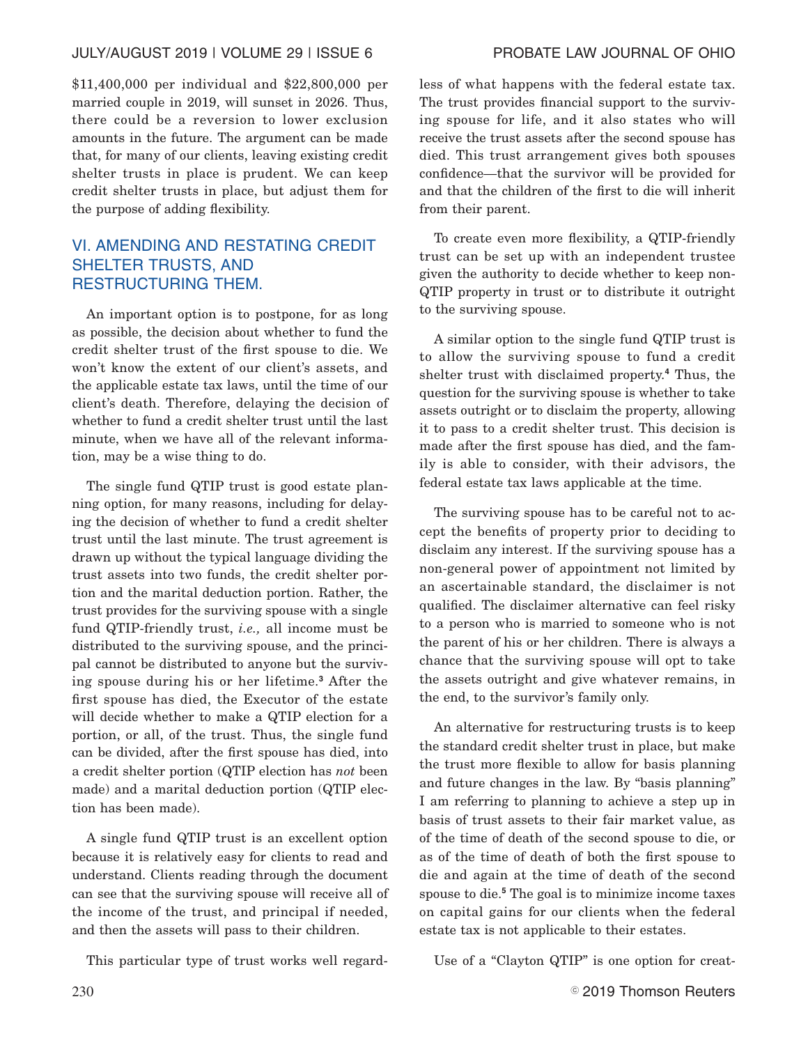### JULY/AUGUST 2019 | VOLUME 29 | ISSUE 6 PROBATE LAW JOURNAL OF OHIO

\$11,400,000 per individual and \$22,800,000 per married couple in 2019, will sunset in 2026. Thus, there could be a reversion to lower exclusion amounts in the future. The argument can be made that, for many of our clients, leaving existing credit shelter trusts in place is prudent. We can keep credit shelter trusts in place, but adjust them for the purpose of adding flexibility.

# VI. AMENDING AND RESTATING CREDIT SHELTER TRUSTS, AND RESTRUCTURING THEM.

An important option is to postpone, for as long as possible, the decision about whether to fund the credit shelter trust of the first spouse to die. We won't know the extent of our client's assets, and the applicable estate tax laws, until the time of our client's death. Therefore, delaying the decision of whether to fund a credit shelter trust until the last minute, when we have all of the relevant information, may be a wise thing to do.

The single fund QTIP trust is good estate planning option, for many reasons, including for delaying the decision of whether to fund a credit shelter trust until the last minute. The trust agreement is drawn up without the typical language dividing the trust assets into two funds, the credit shelter portion and the marital deduction portion. Rather, the trust provides for the surviving spouse with a single fund QTIP-friendly trust, *i.e.,* all income must be distributed to the surviving spouse, and the principal cannot be distributed to anyone but the surviving spouse during his or her lifetime.**<sup>3</sup>** After the first spouse has died, the Executor of the estate will decide whether to make a QTIP election for a portion, or all, of the trust. Thus, the single fund can be divided, after the first spouse has died, into a credit shelter portion (QTIP election has *not* been made) and a marital deduction portion (QTIP election has been made).

A single fund QTIP trust is an excellent option because it is relatively easy for clients to read and understand. Clients reading through the document can see that the surviving spouse will receive all of the income of the trust, and principal if needed, and then the assets will pass to their children.

This particular type of trust works well regard-

less of what happens with the federal estate tax. The trust provides financial support to the surviving spouse for life, and it also states who will receive the trust assets after the second spouse has died. This trust arrangement gives both spouses confidence—that the survivor will be provided for and that the children of the first to die will inherit from their parent.

To create even more flexibility, a QTIP-friendly trust can be set up with an independent trustee given the authority to decide whether to keep non-QTIP property in trust or to distribute it outright to the surviving spouse.

A similar option to the single fund QTIP trust is to allow the surviving spouse to fund a credit shelter trust with disclaimed property.**<sup>4</sup>** Thus, the question for the surviving spouse is whether to take assets outright or to disclaim the property, allowing it to pass to a credit shelter trust. This decision is made after the first spouse has died, and the family is able to consider, with their advisors, the federal estate tax laws applicable at the time.

The surviving spouse has to be careful not to accept the benefits of property prior to deciding to disclaim any interest. If the surviving spouse has a non-general power of appointment not limited by an ascertainable standard, the disclaimer is not qualified. The disclaimer alternative can feel risky to a person who is married to someone who is not the parent of his or her children. There is always a chance that the surviving spouse will opt to take the assets outright and give whatever remains, in the end, to the survivor's family only.

An alternative for restructuring trusts is to keep the standard credit shelter trust in place, but make the trust more flexible to allow for basis planning and future changes in the law. By "basis planning" I am referring to planning to achieve a step up in basis of trust assets to their fair market value, as of the time of death of the second spouse to die, or as of the time of death of both the first spouse to die and again at the time of death of the second spouse to die.**<sup>5</sup>** The goal is to minimize income taxes on capital gains for our clients when the federal estate tax is not applicable to their estates.

Use of a "Clayton QTIP" is one option for creat-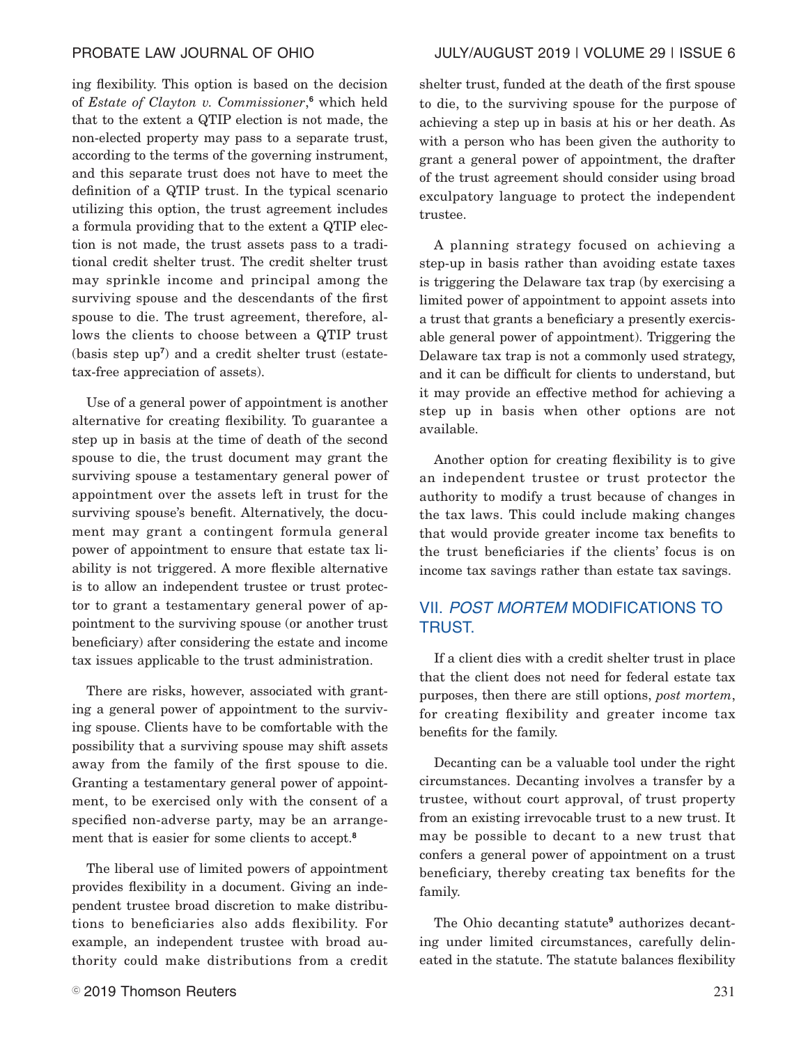ing flexibility. This option is based on the decision of *Estate of Clayton v. Commissioner*, **<sup>6</sup>** which held that to the extent a QTIP election is not made, the non-elected property may pass to a separate trust, according to the terms of the governing instrument, and this separate trust does not have to meet the definition of a QTIP trust. In the typical scenario utilizing this option, the trust agreement includes a formula providing that to the extent a QTIP election is not made, the trust assets pass to a traditional credit shelter trust. The credit shelter trust may sprinkle income and principal among the surviving spouse and the descendants of the first spouse to die. The trust agreement, therefore, allows the clients to choose between a QTIP trust (basis step up**<sup>7</sup>** ) and a credit shelter trust (estatetax-free appreciation of assets).

Use of a general power of appointment is another alternative for creating flexibility. To guarantee a step up in basis at the time of death of the second spouse to die, the trust document may grant the surviving spouse a testamentary general power of appointment over the assets left in trust for the surviving spouse's benefit. Alternatively, the document may grant a contingent formula general power of appointment to ensure that estate tax liability is not triggered. A more flexible alternative is to allow an independent trustee or trust protector to grant a testamentary general power of appointment to the surviving spouse (or another trust beneficiary) after considering the estate and income tax issues applicable to the trust administration.

There are risks, however, associated with granting a general power of appointment to the surviving spouse. Clients have to be comfortable with the possibility that a surviving spouse may shift assets away from the family of the first spouse to die. Granting a testamentary general power of appointment, to be exercised only with the consent of a specified non-adverse party, may be an arrangement that is easier for some clients to accept.**<sup>8</sup>**

The liberal use of limited powers of appointment provides flexibility in a document. Giving an independent trustee broad discretion to make distributions to beneficiaries also adds flexibility. For example, an independent trustee with broad authority could make distributions from a credit shelter trust, funded at the death of the first spouse to die, to the surviving spouse for the purpose of achieving a step up in basis at his or her death. As with a person who has been given the authority to grant a general power of appointment, the drafter of the trust agreement should consider using broad exculpatory language to protect the independent trustee.

A planning strategy focused on achieving a step-up in basis rather than avoiding estate taxes is triggering the Delaware tax trap (by exercising a limited power of appointment to appoint assets into a trust that grants a beneficiary a presently exercisable general power of appointment). Triggering the Delaware tax trap is not a commonly used strategy, and it can be difficult for clients to understand, but it may provide an effective method for achieving a step up in basis when other options are not available.

Another option for creating flexibility is to give an independent trustee or trust protector the authority to modify a trust because of changes in the tax laws. This could include making changes that would provide greater income tax benefits to the trust beneficiaries if the clients' focus is on income tax savings rather than estate tax savings.

# VII. POST MORTEM MODIFICATIONS TO TRUST.

If a client dies with a credit shelter trust in place that the client does not need for federal estate tax purposes, then there are still options, *post mortem*, for creating flexibility and greater income tax benefits for the family.

Decanting can be a valuable tool under the right circumstances. Decanting involves a transfer by a trustee, without court approval, of trust property from an existing irrevocable trust to a new trust. It may be possible to decant to a new trust that confers a general power of appointment on a trust beneficiary, thereby creating tax benefits for the family.

The Ohio decanting statute**<sup>9</sup>** authorizes decanting under limited circumstances, carefully delineated in the statute. The statute balances flexibility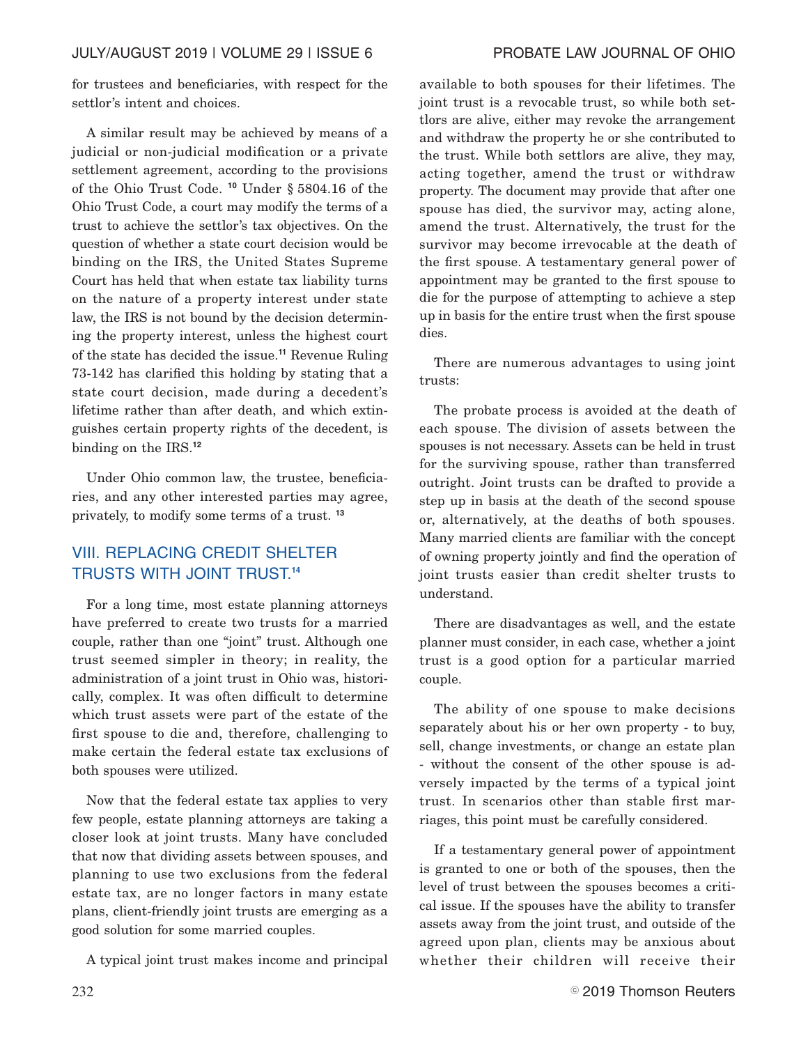for trustees and beneficiaries, with respect for the settlor's intent and choices.

A similar result may be achieved by means of a judicial or non-judicial modification or a private settlement agreement, according to the provisions of the Ohio Trust Code. **<sup>10</sup>** Under § 5804.16 of the Ohio Trust Code, a court may modify the terms of a trust to achieve the settlor's tax objectives. On the question of whether a state court decision would be binding on the IRS, the United States Supreme Court has held that when estate tax liability turns on the nature of a property interest under state law, the IRS is not bound by the decision determining the property interest, unless the highest court of the state has decided the issue.**<sup>11</sup>** Revenue Ruling 73-142 has clarified this holding by stating that a state court decision, made during a decedent's lifetime rather than after death, and which extinguishes certain property rights of the decedent, is binding on the IRS.**<sup>12</sup>**

Under Ohio common law, the trustee, beneficiaries, and any other interested parties may agree, privately, to modify some terms of a trust. **<sup>13</sup>**

# VIII. REPLACING CREDIT SHELTER TRUSTS WITH JOINT TRUST.**<sup>14</sup>**

For a long time, most estate planning attorneys have preferred to create two trusts for a married couple, rather than one "joint" trust. Although one trust seemed simpler in theory; in reality, the administration of a joint trust in Ohio was, historically, complex. It was often difficult to determine which trust assets were part of the estate of the first spouse to die and, therefore, challenging to make certain the federal estate tax exclusions of both spouses were utilized.

Now that the federal estate tax applies to very few people, estate planning attorneys are taking a closer look at joint trusts. Many have concluded that now that dividing assets between spouses, and planning to use two exclusions from the federal estate tax, are no longer factors in many estate plans, client-friendly joint trusts are emerging as a good solution for some married couples.

A typical joint trust makes income and principal

available to both spouses for their lifetimes. The joint trust is a revocable trust, so while both settlors are alive, either may revoke the arrangement and withdraw the property he or she contributed to the trust. While both settlors are alive, they may, acting together, amend the trust or withdraw property. The document may provide that after one spouse has died, the survivor may, acting alone, amend the trust. Alternatively, the trust for the survivor may become irrevocable at the death of the first spouse. A testamentary general power of appointment may be granted to the first spouse to die for the purpose of attempting to achieve a step up in basis for the entire trust when the first spouse dies.

There are numerous advantages to using joint trusts:

The probate process is avoided at the death of each spouse. The division of assets between the spouses is not necessary. Assets can be held in trust for the surviving spouse, rather than transferred outright. Joint trusts can be drafted to provide a step up in basis at the death of the second spouse or, alternatively, at the deaths of both spouses. Many married clients are familiar with the concept of owning property jointly and find the operation of joint trusts easier than credit shelter trusts to understand.

There are disadvantages as well, and the estate planner must consider, in each case, whether a joint trust is a good option for a particular married couple.

The ability of one spouse to make decisions separately about his or her own property - to buy, sell, change investments, or change an estate plan - without the consent of the other spouse is adversely impacted by the terms of a typical joint trust. In scenarios other than stable first marriages, this point must be carefully considered.

If a testamentary general power of appointment is granted to one or both of the spouses, then the level of trust between the spouses becomes a critical issue. If the spouses have the ability to transfer assets away from the joint trust, and outside of the agreed upon plan, clients may be anxious about whether their children will receive their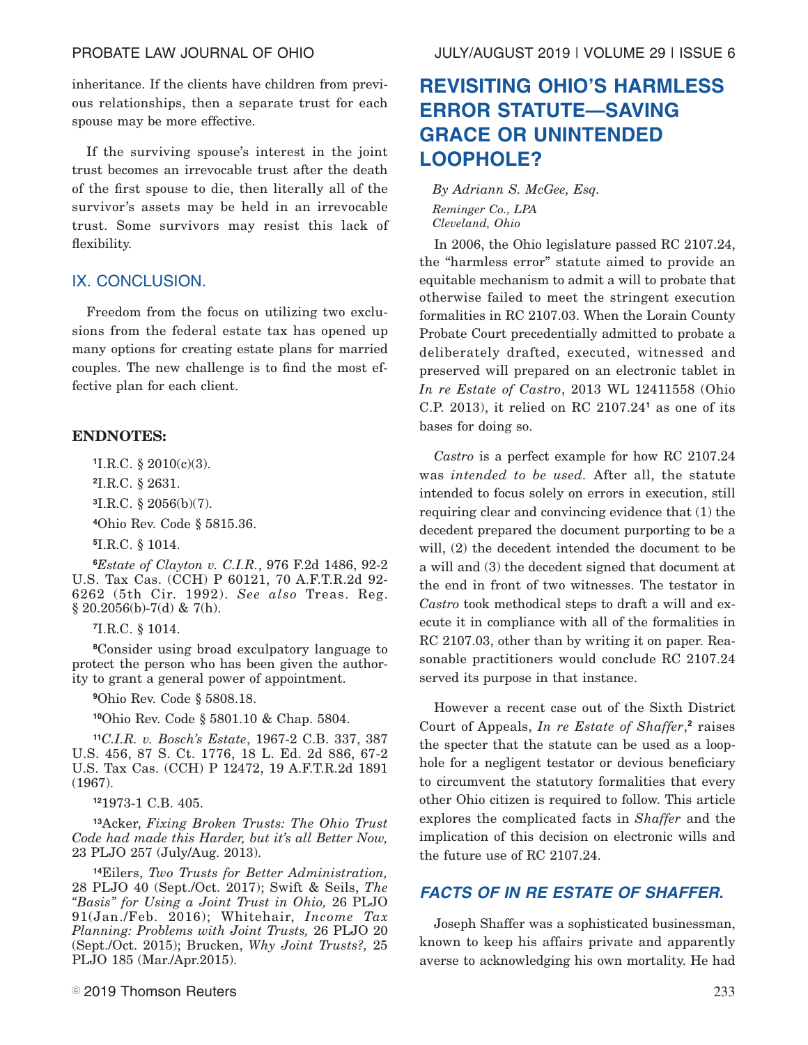inheritance. If the clients have children from previous relationships, then a separate trust for each spouse may be more effective.

If the surviving spouse's interest in the joint trust becomes an irrevocable trust after the death of the first spouse to die, then literally all of the survivor's assets may be held in an irrevocable trust. Some survivors may resist this lack of flexibility.

### IX. CONCLUSION.

Freedom from the focus on utilizing two exclusions from the federal estate tax has opened up many options for creating estate plans for married couples. The new challenge is to find the most effective plan for each client.

# **ENDNOTES:**

**<sup>1</sup>**I.R.C. § 2010(c)(3).

**<sup>2</sup>**I.R.C. § 2631.

**<sup>3</sup>**I.R.C. § 2056(b)(7).

**<sup>4</sup>**Ohio Rev. Code § 5815.36.

**<sup>5</sup>**I.R.C. § 1014.

**<sup>6</sup>***Estate of Clayton v. C.I.R.*, 976 F.2d 1486, 92-2 U.S. Tax Cas. (CCH) P 60121, 70 A.F.T.R.2d 92- 6262 (5th Cir. 1992). *See also* Treas. Reg.  $§ 20.2056(b)-7(d) \& 7(h).$ 

**<sup>7</sup>**I.R.C. § 1014.

**<sup>8</sup>**Consider using broad exculpatory language to protect the person who has been given the authority to grant a general power of appointment.

**<sup>9</sup>**Ohio Rev. Code § 5808.18.

**<sup>10</sup>**Ohio Rev. Code § 5801.10 & Chap. 5804.

**<sup>11</sup>***C.I.R. v. Bosch's Estate*, 1967-2 C.B. 337, 387 U.S. 456, 87 S. Ct. 1776, 18 L. Ed. 2d 886, 67-2 U.S. Tax Cas. (CCH) P 12472, 19 A.F.T.R.2d 1891 (1967).

**<sup>12</sup>**1973-1 C.B. 405.

**<sup>13</sup>**Acker, *Fixing Broken Trusts: The Ohio Trust Code had made this Harder, but it's all Better Now,* 23 PLJO 257 (July/Aug. 2013).

**<sup>14</sup>**Eilers, *Two Trusts for Better Administration,* 28 PLJO 40 (Sept./Oct. 2017); Swift & Seils, *The "Basis" for Using a Joint Trust in Ohio,* 26 PLJO 91(Jan./Feb. 2016); Whitehair, *Income Tax Planning: Problems with Joint Trusts,* 26 PLJO 20 (Sept./Oct. 2015); Brucken, *Why Joint Trusts?,* 25 PLJO 185 (Mar./Apr.2015).

# **REVISITING OHIO'S HARMLESS ERROR STATUTE—SAVING GRACE OR UNINTENDED LOOPHOLE?**

*By Adriann S. McGee, Esq. Reminger Co., LPA Cleveland, Ohio*

In 2006, the Ohio legislature passed RC 2107.24, the "harmless error" statute aimed to provide an equitable mechanism to admit a will to probate that otherwise failed to meet the stringent execution formalities in RC 2107.03. When the Lorain County Probate Court precedentially admitted to probate a deliberately drafted, executed, witnessed and preserved will prepared on an electronic tablet in *In re Estate of Castro*, 2013 WL 12411558 (Ohio C.P. 2013), it relied on RC 2107.24**<sup>1</sup>** as one of its bases for doing so.

*Castro* is a perfect example for how RC 2107.24 was *intended to be used.* After all, the statute intended to focus solely on errors in execution, still requiring clear and convincing evidence that (1) the decedent prepared the document purporting to be a will, (2) the decedent intended the document to be a will and (3) the decedent signed that document at the end in front of two witnesses. The testator in *Castro* took methodical steps to draft a will and execute it in compliance with all of the formalities in RC 2107.03, other than by writing it on paper. Reasonable practitioners would conclude RC 2107.24 served its purpose in that instance.

However a recent case out of the Sixth District Court of Appeals, *In re Estate of Shaffer*, **2** raises the specter that the statute can be used as a loophole for a negligent testator or devious beneficiary to circumvent the statutory formalities that every other Ohio citizen is required to follow. This article explores the complicated facts in *Shaffer* and the implication of this decision on electronic wills and the future use of RC 2107.24.

# **FACTS OF IN RE ESTATE OF SHAFFER.**

Joseph Shaffer was a sophisticated businessman, known to keep his affairs private and apparently averse to acknowledging his own mortality. He had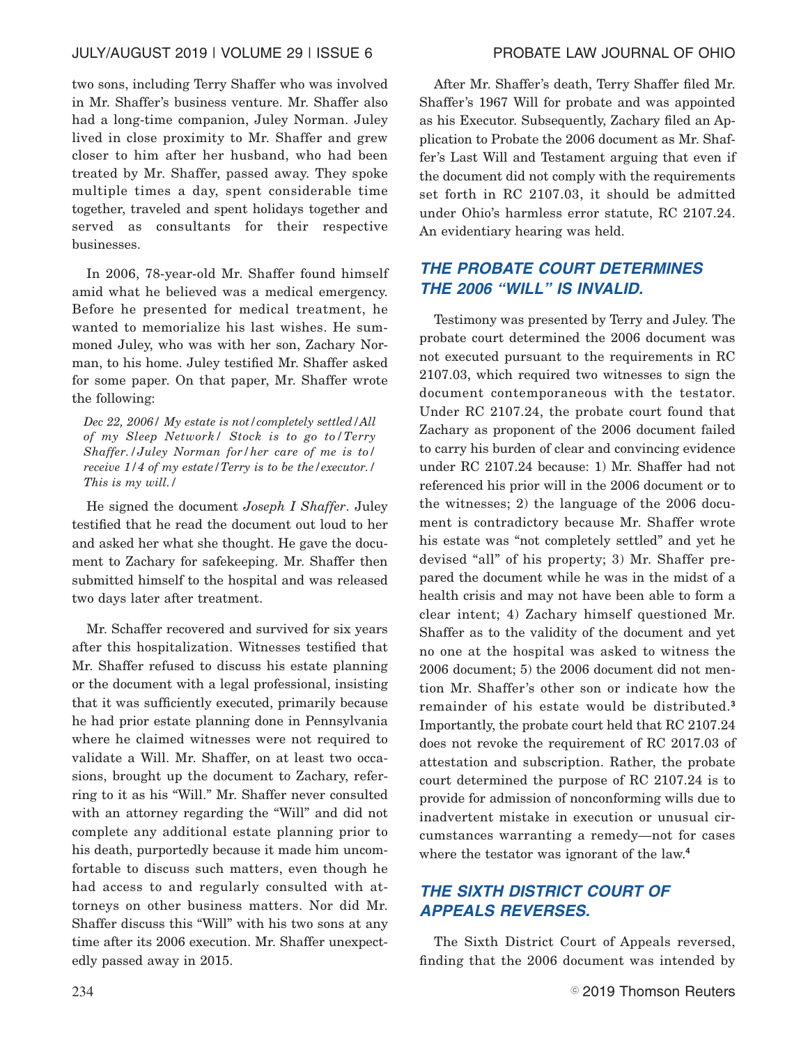two sons, including Terry Shaffer who was involved in Mr. Shaffer's business venture. Mr. Shaffer also had a long-time companion, Juley Norman. Juley lived in close proximity to Mr. Shaffer and grew closer to him after her husband, who had been treated by Mr. Shaffer, passed away. They spoke multiple times a day, spent considerable time together, traveled and spent holidays together and served as consultants for their respective businesses.

In 2006, 78-year-old Mr. Shaffer found himself amid what he believed was a medical emergency. Before he presented for medical treatment, he wanted to memorialize his last wishes. He summoned Juley, who was with her son, Zachary Norman, to his home. Juley testified Mr. Shaffer asked for some paper. On that paper, Mr. Shaffer wrote the following:

*Dec 22, 2006/ My estate is not/completely settled/All of my Sleep Network/ Stock is to go to/Terry Shaffer./Juley Norman for/her care of me is to/ receive 1/4 of my estate/Terry is to be the/executor./ This is my will./*

He signed the document *Joseph I Shaffer*. Juley testified that he read the document out loud to her and asked her what she thought. He gave the document to Zachary for safekeeping. Mr. Shaffer then submitted himself to the hospital and was released two days later after treatment.

Mr. Schaffer recovered and survived for six years after this hospitalization. Witnesses testified that Mr. Shaffer refused to discuss his estate planning or the document with a legal professional, insisting that it was sufficiently executed, primarily because he had prior estate planning done in Pennsylvania where he claimed witnesses were not required to validate a Will. Mr. Shaffer, on at least two occasions, brought up the document to Zachary, referring to it as his "Will." Mr. Shaffer never consulted with an attorney regarding the "Will" and did not complete any additional estate planning prior to his death, purportedly because it made him uncomfortable to discuss such matters, even though he had access to and regularly consulted with attorneys on other business matters. Nor did Mr. Shaffer discuss this "Will" with his two sons at any time after its 2006 execution. Mr. Shaffer unexpectedly passed away in 2015.

After Mr. Shaffer's death, Terry Shaffer filed Mr. Shaffer's 1967 Will for probate and was appointed as his Executor. Subsequently, Zachary filed an Application to Probate the 2006 document as Mr. Shaffer's Last Will and Testament arguing that even if the document did not comply with the requirements set forth in RC 2107.03, it should be admitted under Ohio's harmless error statute, RC 2107.24. An evidentiary hearing was held.

# **THE PROBATE COURT DETERMINES THE 2006 "WILL" IS INVALID.**

Testimony was presented by Terry and Juley. The probate court determined the 2006 document was not executed pursuant to the requirements in RC 2107.03, which required two witnesses to sign the document contemporaneous with the testator. Under RC 2107.24, the probate court found that Zachary as proponent of the 2006 document failed to carry his burden of clear and convincing evidence under RC 2107.24 because: 1) Mr. Shaffer had not referenced his prior will in the 2006 document or to the witnesses; 2) the language of the 2006 document is contradictory because Mr. Shaffer wrote his estate was "not completely settled" and yet he devised "all" of his property; 3) Mr. Shaffer prepared the document while he was in the midst of a health crisis and may not have been able to form a clear intent; 4) Zachary himself questioned Mr. Shaffer as to the validity of the document and yet no one at the hospital was asked to witness the 2006 document; 5) the 2006 document did not mention Mr. Shaffer's other son or indicate how the remainder of his estate would be distributed.**<sup>3</sup>** Importantly, the probate court held that RC 2107.24 does not revoke the requirement of RC 2017.03 of attestation and subscription. Rather, the probate court determined the purpose of RC 2107.24 is to provide for admission of nonconforming wills due to inadvertent mistake in execution or unusual circumstances warranting a remedy—not for cases where the testator was ignorant of the law.**<sup>4</sup>**

# **THE SIXTH DISTRICT COURT OF APPEALS REVERSES.**

The Sixth District Court of Appeals reversed, finding that the 2006 document was intended by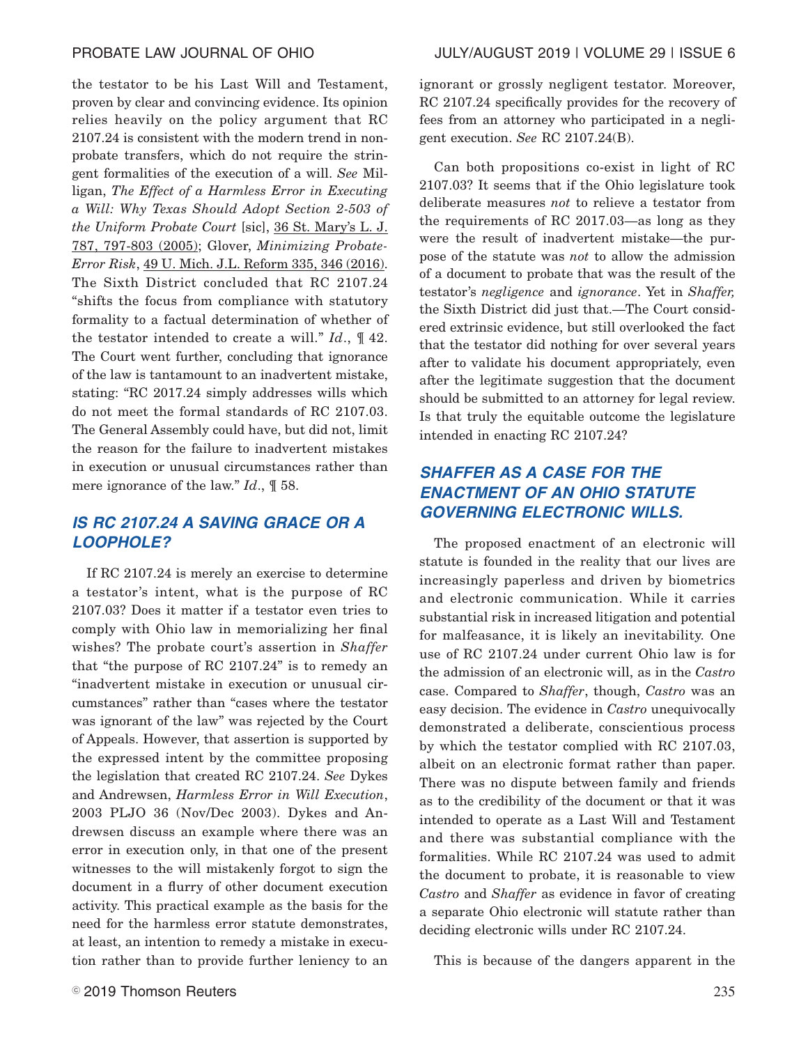the testator to be his Last Will and Testament, proven by clear and convincing evidence. Its opinion relies heavily on the policy argument that RC 2107.24 is consistent with the modern trend in nonprobate transfers, which do not require the stringent formalities of the execution of a will. *See* Milligan, *The Effect of a Harmless Error in Executing a Will: Why Texas Should Adopt Section 2-503 of the Uniform Probate Court* [sic], 36 St. Mary's L. J. 787, 797-803 (2005); Glover, *Minimizing Probate-Error Risk*, 49 U. Mich. J.L. Reform 335, 346 (2016). The Sixth District concluded that RC 2107.24 "shifts the focus from compliance with statutory formality to a factual determination of whether of the testator intended to create a will." *Id*., ¶ 42. The Court went further, concluding that ignorance of the law is tantamount to an inadvertent mistake, stating: "RC 2017.24 simply addresses wills which do not meet the formal standards of RC 2107.03. The General Assembly could have, but did not, limit the reason for the failure to inadvertent mistakes in execution or unusual circumstances rather than mere ignorance of the law." *Id*., ¶ 58.

# **IS RC 2107.24 A SAVING GRACE OR A LOOPHOLE?**

If RC 2107.24 is merely an exercise to determine a testator's intent, what is the purpose of RC 2107.03? Does it matter if a testator even tries to comply with Ohio law in memorializing her final wishes? The probate court's assertion in *Shaffer* that "the purpose of RC 2107.24" is to remedy an "inadvertent mistake in execution or unusual circumstances" rather than "cases where the testator was ignorant of the law" was rejected by the Court of Appeals. However, that assertion is supported by the expressed intent by the committee proposing the legislation that created RC 2107.24. *See* Dykes and Andrewsen, *Harmless Error in Will Execution*, 2003 PLJO 36 (Nov/Dec 2003). Dykes and Andrewsen discuss an example where there was an error in execution only, in that one of the present witnesses to the will mistakenly forgot to sign the document in a flurry of other document execution activity. This practical example as the basis for the need for the harmless error statute demonstrates, at least, an intention to remedy a mistake in execution rather than to provide further leniency to an

ignorant or grossly negligent testator. Moreover, RC 2107.24 specifically provides for the recovery of fees from an attorney who participated in a negligent execution. *See* RC 2107.24(B).

Can both propositions co-exist in light of RC 2107.03? It seems that if the Ohio legislature took deliberate measures *not* to relieve a testator from the requirements of RC 2017.03—as long as they were the result of inadvertent mistake—the purpose of the statute was *not* to allow the admission of a document to probate that was the result of the testator's *negligence* and *ignorance*. Yet in *Shaffer,* the Sixth District did just that.—The Court considered extrinsic evidence, but still overlooked the fact that the testator did nothing for over several years after to validate his document appropriately, even after the legitimate suggestion that the document should be submitted to an attorney for legal review. Is that truly the equitable outcome the legislature intended in enacting RC 2107.24?

# **SHAFFER AS A CASE FOR THE ENACTMENT OF AN OHIO STATUTE GOVERNING ELECTRONIC WILLS.**

The proposed enactment of an electronic will statute is founded in the reality that our lives are increasingly paperless and driven by biometrics and electronic communication. While it carries substantial risk in increased litigation and potential for malfeasance, it is likely an inevitability. One use of RC 2107.24 under current Ohio law is for the admission of an electronic will, as in the *Castro* case. Compared to *Shaffer*, though, *Castro* was an easy decision. The evidence in *Castro* unequivocally demonstrated a deliberate, conscientious process by which the testator complied with RC 2107.03, albeit on an electronic format rather than paper. There was no dispute between family and friends as to the credibility of the document or that it was intended to operate as a Last Will and Testament and there was substantial compliance with the formalities. While RC 2107.24 was used to admit the document to probate, it is reasonable to view *Castro* and *Shaffer* as evidence in favor of creating a separate Ohio electronic will statute rather than deciding electronic wills under RC 2107.24.

This is because of the dangers apparent in the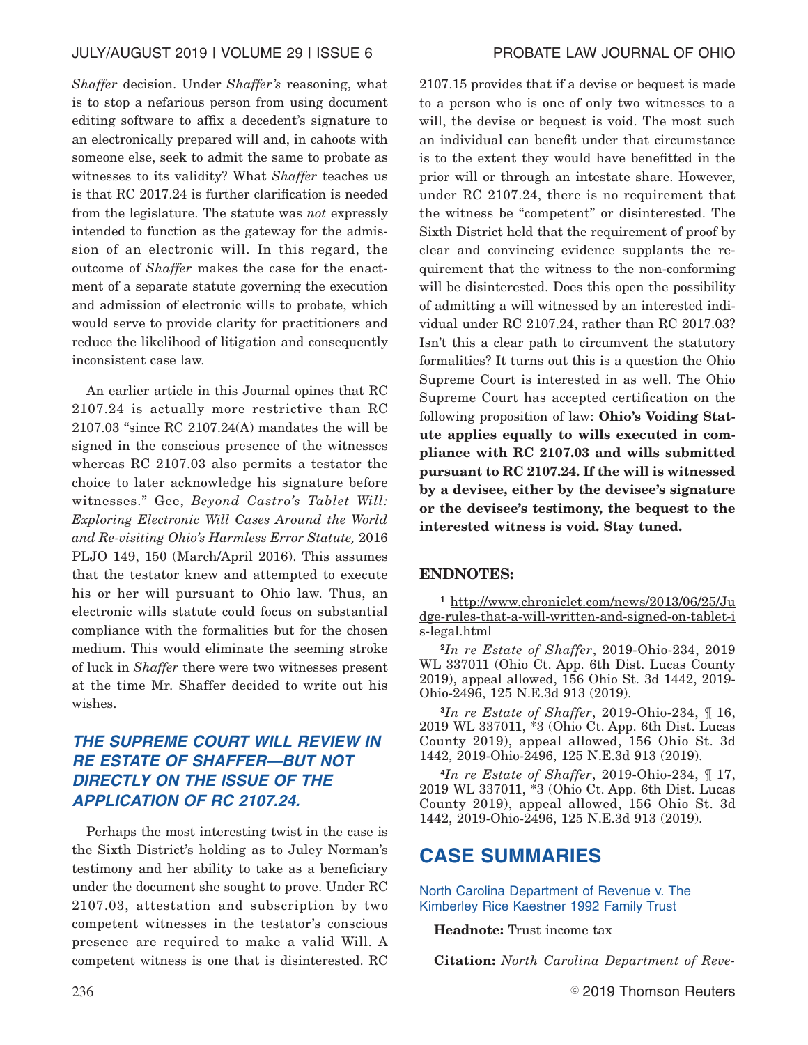*Shaffer* decision. Under *Shaffer's* reasoning, what is to stop a nefarious person from using document editing software to affix a decedent's signature to an electronically prepared will and, in cahoots with someone else, seek to admit the same to probate as witnesses to its validity? What *Shaffer* teaches us is that RC 2017.24 is further clarification is needed from the legislature. The statute was *not* expressly intended to function as the gateway for the admission of an electronic will. In this regard, the outcome of *Shaffer* makes the case for the enactment of a separate statute governing the execution and admission of electronic wills to probate, which would serve to provide clarity for practitioners and reduce the likelihood of litigation and consequently inconsistent case law.

An earlier article in this Journal opines that RC 2107.24 is actually more restrictive than RC 2107.03 "since RC 2107.24(A) mandates the will be signed in the conscious presence of the witnesses whereas RC 2107.03 also permits a testator the choice to later acknowledge his signature before witnesses." Gee, *Beyond Castro's Tablet Will: Exploring Electronic Will Cases Around the World and Re-visiting Ohio's Harmless Error Statute,* 2016 PLJO 149, 150 (March/April 2016). This assumes that the testator knew and attempted to execute his or her will pursuant to Ohio law. Thus, an electronic wills statute could focus on substantial compliance with the formalities but for the chosen medium. This would eliminate the seeming stroke of luck in *Shaffer* there were two witnesses present at the time Mr. Shaffer decided to write out his wishes.

# **THE SUPREME COURT WILL REVIEW IN RE ESTATE OF SHAFFER—BUT NOT DIRECTLY ON THE ISSUE OF THE APPLICATION OF RC 2107.24.**

Perhaps the most interesting twist in the case is the Sixth District's holding as to Juley Norman's testimony and her ability to take as a beneficiary under the document she sought to prove. Under RC 2107.03, attestation and subscription by two competent witnesses in the testator's conscious presence are required to make a valid Will. A competent witness is one that is disinterested. RC

2107.15 provides that if a devise or bequest is made to a person who is one of only two witnesses to a will, the devise or bequest is void. The most such an individual can benefit under that circumstance is to the extent they would have benefitted in the prior will or through an intestate share. However, under RC 2107.24, there is no requirement that the witness be "competent" or disinterested. The Sixth District held that the requirement of proof by clear and convincing evidence supplants the requirement that the witness to the non-conforming will be disinterested. Does this open the possibility of admitting a will witnessed by an interested individual under RC 2107.24, rather than RC 2017.03? Isn't this a clear path to circumvent the statutory formalities? It turns out this is a question the Ohio Supreme Court is interested in as well. The Ohio Supreme Court has accepted certification on the following proposition of law: **Ohio's Voiding Statute applies equally to wills executed in compliance with RC 2107.03 and wills submitted pursuant to RC 2107.24. If the will is witnessed by a devisee, either by the devisee's signature or the devisee's testimony, the bequest to the interested witness is void. Stay tuned.**

### **ENDNOTES:**

**<sup>1</sup>** http://www.chroniclet.com/news/2013/06/25/Ju dge-rules-that-a-will-written-and-signed-on-tablet-i s-legal.html

**<sup>2</sup>***In re Estate of Shaffer*, 2019-Ohio-234, 2019 WL 337011 (Ohio Ct. App. 6th Dist. Lucas County 2019), appeal allowed, 156 Ohio St. 3d 1442, 2019- Ohio-2496, 125 N.E.3d 913 (2019).

**<sup>3</sup>***In re Estate of Shaffer*, 2019-Ohio-234, ¶ 16, 2019 WL 337011, \*3 (Ohio Ct. App. 6th Dist. Lucas County 2019), appeal allowed, 156 Ohio St. 3d 1442, 2019-Ohio-2496, 125 N.E.3d 913 (2019).

**<sup>4</sup>***In re Estate of Shaffer*, 2019-Ohio-234, ¶ 17, 2019 WL 337011, \*3 (Ohio Ct. App. 6th Dist. Lucas County 2019), appeal allowed, 156 Ohio St. 3d 1442, 2019-Ohio-2496, 125 N.E.3d 913 (2019).

# **CASE SUMMARIES**

North Carolina Department of Revenue v. The Kimberley Rice Kaestner 1992 Family Trust

**Headnote:** Trust income tax

**Citation:** *North Carolina Department of Reve-*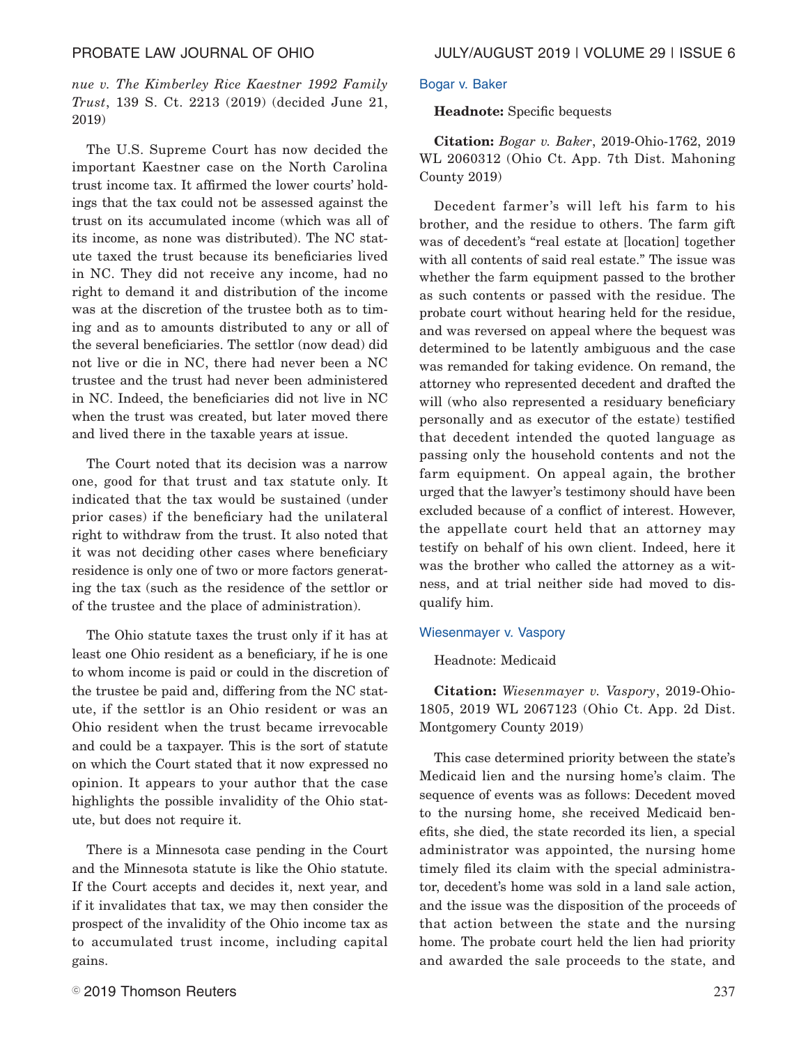*nue v. The Kimberley Rice Kaestner 1992 Family Trust*, 139 S. Ct. 2213 (2019) (decided June 21, 2019)

The U.S. Supreme Court has now decided the important Kaestner case on the North Carolina trust income tax. It affirmed the lower courts' holdings that the tax could not be assessed against the trust on its accumulated income (which was all of its income, as none was distributed). The NC statute taxed the trust because its beneficiaries lived in NC. They did not receive any income, had no right to demand it and distribution of the income was at the discretion of the trustee both as to timing and as to amounts distributed to any or all of the several beneficiaries. The settlor (now dead) did not live or die in NC, there had never been a NC trustee and the trust had never been administered in NC. Indeed, the beneficiaries did not live in NC when the trust was created, but later moved there and lived there in the taxable years at issue.

The Court noted that its decision was a narrow one, good for that trust and tax statute only. It indicated that the tax would be sustained (under prior cases) if the beneficiary had the unilateral right to withdraw from the trust. It also noted that it was not deciding other cases where beneficiary residence is only one of two or more factors generating the tax (such as the residence of the settlor or of the trustee and the place of administration).

The Ohio statute taxes the trust only if it has at least one Ohio resident as a beneficiary, if he is one to whom income is paid or could in the discretion of the trustee be paid and, differing from the NC statute, if the settlor is an Ohio resident or was an Ohio resident when the trust became irrevocable and could be a taxpayer. This is the sort of statute on which the Court stated that it now expressed no opinion. It appears to your author that the case highlights the possible invalidity of the Ohio statute, but does not require it.

There is a Minnesota case pending in the Court and the Minnesota statute is like the Ohio statute. If the Court accepts and decides it, next year, and if it invalidates that tax, we may then consider the prospect of the invalidity of the Ohio income tax as to accumulated trust income, including capital gains.

### Bogar v. Baker

## **Headnote:** Specific bequests

**Citation:** *Bogar v. Baker*, 2019-Ohio-1762, 2019 WL 2060312 (Ohio Ct. App. 7th Dist. Mahoning County 2019)

Decedent farmer's will left his farm to his brother, and the residue to others. The farm gift was of decedent's "real estate at [location] together with all contents of said real estate." The issue was whether the farm equipment passed to the brother as such contents or passed with the residue. The probate court without hearing held for the residue, and was reversed on appeal where the bequest was determined to be latently ambiguous and the case was remanded for taking evidence. On remand, the attorney who represented decedent and drafted the will (who also represented a residuary beneficiary personally and as executor of the estate) testified that decedent intended the quoted language as passing only the household contents and not the farm equipment. On appeal again, the brother urged that the lawyer's testimony should have been excluded because of a conflict of interest. However, the appellate court held that an attorney may testify on behalf of his own client. Indeed, here it was the brother who called the attorney as a witness, and at trial neither side had moved to disqualify him.

### Wiesenmayer v. Vaspory

# Headnote: Medicaid

**Citation:** *Wiesenmayer v. Vaspory*, 2019-Ohio-1805, 2019 WL 2067123 (Ohio Ct. App. 2d Dist. Montgomery County 2019)

This case determined priority between the state's Medicaid lien and the nursing home's claim. The sequence of events was as follows: Decedent moved to the nursing home, she received Medicaid benefits, she died, the state recorded its lien, a special administrator was appointed, the nursing home timely filed its claim with the special administrator, decedent's home was sold in a land sale action, and the issue was the disposition of the proceeds of that action between the state and the nursing home. The probate court held the lien had priority and awarded the sale proceeds to the state, and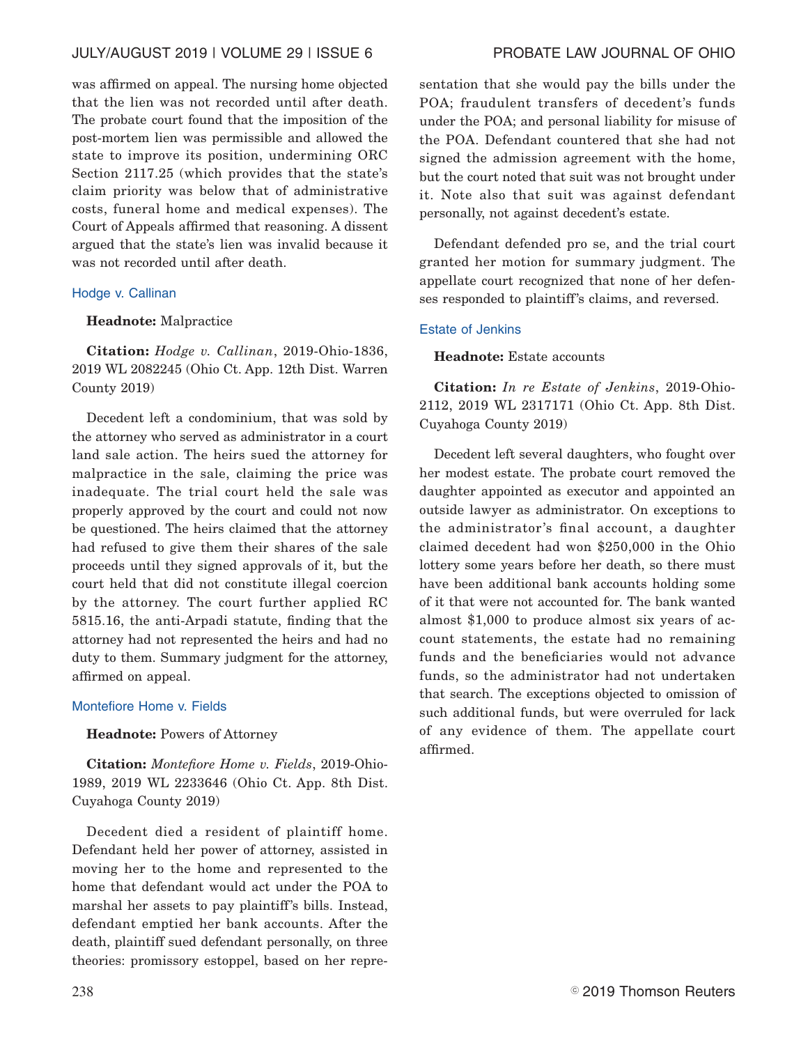# JULY/AUGUST 2019 | VOLUME 29 | ISSUE 6 PROBATE LAW JOURNAL OF OHIO

was affirmed on appeal. The nursing home objected that the lien was not recorded until after death. The probate court found that the imposition of the post-mortem lien was permissible and allowed the state to improve its position, undermining ORC Section 2117.25 (which provides that the state's claim priority was below that of administrative costs, funeral home and medical expenses). The Court of Appeals affirmed that reasoning. A dissent argued that the state's lien was invalid because it was not recorded until after death.

### Hodge v. Callinan

### **Headnote:** Malpractice

**Citation:** *Hodge v. Callinan*, 2019-Ohio-1836, 2019 WL 2082245 (Ohio Ct. App. 12th Dist. Warren County 2019)

Decedent left a condominium, that was sold by the attorney who served as administrator in a court land sale action. The heirs sued the attorney for malpractice in the sale, claiming the price was inadequate. The trial court held the sale was properly approved by the court and could not now be questioned. The heirs claimed that the attorney had refused to give them their shares of the sale proceeds until they signed approvals of it, but the court held that did not constitute illegal coercion by the attorney. The court further applied RC 5815.16, the anti-Arpadi statute, finding that the attorney had not represented the heirs and had no duty to them. Summary judgment for the attorney, affirmed on appeal.

### Montefiore Home v. Fields

### **Headnote:** Powers of Attorney

**Citation:** *Montefiore Home v. Fields*, 2019-Ohio-1989, 2019 WL 2233646 (Ohio Ct. App. 8th Dist. Cuyahoga County 2019)

Decedent died a resident of plaintiff home. Defendant held her power of attorney, assisted in moving her to the home and represented to the home that defendant would act under the POA to marshal her assets to pay plaintiff's bills. Instead, defendant emptied her bank accounts. After the death, plaintiff sued defendant personally, on three theories: promissory estoppel, based on her representation that she would pay the bills under the POA; fraudulent transfers of decedent's funds under the POA; and personal liability for misuse of the POA. Defendant countered that she had not signed the admission agreement with the home, but the court noted that suit was not brought under it. Note also that suit was against defendant personally, not against decedent's estate.

Defendant defended pro se, and the trial court granted her motion for summary judgment. The appellate court recognized that none of her defenses responded to plaintiff's claims, and reversed.

### Estate of Jenkins

**Headnote:** Estate accounts

**Citation:** *In re Estate of Jenkins*, 2019-Ohio-2112, 2019 WL 2317171 (Ohio Ct. App. 8th Dist. Cuyahoga County 2019)

Decedent left several daughters, who fought over her modest estate. The probate court removed the daughter appointed as executor and appointed an outside lawyer as administrator. On exceptions to the administrator's final account, a daughter claimed decedent had won \$250,000 in the Ohio lottery some years before her death, so there must have been additional bank accounts holding some of it that were not accounted for. The bank wanted almost \$1,000 to produce almost six years of account statements, the estate had no remaining funds and the beneficiaries would not advance funds, so the administrator had not undertaken that search. The exceptions objected to omission of such additional funds, but were overruled for lack of any evidence of them. The appellate court affirmed.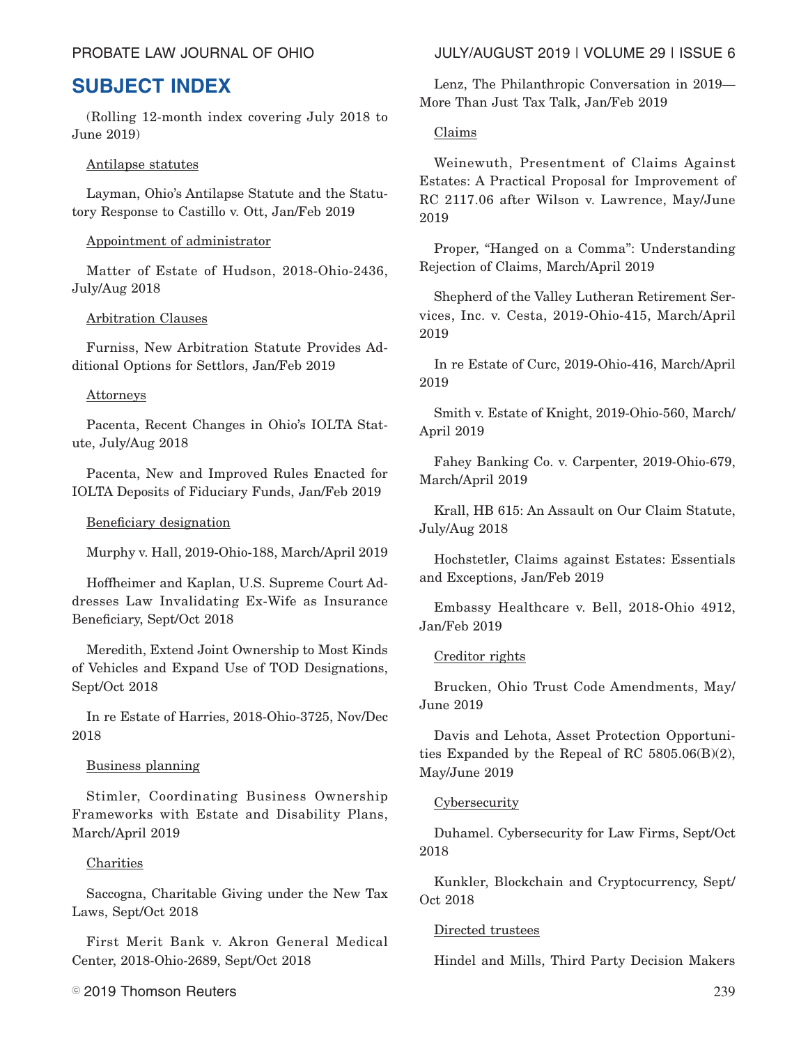# **SUBJECT INDEX**

(Rolling 12-month index covering July 2018 to June 2019)

# Antilapse statutes

Layman, Ohio's Antilapse Statute and the Statutory Response to Castillo v. Ott, Jan/Feb 2019

# Appointment of administrator

Matter of Estate of Hudson, 2018-Ohio-2436, July/Aug 2018

# Arbitration Clauses

Furniss, New Arbitration Statute Provides Additional Options for Settlors, Jan/Feb 2019

# Attorneys

Pacenta, Recent Changes in Ohio's IOLTA Statute, July/Aug 2018

Pacenta, New and Improved Rules Enacted for IOLTA Deposits of Fiduciary Funds, Jan/Feb 2019

# Beneficiary designation

Murphy v. Hall, 2019-Ohio-188, March/April 2019

Hoffheimer and Kaplan, U.S. Supreme Court Addresses Law Invalidating Ex-Wife as Insurance Beneficiary, Sept/Oct 2018

Meredith, Extend Joint Ownership to Most Kinds of Vehicles and Expand Use of TOD Designations, Sept/Oct 2018

In re Estate of Harries, 2018-Ohio-3725, Nov/Dec 2018

# Business planning

Stimler, Coordinating Business Ownership Frameworks with Estate and Disability Plans, March/April 2019

# **Charities**

Saccogna, Charitable Giving under the New Tax Laws, Sept/Oct 2018

First Merit Bank v. Akron General Medical Center, 2018-Ohio-2689, Sept/Oct 2018

 $\textcircled{\textdegree}$  2019 Thomson Reuters  $^{239}$ 

# PROBATE LAW JOURNAL OF OHIO JULY/AUGUST 2019 | VOLUME 29 | ISSUE 6

Lenz, The Philanthropic Conversation in 2019— More Than Just Tax Talk, Jan/Feb 2019

# Claims

Weinewuth, Presentment of Claims Against Estates: A Practical Proposal for Improvement of RC 2117.06 after Wilson v. Lawrence, May/June 2019

Proper, "Hanged on a Comma": Understanding Rejection of Claims, March/April 2019

Shepherd of the Valley Lutheran Retirement Services, Inc. v. Cesta, 2019-Ohio-415, March/April 2019

In re Estate of Curc, 2019-Ohio-416, March/April 2019

Smith v. Estate of Knight, 2019-Ohio-560, March/ April 2019

Fahey Banking Co. v. Carpenter, 2019-Ohio-679, March/April 2019

Krall, HB 615: An Assault on Our Claim Statute, July/Aug 2018

Hochstetler, Claims against Estates: Essentials and Exceptions, Jan/Feb 2019

Embassy Healthcare v. Bell, 2018-Ohio 4912, Jan/Feb 2019

# Creditor rights

Brucken, Ohio Trust Code Amendments, May/ June 2019

Davis and Lehota, Asset Protection Opportunities Expanded by the Repeal of RC 5805.06(B)(2), May/June 2019

# **Cybersecurity**

Duhamel. Cybersecurity for Law Firms, Sept/Oct 2018

Kunkler, Blockchain and Cryptocurrency, Sept/ Oct 2018

# Directed trustees

Hindel and Mills, Third Party Decision Makers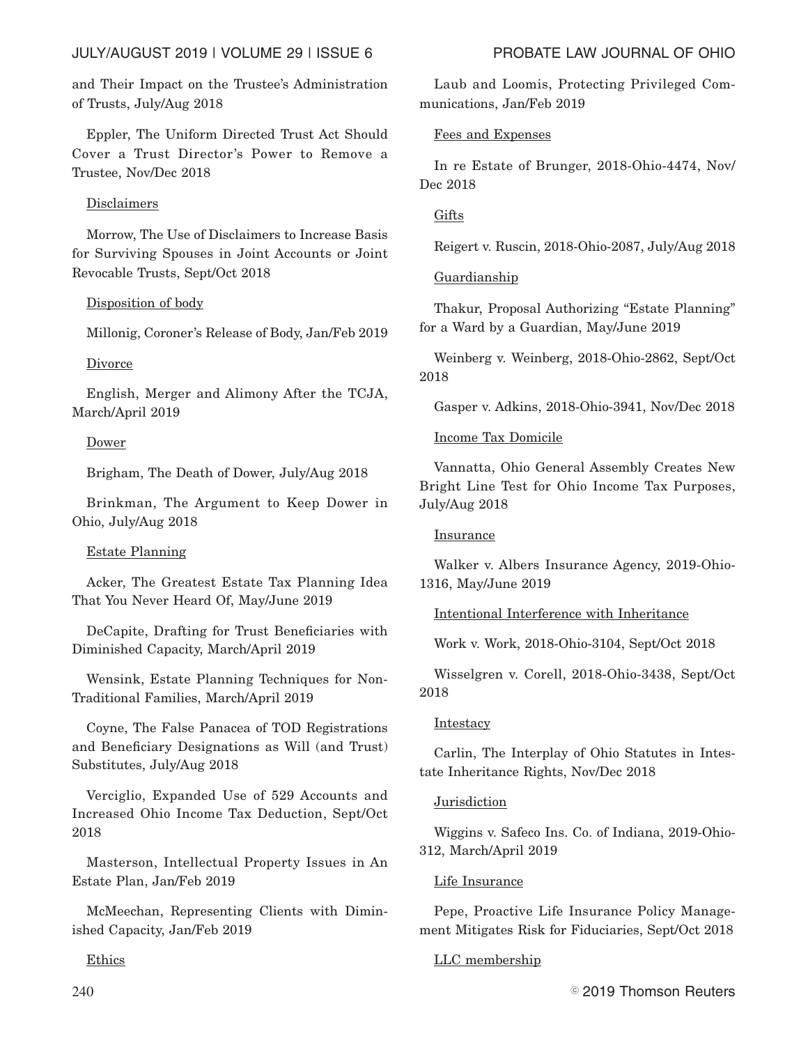and Their Impact on the Trustee's Administration of Trusts, July/Aug 2018

Eppler, The Uniform Directed Trust Act Should Cover a Trust Director's Power to Remove a Trustee, Nov/Dec 2018

# Disclaimers

Morrow, The Use of Disclaimers to Increase Basis for Surviving Spouses in Joint Accounts or Joint Revocable Trusts, Sept/Oct 2018

# Disposition of body

Millonig, Coroner's Release of Body, Jan/Feb 2019

# **Divorce**

English, Merger and Alimony After the TCJA, March/April 2019

# Dower

Brigham, The Death of Dower, July/Aug 2018

Brinkman, The Argument to Keep Dower in Ohio, July/Aug 2018

# Estate Planning

Acker, The Greatest Estate Tax Planning Idea That You Never Heard Of, May/June 2019

DeCapite, Drafting for Trust Beneficiaries with Diminished Capacity, March/April 2019

Wensink, Estate Planning Techniques for Non-Traditional Families, March/April 2019

Coyne, The False Panacea of TOD Registrations and Beneficiary Designations as Will (and Trust) Substitutes, July/Aug 2018

Verciglio, Expanded Use of 529 Accounts and Increased Ohio Income Tax Deduction, Sept/Oct 2018

Masterson, Intellectual Property Issues in An Estate Plan, Jan/Feb 2019

McMeechan, Representing Clients with Diminished Capacity, Jan/Feb 2019

Ethics

Laub and Loomis, Protecting Privileged Communications, Jan/Feb 2019

# Fees and Expenses

In re Estate of Brunger, 2018-Ohio-4474, Nov/ Dec 2018

# **Gifts**

Reigert v. Ruscin, 2018-Ohio-2087, July/Aug 2018

# Guardianship

Thakur, Proposal Authorizing "Estate Planning" for a Ward by a Guardian, May/June 2019

Weinberg v. Weinberg, 2018-Ohio-2862, Sept/Oct 2018

Gasper v. Adkins, 2018-Ohio-3941, Nov/Dec 2018

# Income Tax Domicile

Vannatta, Ohio General Assembly Creates New Bright Line Test for Ohio Income Tax Purposes, July/Aug 2018

# Insurance

Walker v. Albers Insurance Agency, 2019-Ohio-1316, May/June 2019

Intentional Interference with Inheritance

Work v. Work, 2018-Ohio-3104, Sept/Oct 2018

Wisselgren v. Corell, 2018-Ohio-3438, Sept/Oct 2018

# **Intestacy**

Carlin, The Interplay of Ohio Statutes in Intestate Inheritance Rights, Nov/Dec 2018

# Jurisdiction

Wiggins v. Safeco Ins. Co. of Indiana, 2019-Ohio-312, March/April 2019

# Life Insurance

Pepe, Proactive Life Insurance Policy Management Mitigates Risk for Fiduciaries, Sept/Oct 2018

# LLC membership

 $240$   $^{\circ}$  2019 Thomson Reuters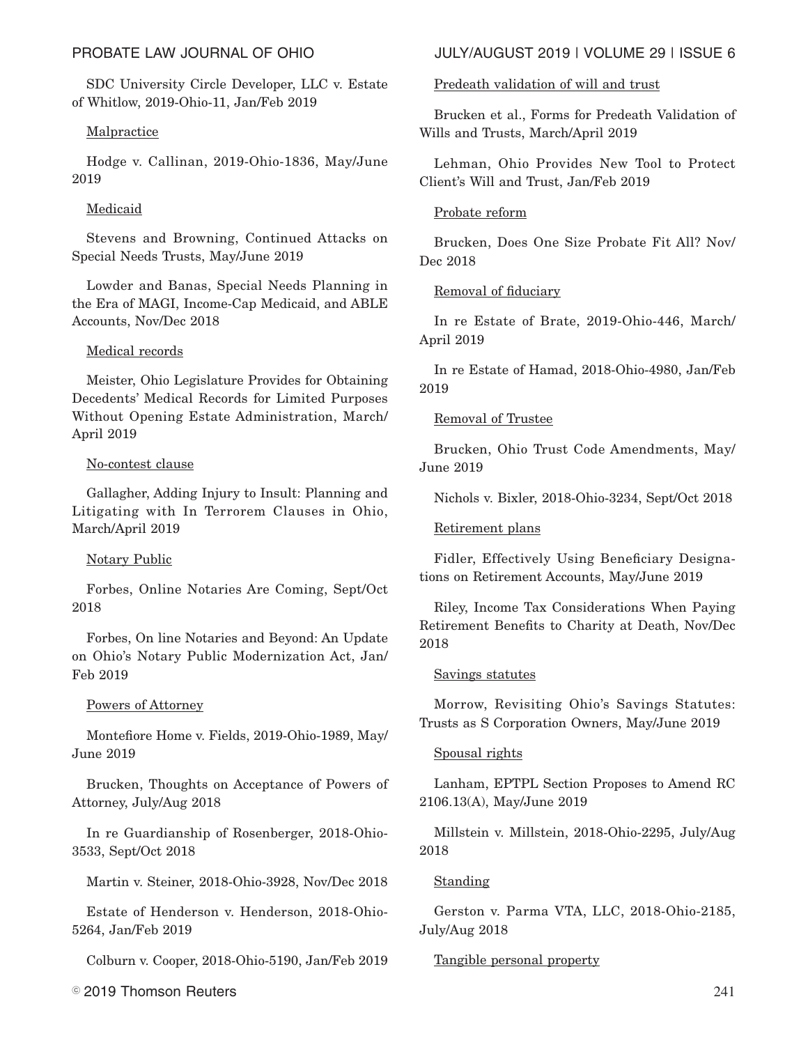SDC University Circle Developer, LLC v. Estate of Whitlow, 2019-Ohio-11, Jan/Feb 2019

# Malpractice

Hodge v. Callinan, 2019-Ohio-1836, May/June 2019

# Medicaid

Stevens and Browning, Continued Attacks on Special Needs Trusts, May/June 2019

Lowder and Banas, Special Needs Planning in the Era of MAGI, Income-Cap Medicaid, and ABLE Accounts, Nov/Dec 2018

# Medical records

Meister, Ohio Legislature Provides for Obtaining Decedents' Medical Records for Limited Purposes Without Opening Estate Administration, March/ April 2019

## No-contest clause

Gallagher, Adding Injury to Insult: Planning and Litigating with In Terrorem Clauses in Ohio, March/April 2019

# Notary Public

Forbes, Online Notaries Are Coming, Sept/Oct 2018

Forbes, On line Notaries and Beyond: An Update on Ohio's Notary Public Modernization Act, Jan/ Feb 2019

### Powers of Attorney

Montefiore Home v. Fields, 2019-Ohio-1989, May/ June 2019

Brucken, Thoughts on Acceptance of Powers of Attorney, July/Aug 2018

In re Guardianship of Rosenberger, 2018-Ohio-3533, Sept/Oct 2018

Martin v. Steiner, 2018-Ohio-3928, Nov/Dec 2018

Estate of Henderson v. Henderson, 2018-Ohio-5264, Jan/Feb 2019

Colburn v. Cooper, 2018-Ohio-5190, Jan/Feb 2019

 $\degree$  2019 Thomson Reuters  $^{241}$ 

# PROBATE LAW JOURNAL OF OHIO JULY/AUGUST 2019 | VOLUME 29 | ISSUE 6

### Predeath validation of will and trust

Brucken et al., Forms for Predeath Validation of Wills and Trusts, March/April 2019

Lehman, Ohio Provides New Tool to Protect Client's Will and Trust, Jan/Feb 2019

### Probate reform

Brucken, Does One Size Probate Fit All? Nov/ Dec 2018

## Removal of fiduciary

In re Estate of Brate, 2019-Ohio-446, March/ April 2019

In re Estate of Hamad, 2018-Ohio-4980, Jan/Feb 2019

## Removal of Trustee

Brucken, Ohio Trust Code Amendments, May/ June 2019

Nichols v. Bixler, 2018-Ohio-3234, Sept/Oct 2018

### Retirement plans

Fidler, Effectively Using Beneficiary Designations on Retirement Accounts, May/June 2019

Riley, Income Tax Considerations When Paying Retirement Benefits to Charity at Death, Nov/Dec 2018

### Savings statutes

Morrow, Revisiting Ohio's Savings Statutes: Trusts as S Corporation Owners, May/June 2019

### Spousal rights

Lanham, EPTPL Section Proposes to Amend RC 2106.13(A), May/June 2019

Millstein v. Millstein, 2018-Ohio-2295, July/Aug 2018

# Standing

Gerston v. Parma VTA, LLC, 2018-Ohio-2185, July/Aug 2018

### Tangible personal property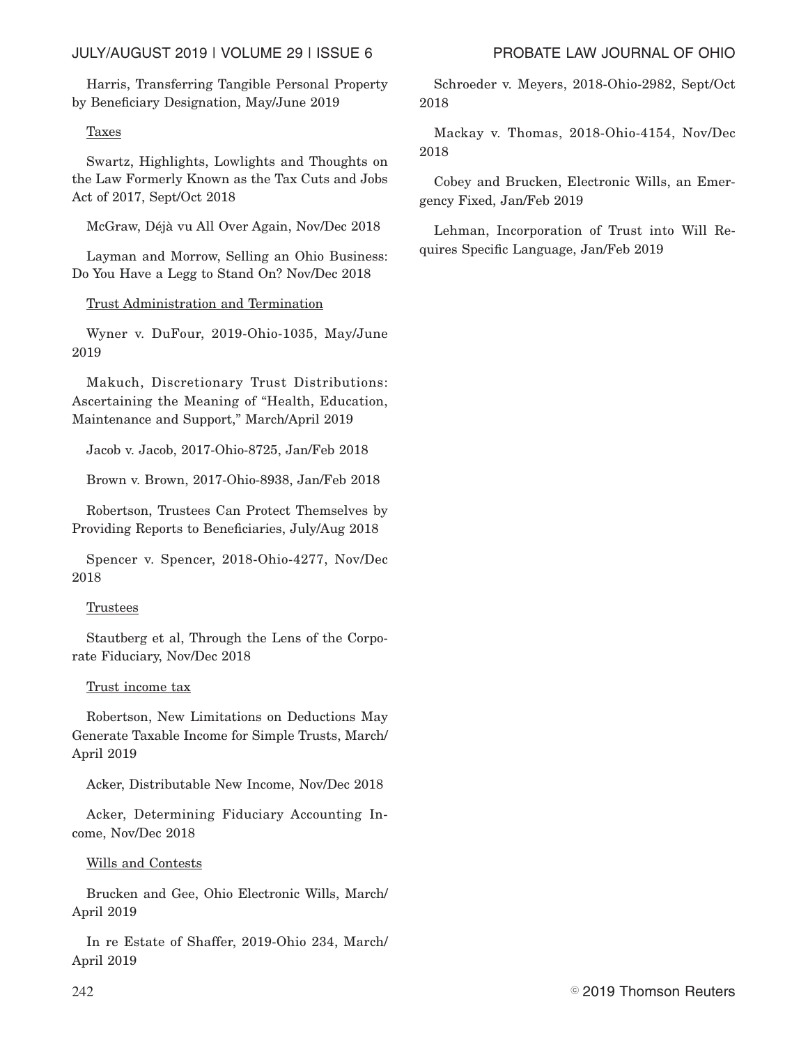Harris, Transferring Tangible Personal Property by Beneficiary Designation, May/June 2019

# Taxes

Swartz, Highlights, Lowlights and Thoughts on the Law Formerly Known as the Tax Cuts and Jobs Act of 2017, Sept/Oct 2018

McGraw, Déjà vu All Over Again, Nov/Dec 2018

Layman and Morrow, Selling an Ohio Business: Do You Have a Legg to Stand On? Nov/Dec 2018

# Trust Administration and Termination

Wyner v. DuFour, 2019-Ohio-1035, May/June 2019

Makuch, Discretionary Trust Distributions: Ascertaining the Meaning of "Health, Education, Maintenance and Support," March/April 2019

Jacob v. Jacob, 2017-Ohio-8725, Jan/Feb 2018

Brown v. Brown, 2017-Ohio-8938, Jan/Feb 2018

Robertson, Trustees Can Protect Themselves by Providing Reports to Beneficiaries, July/Aug 2018

Spencer v. Spencer, 2018-Ohio-4277, Nov/Dec 2018

### **Trustees**

Stautberg et al, Through the Lens of the Corporate Fiduciary, Nov/Dec 2018

### Trust income tax

Robertson, New Limitations on Deductions May Generate Taxable Income for Simple Trusts, March/ April 2019

Acker, Distributable New Income, Nov/Dec 2018

Acker, Determining Fiduciary Accounting Income, Nov/Dec 2018

Wills and Contests

Brucken and Gee, Ohio Electronic Wills, March/ April 2019

In re Estate of Shaffer, 2019-Ohio 234, March/ April 2019

Schroeder v. Meyers, 2018-Ohio-2982, Sept/Oct 2018

Mackay v. Thomas, 2018-Ohio-4154, Nov/Dec 2018

Cobey and Brucken, Electronic Wills, an Emergency Fixed, Jan/Feb 2019

Lehman, Incorporation of Trust into Will Requires Specific Language, Jan/Feb 2019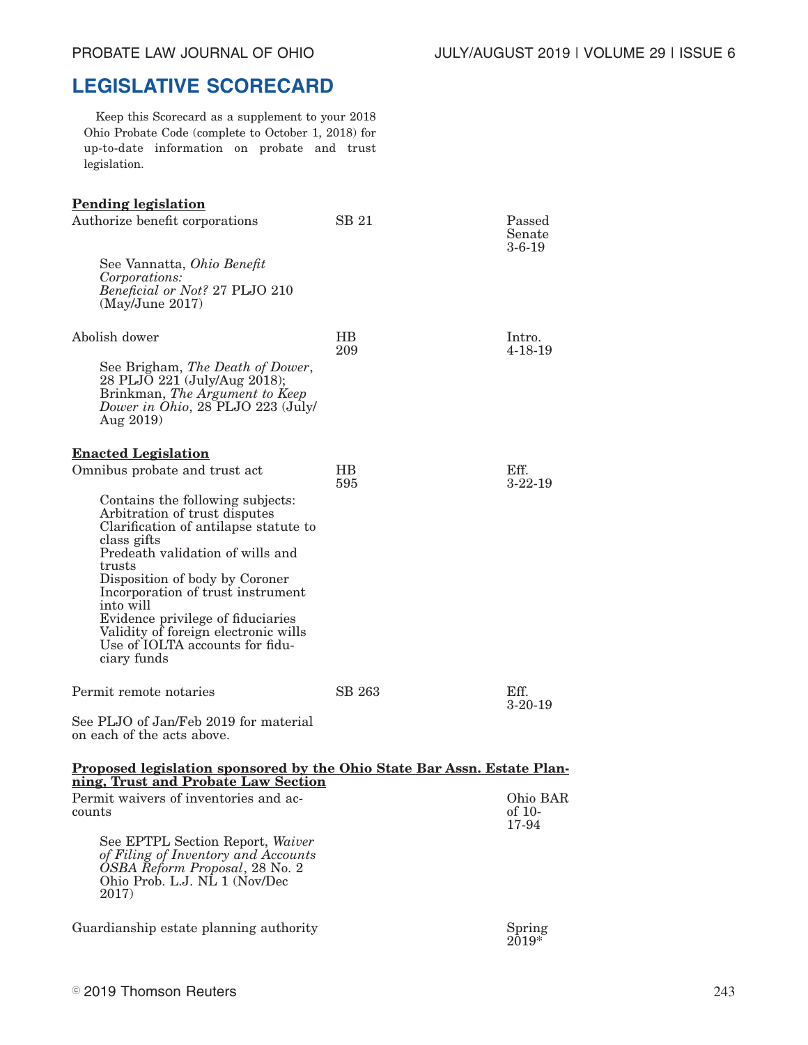# **LEGISLATIVE SCORECARD**

Keep this Scorecard as a supplement to your 2018 Ohio Probate Code (complete to October 1, 2018) for up-to-date information on probate and trust legislation.

| <b>Pending legislation</b>                                                                                                                                                                                                                                                                                                                                                                 |                  |                             |
|--------------------------------------------------------------------------------------------------------------------------------------------------------------------------------------------------------------------------------------------------------------------------------------------------------------------------------------------------------------------------------------------|------------------|-----------------------------|
| Authorize benefit corporations                                                                                                                                                                                                                                                                                                                                                             | SB 21            | Passed<br>Senate<br>3-6-19  |
| See Vannatta, Ohio Benefit<br>Corporations:<br>Beneficial or Not? 27 PLJO 210<br>(May/June 2017)                                                                                                                                                                                                                                                                                           |                  |                             |
| Abolish dower                                                                                                                                                                                                                                                                                                                                                                              | <b>HB</b><br>209 | Intro.<br>$4 - 18 - 19$     |
| See Brigham, The Death of Dower,<br>28 PLJO 221 (July/Aug 2018);<br>Brinkman, The Argument to Keep<br>Dower in Ohio, 28 PLJO 223 (July/<br>Aug 2019)                                                                                                                                                                                                                                       |                  |                             |
| <b>Enacted Legislation</b>                                                                                                                                                                                                                                                                                                                                                                 |                  |                             |
| Omnibus probate and trust act                                                                                                                                                                                                                                                                                                                                                              | HB.<br>595       | Eff.<br>$3-22-19$           |
| Contains the following subjects:<br>Arbitration of trust disputes<br>Clarification of antilapse statute to<br>class gifts<br>Predeath validation of wills and<br>trusts<br>Disposition of body by Coroner<br>Incorporation of trust instrument<br>into will<br>Evidence privilege of fiduciaries<br>Validity of foreign electronic wills<br>Use of IOLTA accounts for fidu-<br>ciary funds |                  |                             |
| Permit remote notaries                                                                                                                                                                                                                                                                                                                                                                     | SB 263           | Eff.<br>$3-20-19$           |
| See PLJO of Jan/Feb 2019 for material<br>on each of the acts above.                                                                                                                                                                                                                                                                                                                        |                  |                             |
| Proposed legislation sponsored by the Ohio State Bar Assn. Estate Plan-<br>ning, Trust and Probate Law Section                                                                                                                                                                                                                                                                             |                  |                             |
| Permit waivers of inventories and ac-<br>counts                                                                                                                                                                                                                                                                                                                                            |                  | Ohio BAR<br>of 10-<br>17-94 |
| See EPTPL Section Report, Waiver<br>of Filing of Inventory and Accounts<br>OSBA Reform Proposal, 28 No. 2<br>Ohio Prob. L.J. NL 1 (Nov/Dec<br>2017)                                                                                                                                                                                                                                        |                  |                             |
| Guardianship estate planning authority                                                                                                                                                                                                                                                                                                                                                     |                  | Spring<br>$2019*$           |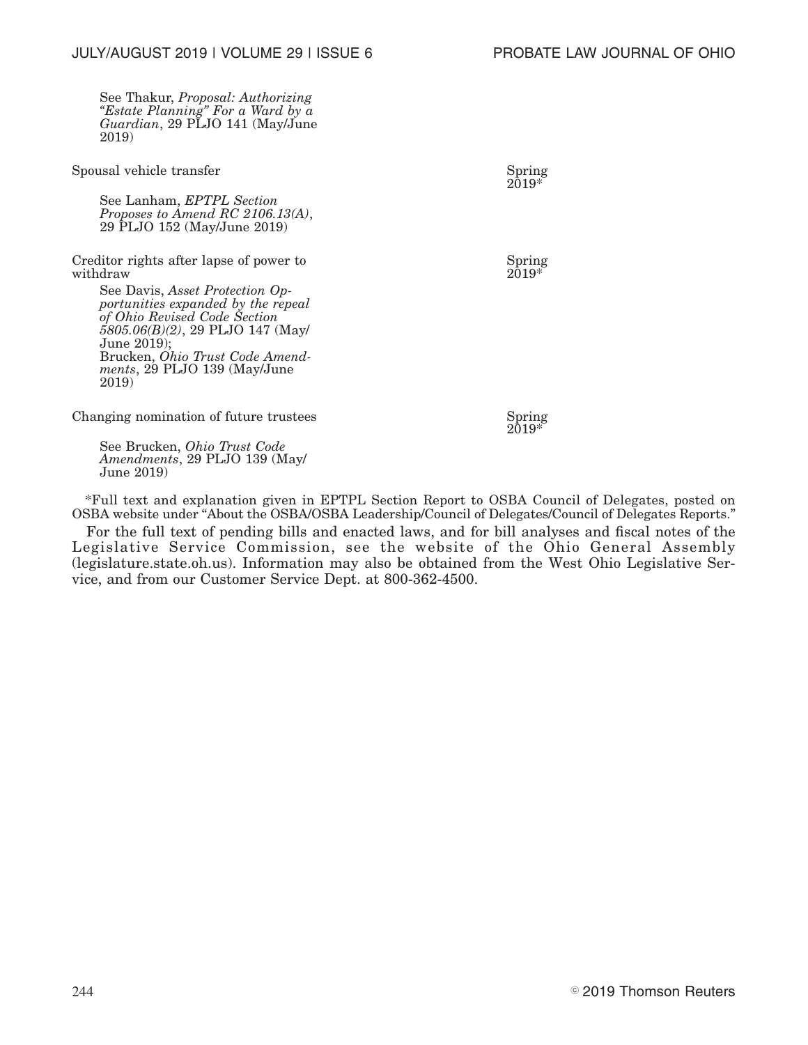See Thakur, *Proposal: Authorizing "Estate Planning" For a Ward by a Guardian*, 29 PLJO 141 (May/June 2019)

| Spousal vehicle transfer                                                                                                                                                                                                                                                                              | Spring<br>$2019*$ |
|-------------------------------------------------------------------------------------------------------------------------------------------------------------------------------------------------------------------------------------------------------------------------------------------------------|-------------------|
| See Lanham, EPTPL Section<br>Proposes to Amend RC 2106.13(A),<br>29 PLJO 152 (May/June 2019)                                                                                                                                                                                                          |                   |
| Creditor rights after lapse of power to<br>withdraw<br>See Davis, Asset Protection Op-<br>portunities expanded by the repeal<br>of Ohio Revised Code Section<br>$5805.06(B)(2)$ , 29 PLJO 147 (May/<br>June 2019):<br>Brucken, <i>Ohio Trust Code Amend-</i><br>ments, 29 PLJO 139 (May/June<br>2019) | Spring<br>2019*   |
| Changing nomination of future trustees                                                                                                                                                                                                                                                                | Spring            |

 $2019*$ 

See Brucken, *Ohio Trust Code Amendments*, 29 PLJO 139 (May/ June 2019)

\*Full text and explanation given in EPTPL Section Report to OSBA Council of Delegates, posted on OSBA website under "About the OSBA/OSBA Leadership/Council of Delegates/Council of Delegates Reports."

For the full text of pending bills and enacted laws, and for bill analyses and fiscal notes of the Legislative Service Commission, see the website of the Ohio General Assembly (legislature.state.oh.us). Information may also be obtained from the West Ohio Legislative Service, and from our Customer Service Dept. at 800-362-4500.